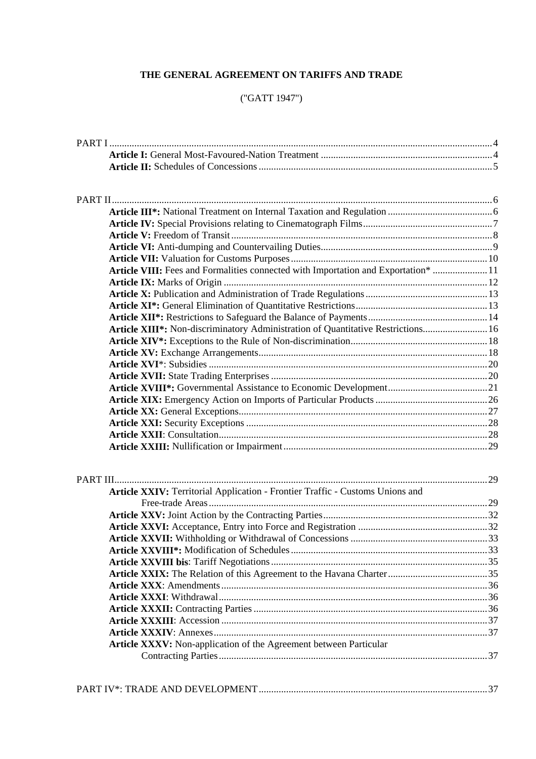# **THE GENERAL AGREEMENT ON TARIFFS AND TRADE**

# ("GATT 1947")

| Article VIII: Fees and Formalities connected with Importation and Exportation*  11 |  |
|------------------------------------------------------------------------------------|--|
|                                                                                    |  |
|                                                                                    |  |
|                                                                                    |  |
|                                                                                    |  |
| Article XIII*: Non-discriminatory Administration of Quantitative Restrictions 16   |  |
|                                                                                    |  |
|                                                                                    |  |
|                                                                                    |  |
|                                                                                    |  |
|                                                                                    |  |
|                                                                                    |  |
|                                                                                    |  |
|                                                                                    |  |
|                                                                                    |  |
|                                                                                    |  |
| Article XXIV: Territorial Application - Frontier Traffic - Customs Unions and      |  |
|                                                                                    |  |
|                                                                                    |  |
|                                                                                    |  |
|                                                                                    |  |
|                                                                                    |  |
|                                                                                    |  |
|                                                                                    |  |
|                                                                                    |  |
|                                                                                    |  |
|                                                                                    |  |
|                                                                                    |  |
|                                                                                    |  |
| Article XXXV: Non-application of the Agreement between Particular                  |  |
|                                                                                    |  |
|                                                                                    |  |

[PART IV\\*: TRADE AND DEVELOPMENT............................................................................................37](#page-36-3)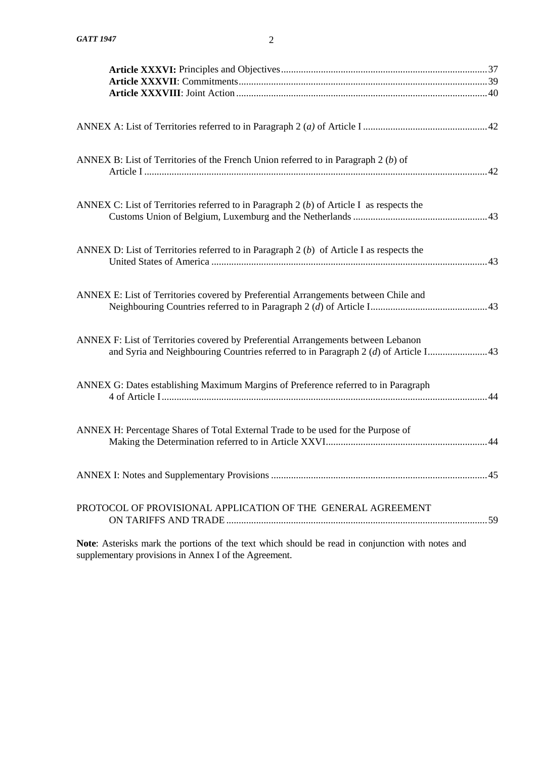| ANNEX B: List of Territories of the French Union referred to in Paragraph 2 (b) of                                                                                       |  |
|--------------------------------------------------------------------------------------------------------------------------------------------------------------------------|--|
| ANNEX C: List of Territories referred to in Paragraph $2(b)$ of Article I as respects the                                                                                |  |
| ANNEX D: List of Territories referred to in Paragraph $2(b)$ of Article I as respects the                                                                                |  |
| ANNEX E: List of Territories covered by Preferential Arrangements between Chile and                                                                                      |  |
| ANNEX F: List of Territories covered by Preferential Arrangements between Lebanon<br>and Syria and Neighbouring Countries referred to in Paragraph 2 (d) of Article I 43 |  |
| ANNEX G: Dates establishing Maximum Margins of Preference referred to in Paragraph                                                                                       |  |
| ANNEX H: Percentage Shares of Total External Trade to be used for the Purpose of                                                                                         |  |
|                                                                                                                                                                          |  |
| PROTOCOL OF PROVISIONAL APPLICATION OF THE GENERAL AGREEMENT                                                                                                             |  |
| Note: Asterisks mark the portions of the text which should be read in conjunction with notes and<br>supplementary provisions in Annex I of the Agreement.                |  |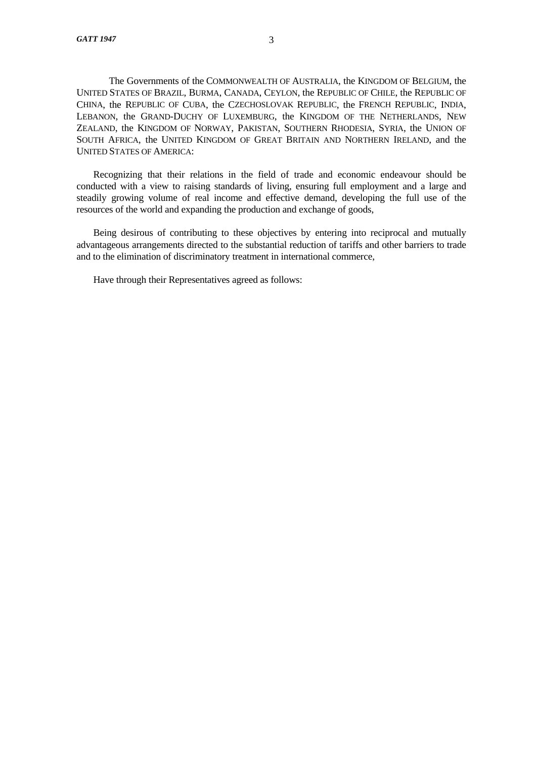The Governments of the COMMONWEALTH OF AUSTRALIA, the KINGDOM OF BELGIUM, the UNITED STATES OF BRAZIL, BURMA, CANADA, CEYLON, the REPUBLIC OF CHILE, the REPUBLIC OF CHINA, the REPUBLIC OF CUBA, the CZECHOSLOVAK REPUBLIC, the FRENCH REPUBLIC, INDIA, LEBANON, the GRAND-DUCHY OF LUXEMBURG, the KINGDOM OF THE NETHERLANDS, NEW ZEALAND, the KINGDOM OF NORWAY, PAKISTAN, SOUTHERN RHODESIA, SYRIA, the UNION OF SOUTH AFRICA, the UNITED KINGDOM OF GREAT BRITAIN AND NORTHERN IRELAND, and the UNITED STATES OF AMERICA:

 Recognizing that their relations in the field of trade and economic endeavour should be conducted with a view to raising standards of living, ensuring full employment and a large and steadily growing volume of real income and effective demand, developing the full use of the resources of the world and expanding the production and exchange of goods,

 Being desirous of contributing to these objectives by entering into reciprocal and mutually advantageous arrangements directed to the substantial reduction of tariffs and other barriers to trade and to the elimination of discriminatory treatment in international commerce,

Have through their Representatives agreed as follows: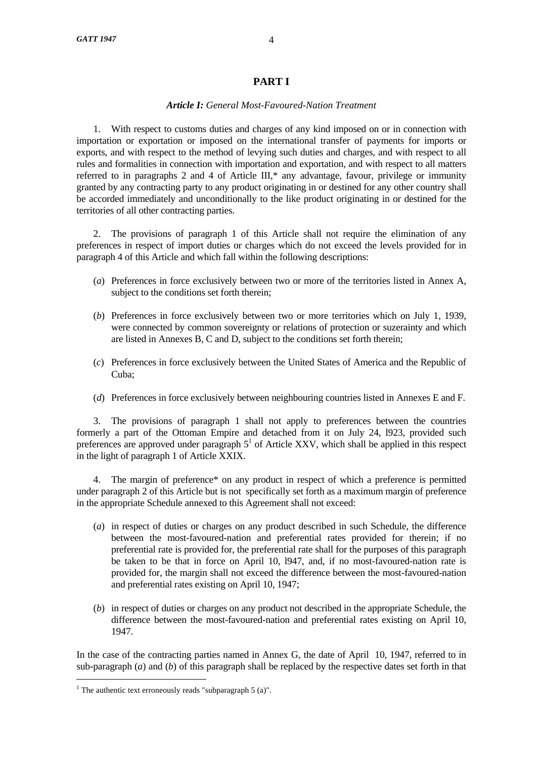# <span id="page-3-0"></span>**PART I**

### <span id="page-3-1"></span>*Article I: General Most-Favoured-Nation Treatment*

 1. With respect to customs duties and charges of any kind imposed on or in connection with importation or exportation or imposed on the international transfer of payments for imports or exports, and with respect to the method of levying such duties and charges, and with respect to all rules and formalities in connection with importation and exportation, and with respect to all matters referred to in paragraphs 2 and 4 of Article III,\* any advantage, favour, privilege or immunity granted by any contracting party to any product originating in or destined for any other country shall be accorded immediately and unconditionally to the like product originating in or destined for the territories of all other contracting parties.

 2. The provisions of paragraph 1 of this Article shall not require the elimination of any preferences in respect of import duties or charges which do not exceed the levels provided for in paragraph 4 of this Article and which fall within the following descriptions:

- (*a*) Preferences in force exclusively between two or more of the territories listed in Annex A, subject to the conditions set forth therein;
- (*b*) Preferences in force exclusively between two or more territories which on July 1, 1939, were connected by common sovereignty or relations of protection or suzerainty and which are listed in Annexes B, C and D, subject to the conditions set forth therein;
- (*c*) Preferences in force exclusively between the United States of America and the Republic of Cuba;
- (*d*) Preferences in force exclusively between neighbouring countries listed in Annexes E and F.

 3. The provisions of paragraph 1 shall not apply to preferences between the countries formerly a part of the Ottoman Empire and detached from it on July 24, l923, provided such preferences are approved under paragraph  $5<sup>1</sup>$  of Article XXV, which shall be applied in this respect in the light of paragraph 1 of Article XXIX.

 4. The margin of preference\* on any product in respect of which a preference is permitted under paragraph 2 of this Article but is not specifically set forth as a maximum margin of preference in the appropriate Schedule annexed to this Agreement shall not exceed:

- (*a*) in respect of duties or charges on any product described in such Schedule, the difference between the most-favoured-nation and preferential rates provided for therein; if no preferential rate is provided for, the preferential rate shall for the purposes of this paragraph be taken to be that in force on April 10, l947, and, if no most-favoured-nation rate is provided for, the margin shall not exceed the difference between the most-favoured-nation and preferential rates existing on April 10, 1947;
- (*b*) in respect of duties or charges on any product not described in the appropriate Schedule, the difference between the most-favoured-nation and preferential rates existing on April 10, 1947.

In the case of the contracting parties named in Annex G, the date of April 10, 1947, referred to in sub-paragraph (*a*) and (*b*) of this paragraph shall be replaced by the respective dates set forth in that

 $\overline{a}$ 

<sup>&</sup>lt;sup>1</sup> The authentic text erroneously reads "subparagraph 5 (a)".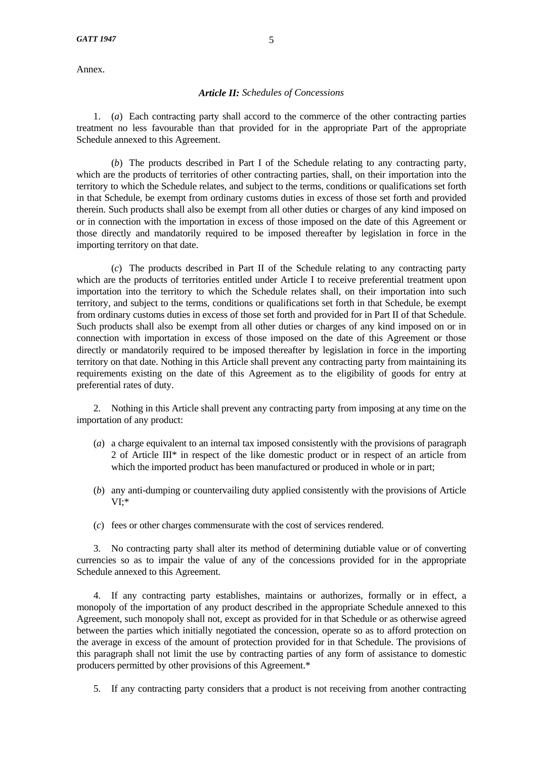Annex.

## <span id="page-4-0"></span>*Article II: Schedules of Concessions*

 1. (*a*) Each contracting party shall accord to the commerce of the other contracting parties treatment no less favourable than that provided for in the appropriate Part of the appropriate Schedule annexed to this Agreement.

 (*b*) The products described in Part I of the Schedule relating to any contracting party, which are the products of territories of other contracting parties, shall, on their importation into the territory to which the Schedule relates, and subject to the terms, conditions or qualifications set forth in that Schedule, be exempt from ordinary customs duties in excess of those set forth and provided therein. Such products shall also be exempt from all other duties or charges of any kind imposed on or in connection with the importation in excess of those imposed on the date of this Agreement or those directly and mandatorily required to be imposed thereafter by legislation in force in the importing territory on that date.

 (*c*) The products described in Part II of the Schedule relating to any contracting party which are the products of territories entitled under Article I to receive preferential treatment upon importation into the territory to which the Schedule relates shall, on their importation into such territory, and subject to the terms, conditions or qualifications set forth in that Schedule, be exempt from ordinary customs duties in excess of those set forth and provided for in Part II of that Schedule. Such products shall also be exempt from all other duties or charges of any kind imposed on or in connection with importation in excess of those imposed on the date of this Agreement or those directly or mandatorily required to be imposed thereafter by legislation in force in the importing territory on that date. Nothing in this Article shall prevent any contracting party from maintaining its requirements existing on the date of this Agreement as to the eligibility of goods for entry at preferential rates of duty.

 2. Nothing in this Article shall prevent any contracting party from imposing at any time on the importation of any product:

- (*a*) a charge equivalent to an internal tax imposed consistently with the provisions of paragraph 2 of Article III\* in respect of the like domestic product or in respect of an article from which the imported product has been manufactured or produced in whole or in part;
- (*b*) any anti-dumping or countervailing duty applied consistently with the provisions of Article VI;\*
- (*c*) fees or other charges commensurate with the cost of services rendered.

 3. No contracting party shall alter its method of determining dutiable value or of converting currencies so as to impair the value of any of the concessions provided for in the appropriate Schedule annexed to this Agreement.

 4. If any contracting party establishes, maintains or authorizes, formally or in effect, a monopoly of the importation of any product described in the appropriate Schedule annexed to this Agreement, such monopoly shall not, except as provided for in that Schedule or as otherwise agreed between the parties which initially negotiated the concession, operate so as to afford protection on the average in excess of the amount of protection provided for in that Schedule. The provisions of this paragraph shall not limit the use by contracting parties of any form of assistance to domestic producers permitted by other provisions of this Agreement.\*

5. If any contracting party considers that a product is not receiving from another contracting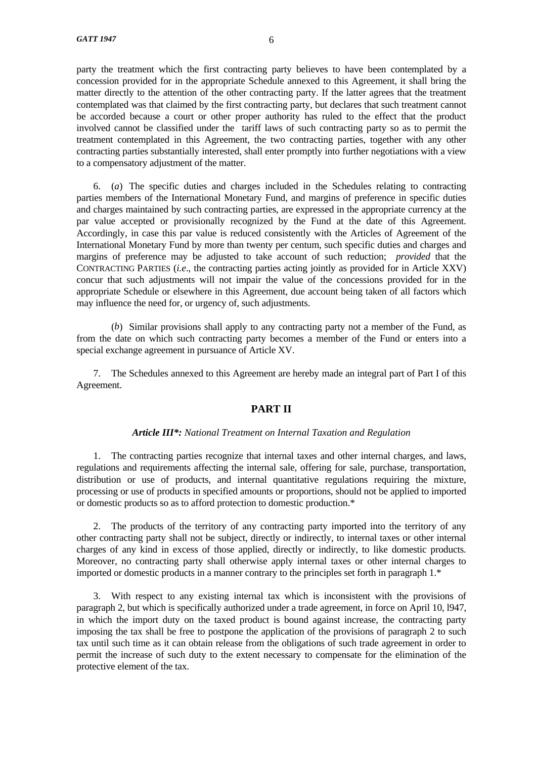party the treatment which the first contracting party believes to have been contemplated by a concession provided for in the appropriate Schedule annexed to this Agreement, it shall bring the matter directly to the attention of the other contracting party. If the latter agrees that the treatment contemplated was that claimed by the first contracting party, but declares that such treatment cannot be accorded because a court or other proper authority has ruled to the effect that the product involved cannot be classified under the tariff laws of such contracting party so as to permit the treatment contemplated in this Agreement, the two contracting parties, together with any other contracting parties substantially interested, shall enter promptly into further negotiations with a view to a compensatory adjustment of the matter.

 6. (*a*) The specific duties and charges included in the Schedules relating to contracting parties members of the International Monetary Fund, and margins of preference in specific duties and charges maintained by such contracting parties, are expressed in the appropriate currency at the par value accepted or provisionally recognized by the Fund at the date of this Agreement. Accordingly, in case this par value is reduced consistently with the Articles of Agreement of the International Monetary Fund by more than twenty per centum, such specific duties and charges and margins of preference may be adjusted to take account of such reduction; *provided* that the CONTRACTING PARTIES (*i.e*., the contracting parties acting jointly as provided for in Article XXV) concur that such adjustments will not impair the value of the concessions provided for in the appropriate Schedule or elsewhere in this Agreement, due account being taken of all factors which may influence the need for, or urgency of, such adjustments.

 (*b*) Similar provisions shall apply to any contracting party not a member of the Fund, as from the date on which such contracting party becomes a member of the Fund or enters into a special exchange agreement in pursuance of Article XV.

 7. The Schedules annexed to this Agreement are hereby made an integral part of Part I of this Agreement.

# <span id="page-5-0"></span>**PART II**

#### <span id="page-5-1"></span>*Article III\*: National Treatment on Internal Taxation and Regulation*

 1. The contracting parties recognize that internal taxes and other internal charges, and laws, regulations and requirements affecting the internal sale, offering for sale, purchase, transportation, distribution or use of products, and internal quantitative regulations requiring the mixture, processing or use of products in specified amounts or proportions, should not be applied to imported or domestic products so as to afford protection to domestic production.\*

 2. The products of the territory of any contracting party imported into the territory of any other contracting party shall not be subject, directly or indirectly, to internal taxes or other internal charges of any kind in excess of those applied, directly or indirectly, to like domestic products. Moreover, no contracting party shall otherwise apply internal taxes or other internal charges to imported or domestic products in a manner contrary to the principles set forth in paragraph 1.\*

 3. With respect to any existing internal tax which is inconsistent with the provisions of paragraph 2, but which is specifically authorized under a trade agreement, in force on April 10, l947, in which the import duty on the taxed product is bound against increase, the contracting party imposing the tax shall be free to postpone the application of the provisions of paragraph 2 to such tax until such time as it can obtain release from the obligations of such trade agreement in order to permit the increase of such duty to the extent necessary to compensate for the elimination of the protective element of the tax.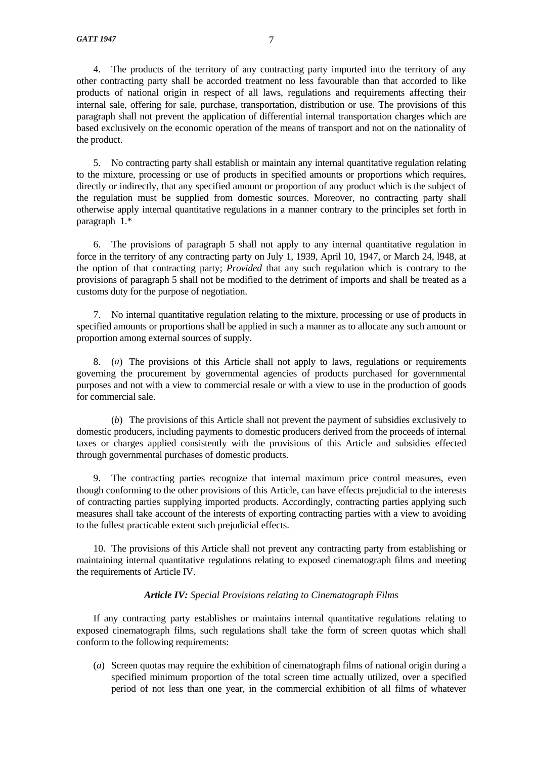4. The products of the territory of any contracting party imported into the territory of any other contracting party shall be accorded treatment no less favourable than that accorded to like products of national origin in respect of all laws, regulations and requirements affecting their internal sale, offering for sale, purchase, transportation, distribution or use. The provisions of this paragraph shall not prevent the application of differential internal transportation charges which are based exclusively on the economic operation of the means of transport and not on the nationality of the product.

 5. No contracting party shall establish or maintain any internal quantitative regulation relating to the mixture, processing or use of products in specified amounts or proportions which requires, directly or indirectly, that any specified amount or proportion of any product which is the subject of the regulation must be supplied from domestic sources. Moreover, no contracting party shall otherwise apply internal quantitative regulations in a manner contrary to the principles set forth in paragraph 1.\*

 6. The provisions of paragraph 5 shall not apply to any internal quantitative regulation in force in the territory of any contracting party on July 1, 1939, April 10, 1947, or March 24, l948, at the option of that contracting party; *Provided* that any such regulation which is contrary to the provisions of paragraph 5 shall not be modified to the detriment of imports and shall be treated as a customs duty for the purpose of negotiation.

 7. No internal quantitative regulation relating to the mixture, processing or use of products in specified amounts or proportions shall be applied in such a manner as to allocate any such amount or proportion among external sources of supply.

 8. (*a*) The provisions of this Article shall not apply to laws, regulations or requirements governing the procurement by governmental agencies of products purchased for governmental purposes and not with a view to commercial resale or with a view to use in the production of goods for commercial sale.

 (*b*) The provisions of this Article shall not prevent the payment of subsidies exclusively to domestic producers, including payments to domestic producers derived from the proceeds of internal taxes or charges applied consistently with the provisions of this Article and subsidies effected through governmental purchases of domestic products.

 9. The contracting parties recognize that internal maximum price control measures, even though conforming to the other provisions of this Article, can have effects prejudicial to the interests of contracting parties supplying imported products. Accordingly, contracting parties applying such measures shall take account of the interests of exporting contracting parties with a view to avoiding to the fullest practicable extent such prejudicial effects.

 10. The provisions of this Article shall not prevent any contracting party from establishing or maintaining internal quantitative regulations relating to exposed cinematograph films and meeting the requirements of Article IV.

# <span id="page-6-0"></span>*Article IV: Special Provisions relating to Cinematograph Films*

 If any contracting party establishes or maintains internal quantitative regulations relating to exposed cinematograph films, such regulations shall take the form of screen quotas which shall conform to the following requirements:

 (*a*) Screen quotas may require the exhibition of cinematograph films of national origin during a specified minimum proportion of the total screen time actually utilized, over a specified period of not less than one year, in the commercial exhibition of all films of whatever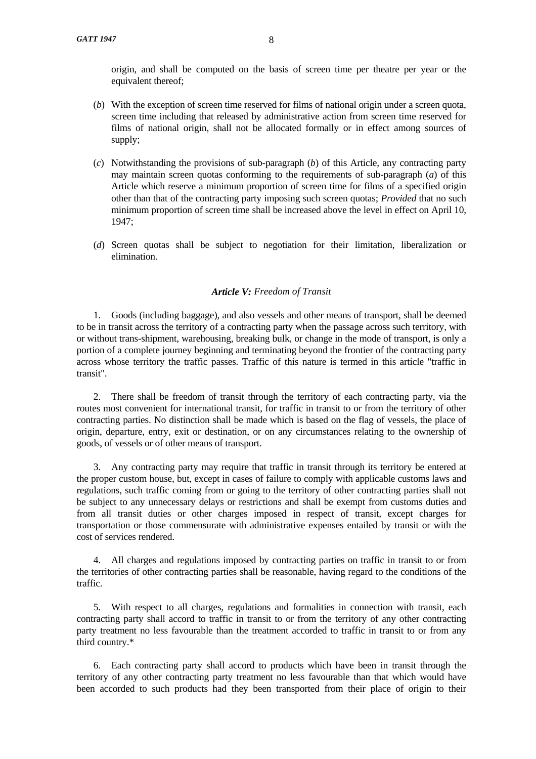origin, and shall be computed on the basis of screen time per theatre per year or the equivalent thereof;

- (*b*) With the exception of screen time reserved for films of national origin under a screen quota, screen time including that released by administrative action from screen time reserved for films of national origin, shall not be allocated formally or in effect among sources of supply;
- (*c*) Notwithstanding the provisions of sub-paragraph (*b*) of this Article, any contracting party may maintain screen quotas conforming to the requirements of sub-paragraph (*a*) of this Article which reserve a minimum proportion of screen time for films of a specified origin other than that of the contracting party imposing such screen quotas; *Provided* that no such minimum proportion of screen time shall be increased above the level in effect on April 10, 1947;
- (*d*) Screen quotas shall be subject to negotiation for their limitation, liberalization or elimination.

### <span id="page-7-0"></span>*Article V: Freedom of Transit*

 1. Goods (including baggage), and also vessels and other means of transport, shall be deemed to be in transit across the territory of a contracting party when the passage across such territory, with or without trans-shipment, warehousing, breaking bulk, or change in the mode of transport, is only a portion of a complete journey beginning and terminating beyond the frontier of the contracting party across whose territory the traffic passes. Traffic of this nature is termed in this article "traffic in transit".

 2. There shall be freedom of transit through the territory of each contracting party, via the routes most convenient for international transit, for traffic in transit to or from the territory of other contracting parties. No distinction shall be made which is based on the flag of vessels, the place of origin, departure, entry, exit or destination, or on any circumstances relating to the ownership of goods, of vessels or of other means of transport.

 3. Any contracting party may require that traffic in transit through its territory be entered at the proper custom house, but, except in cases of failure to comply with applicable customs laws and regulations, such traffic coming from or going to the territory of other contracting parties shall not be subject to any unnecessary delays or restrictions and shall be exempt from customs duties and from all transit duties or other charges imposed in respect of transit, except charges for transportation or those commensurate with administrative expenses entailed by transit or with the cost of services rendered.

 4. All charges and regulations imposed by contracting parties on traffic in transit to or from the territories of other contracting parties shall be reasonable, having regard to the conditions of the traffic.

 5. With respect to all charges, regulations and formalities in connection with transit, each contracting party shall accord to traffic in transit to or from the territory of any other contracting party treatment no less favourable than the treatment accorded to traffic in transit to or from any third country.\*

 6. Each contracting party shall accord to products which have been in transit through the territory of any other contracting party treatment no less favourable than that which would have been accorded to such products had they been transported from their place of origin to their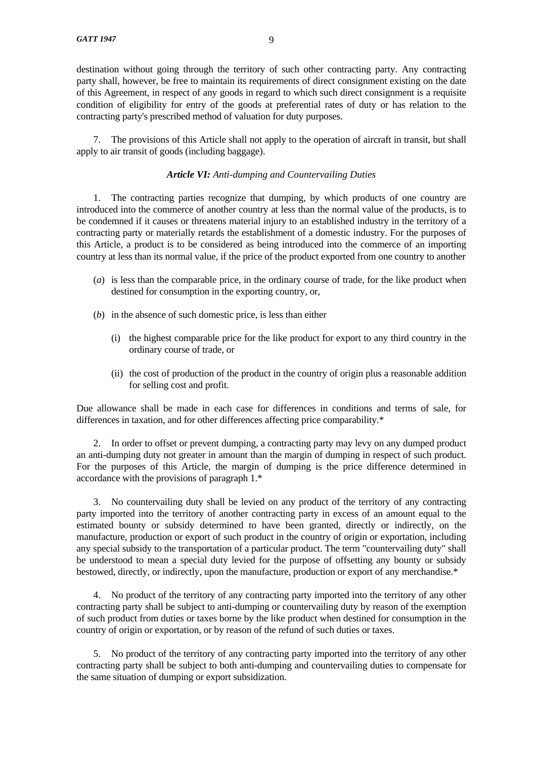destination without going through the territory of such other contracting party. Any contracting party shall, however, be free to maintain its requirements of direct consignment existing on the date of this Agreement, in respect of any goods in regard to which such direct consignment is a requisite condition of eligibility for entry of the goods at preferential rates of duty or has relation to the contracting party's prescribed method of valuation for duty purposes.

 7. The provisions of this Article shall not apply to the operation of aircraft in transit, but shall apply to air transit of goods (including baggage).

### <span id="page-8-0"></span>*Article VI: Anti-dumping and Countervailing Duties*

 1. The contracting parties recognize that dumping, by which products of one country are introduced into the commerce of another country at less than the normal value of the products, is to be condemned if it causes or threatens material injury to an established industry in the territory of a contracting party or materially retards the establishment of a domestic industry. For the purposes of this Article, a product is to be considered as being introduced into the commerce of an importing country at less than its normal value, if the price of the product exported from one country to another

- (*a*) is less than the comparable price, in the ordinary course of trade, for the like product when destined for consumption in the exporting country, or,
- (*b*) in the absence of such domestic price, is less than either
	- (i) the highest comparable price for the like product for export to any third country in the ordinary course of trade, or
	- (ii) the cost of production of the product in the country of origin plus a reasonable addition for selling cost and profit.

Due allowance shall be made in each case for differences in conditions and terms of sale, for differences in taxation, and for other differences affecting price comparability.\*

 2. In order to offset or prevent dumping, a contracting party may levy on any dumped product an anti-dumping duty not greater in amount than the margin of dumping in respect of such product. For the purposes of this Article, the margin of dumping is the price difference determined in accordance with the provisions of paragraph 1.\*

 3. No countervailing duty shall be levied on any product of the territory of any contracting party imported into the territory of another contracting party in excess of an amount equal to the estimated bounty or subsidy determined to have been granted, directly or indirectly, on the manufacture, production or export of such product in the country of origin or exportation, including any special subsidy to the transportation of a particular product. The term "countervailing duty" shall be understood to mean a special duty levied for the purpose of offsetting any bounty or subsidy bestowed, directly, or indirectly, upon the manufacture, production or export of any merchandise.\*

 4. No product of the territory of any contracting party imported into the territory of any other contracting party shall be subject to anti-dumping or countervailing duty by reason of the exemption of such product from duties or taxes borne by the like product when destined for consumption in the country of origin or exportation, or by reason of the refund of such duties or taxes.

 5. No product of the territory of any contracting party imported into the territory of any other contracting party shall be subject to both anti-dumping and countervailing duties to compensate for the same situation of dumping or export subsidization.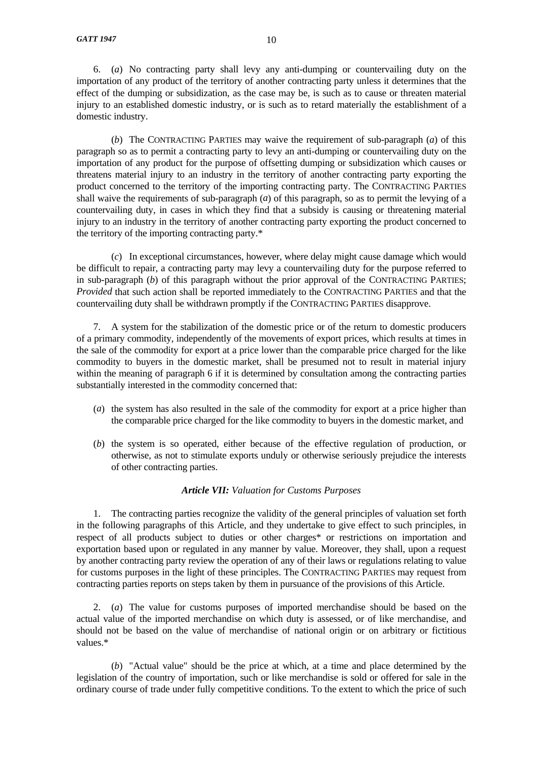6. (*a*) No contracting party shall levy any anti-dumping or countervailing duty on the importation of any product of the territory of another contracting party unless it determines that the effect of the dumping or subsidization, as the case may be, is such as to cause or threaten material injury to an established domestic industry, or is such as to retard materially the establishment of a domestic industry.

 (*b*) The CONTRACTING PARTIES may waive the requirement of sub-paragraph (*a*) of this paragraph so as to permit a contracting party to levy an anti-dumping or countervailing duty on the importation of any product for the purpose of offsetting dumping or subsidization which causes or threatens material injury to an industry in the territory of another contracting party exporting the product concerned to the territory of the importing contracting party. The CONTRACTING PARTIES shall waive the requirements of sub-paragraph (*a*) of this paragraph, so as to permit the levying of a countervailing duty, in cases in which they find that a subsidy is causing or threatening material injury to an industry in the territory of another contracting party exporting the product concerned to the territory of the importing contracting party.\*

 (*c*) In exceptional circumstances, however, where delay might cause damage which would be difficult to repair, a contracting party may levy a countervailing duty for the purpose referred to in sub-paragraph (*b*) of this paragraph without the prior approval of the CONTRACTING PARTIES; *Provided* that such action shall be reported immediately to the CONTRACTING PARTIES and that the countervailing duty shall be withdrawn promptly if the CONTRACTING PARTIES disapprove.

 7. A system for the stabilization of the domestic price or of the return to domestic producers of a primary commodity, independently of the movements of export prices, which results at times in the sale of the commodity for export at a price lower than the comparable price charged for the like commodity to buyers in the domestic market, shall be presumed not to result in material injury within the meaning of paragraph 6 if it is determined by consultation among the contracting parties substantially interested in the commodity concerned that:

- (*a*) the system has also resulted in the sale of the commodity for export at a price higher than the comparable price charged for the like commodity to buyers in the domestic market, and
- (*b*) the system is so operated, either because of the effective regulation of production, or otherwise, as not to stimulate exports unduly or otherwise seriously prejudice the interests of other contracting parties.

### <span id="page-9-0"></span>*Article VII: Valuation for Customs Purposes*

 1. The contracting parties recognize the validity of the general principles of valuation set forth in the following paragraphs of this Article, and they undertake to give effect to such principles, in respect of all products subject to duties or other charges\* or restrictions on importation and exportation based upon or regulated in any manner by value. Moreover, they shall, upon a request by another contracting party review the operation of any of their laws or regulations relating to value for customs purposes in the light of these principles. The CONTRACTING PARTIES may request from contracting parties reports on steps taken by them in pursuance of the provisions of this Article.

 2. (*a*) The value for customs purposes of imported merchandise should be based on the actual value of the imported merchandise on which duty is assessed, or of like merchandise, and should not be based on the value of merchandise of national origin or on arbitrary or fictitious values.\*

 (*b*) "Actual value" should be the price at which, at a time and place determined by the legislation of the country of importation, such or like merchandise is sold or offered for sale in the ordinary course of trade under fully competitive conditions. To the extent to which the price of such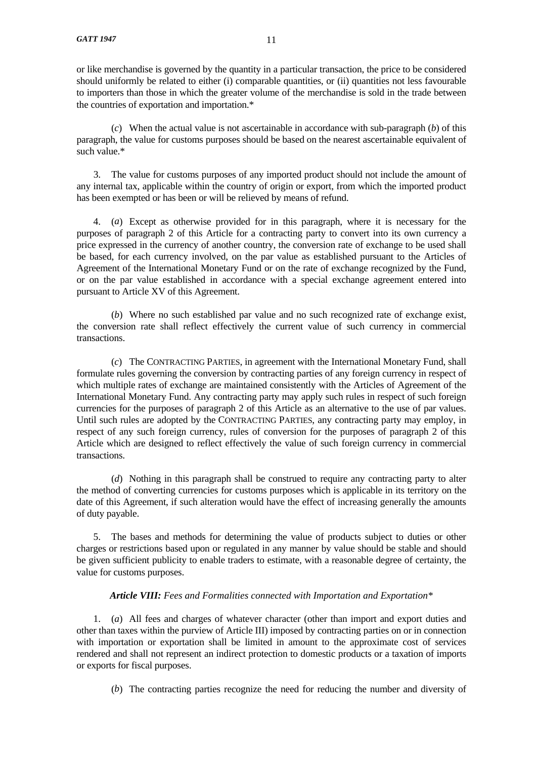or like merchandise is governed by the quantity in a particular transaction, the price to be considered should uniformly be related to either (i) comparable quantities, or (ii) quantities not less favourable to importers than those in which the greater volume of the merchandise is sold in the trade between the countries of exportation and importation.\*

 (*c*) When the actual value is not ascertainable in accordance with sub-paragraph (*b*) of this paragraph, the value for customs purposes should be based on the nearest ascertainable equivalent of such value.\*

 3. The value for customs purposes of any imported product should not include the amount of any internal tax, applicable within the country of origin or export, from which the imported product has been exempted or has been or will be relieved by means of refund.

 4. (*a*) Except as otherwise provided for in this paragraph, where it is necessary for the purposes of paragraph 2 of this Article for a contracting party to convert into its own currency a price expressed in the currency of another country, the conversion rate of exchange to be used shall be based, for each currency involved, on the par value as established pursuant to the Articles of Agreement of the International Monetary Fund or on the rate of exchange recognized by the Fund, or on the par value established in accordance with a special exchange agreement entered into pursuant to Article XV of this Agreement.

 (*b*) Where no such established par value and no such recognized rate of exchange exist, the conversion rate shall reflect effectively the current value of such currency in commercial transactions.

 (*c*) The CONTRACTING PARTIES, in agreement with the International Monetary Fund, shall formulate rules governing the conversion by contracting parties of any foreign currency in respect of which multiple rates of exchange are maintained consistently with the Articles of Agreement of the International Monetary Fund. Any contracting party may apply such rules in respect of such foreign currencies for the purposes of paragraph 2 of this Article as an alternative to the use of par values. Until such rules are adopted by the CONTRACTING PARTIES, any contracting party may employ, in respect of any such foreign currency, rules of conversion for the purposes of paragraph 2 of this Article which are designed to reflect effectively the value of such foreign currency in commercial transactions.

 (*d*) Nothing in this paragraph shall be construed to require any contracting party to alter the method of converting currencies for customs purposes which is applicable in its territory on the date of this Agreement, if such alteration would have the effect of increasing generally the amounts of duty payable.

 5. The bases and methods for determining the value of products subject to duties or other charges or restrictions based upon or regulated in any manner by value should be stable and should be given sufficient publicity to enable traders to estimate, with a reasonable degree of certainty, the value for customs purposes.

# <span id="page-10-0"></span>*Article VIII: Fees and Formalities connected with Importation and Exportation\**

 1. (*a*) All fees and charges of whatever character (other than import and export duties and other than taxes within the purview of Article III) imposed by contracting parties on or in connection with importation or exportation shall be limited in amount to the approximate cost of services rendered and shall not represent an indirect protection to domestic products or a taxation of imports or exports for fiscal purposes.

(*b*) The contracting parties recognize the need for reducing the number and diversity of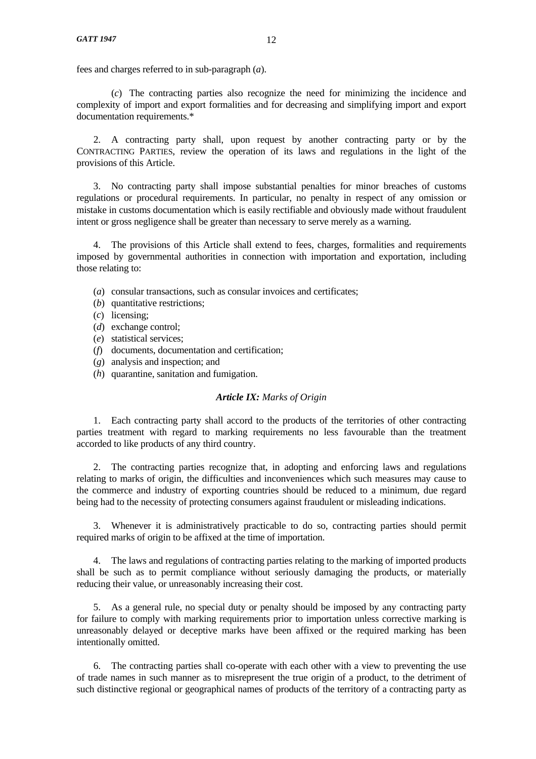fees and charges referred to in sub-paragraph (*a*).

 (*c*) The contracting parties also recognize the need for minimizing the incidence and complexity of import and export formalities and for decreasing and simplifying import and export documentation requirements.\*

 2. A contracting party shall, upon request by another contracting party or by the CONTRACTING PARTIES, review the operation of its laws and regulations in the light of the provisions of this Article.

 3. No contracting party shall impose substantial penalties for minor breaches of customs regulations or procedural requirements. In particular, no penalty in respect of any omission or mistake in customs documentation which is easily rectifiable and obviously made without fraudulent intent or gross negligence shall be greater than necessary to serve merely as a warning.

 4. The provisions of this Article shall extend to fees, charges, formalities and requirements imposed by governmental authorities in connection with importation and exportation, including those relating to:

(*a*) consular transactions, such as consular invoices and certificates;

- (*b*) quantitative restrictions;
- (*c*) licensing;
- (*d*) exchange control;
- (*e*) statistical services;
- (*f*) documents, documentation and certification;
- (*g*) analysis and inspection; and
- (*h*) quarantine, sanitation and fumigation.

#### <span id="page-11-0"></span>*Article IX: Marks of Origin*

 1. Each contracting party shall accord to the products of the territories of other contracting parties treatment with regard to marking requirements no less favourable than the treatment accorded to like products of any third country.

 2. The contracting parties recognize that, in adopting and enforcing laws and regulations relating to marks of origin, the difficulties and inconveniences which such measures may cause to the commerce and industry of exporting countries should be reduced to a minimum, due regard being had to the necessity of protecting consumers against fraudulent or misleading indications.

 3. Whenever it is administratively practicable to do so, contracting parties should permit required marks of origin to be affixed at the time of importation.

 4. The laws and regulations of contracting parties relating to the marking of imported products shall be such as to permit compliance without seriously damaging the products, or materially reducing their value, or unreasonably increasing their cost.

 5. As a general rule, no special duty or penalty should be imposed by any contracting party for failure to comply with marking requirements prior to importation unless corrective marking is unreasonably delayed or deceptive marks have been affixed or the required marking has been intentionally omitted.

 6. The contracting parties shall co-operate with each other with a view to preventing the use of trade names in such manner as to misrepresent the true origin of a product, to the detriment of such distinctive regional or geographical names of products of the territory of a contracting party as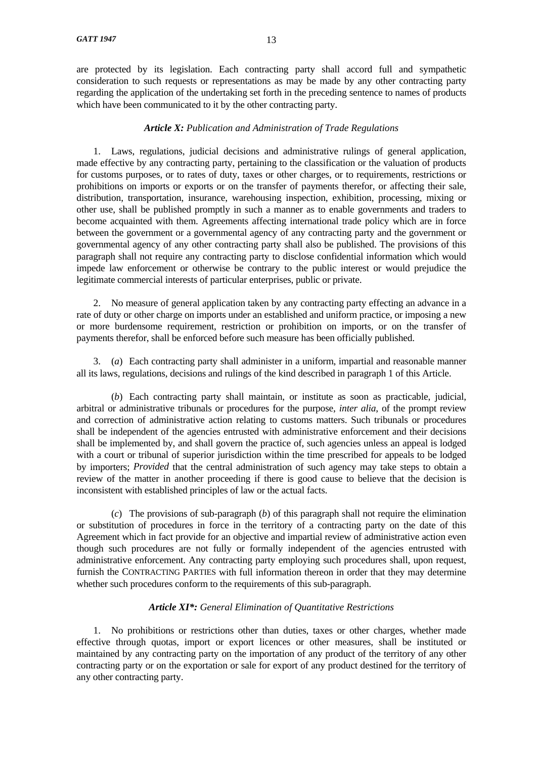are protected by its legislation. Each contracting party shall accord full and sympathetic consideration to such requests or representations as may be made by any other contracting party regarding the application of the undertaking set forth in the preceding sentence to names of products which have been communicated to it by the other contracting party.

## <span id="page-12-0"></span>*Article X: Publication and Administration of Trade Regulations*

 1. Laws, regulations, judicial decisions and administrative rulings of general application, made effective by any contracting party, pertaining to the classification or the valuation of products for customs purposes, or to rates of duty, taxes or other charges, or to requirements, restrictions or prohibitions on imports or exports or on the transfer of payments therefor, or affecting their sale, distribution, transportation, insurance, warehousing inspection, exhibition, processing, mixing or other use, shall be published promptly in such a manner as to enable governments and traders to become acquainted with them. Agreements affecting international trade policy which are in force between the government or a governmental agency of any contracting party and the government or governmental agency of any other contracting party shall also be published. The provisions of this paragraph shall not require any contracting party to disclose confidential information which would impede law enforcement or otherwise be contrary to the public interest or would prejudice the legitimate commercial interests of particular enterprises, public or private.

 2. No measure of general application taken by any contracting party effecting an advance in a rate of duty or other charge on imports under an established and uniform practice, or imposing a new or more burdensome requirement, restriction or prohibition on imports, or on the transfer of payments therefor, shall be enforced before such measure has been officially published.

 3. (*a*) Each contracting party shall administer in a uniform, impartial and reasonable manner all its laws, regulations, decisions and rulings of the kind described in paragraph 1 of this Article.

 (*b*) Each contracting party shall maintain, or institute as soon as practicable, judicial, arbitral or administrative tribunals or procedures for the purpose, *inter alia*, of the prompt review and correction of administrative action relating to customs matters. Such tribunals or procedures shall be independent of the agencies entrusted with administrative enforcement and their decisions shall be implemented by, and shall govern the practice of, such agencies unless an appeal is lodged with a court or tribunal of superior jurisdiction within the time prescribed for appeals to be lodged by importers; *Provided* that the central administration of such agency may take steps to obtain a review of the matter in another proceeding if there is good cause to believe that the decision is inconsistent with established principles of law or the actual facts.

 (*c*) The provisions of sub-paragraph (*b*) of this paragraph shall not require the elimination or substitution of procedures in force in the territory of a contracting party on the date of this Agreement which in fact provide for an objective and impartial review of administrative action even though such procedures are not fully or formally independent of the agencies entrusted with administrative enforcement. Any contracting party employing such procedures shall, upon request, furnish the CONTRACTING PARTIES with full information thereon in order that they may determine whether such procedures conform to the requirements of this sub-paragraph.

### <span id="page-12-1"></span>*Article XI\*: General Elimination of Quantitative Restrictions*

 1. No prohibitions or restrictions other than duties, taxes or other charges, whether made effective through quotas, import or export licences or other measures, shall be instituted or maintained by any contracting party on the importation of any product of the territory of any other contracting party or on the exportation or sale for export of any product destined for the territory of any other contracting party.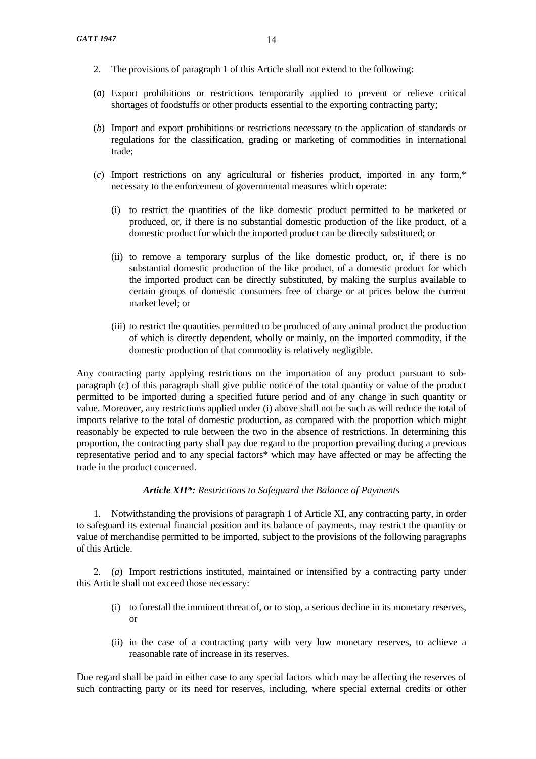- 2. The provisions of paragraph 1 of this Article shall not extend to the following:
- (*a*) Export prohibitions or restrictions temporarily applied to prevent or relieve critical shortages of foodstuffs or other products essential to the exporting contracting party;
- (*b*) Import and export prohibitions or restrictions necessary to the application of standards or regulations for the classification, grading or marketing of commodities in international trade;
- (*c*) Import restrictions on any agricultural or fisheries product, imported in any form,\* necessary to the enforcement of governmental measures which operate:
	- (i) to restrict the quantities of the like domestic product permitted to be marketed or produced, or, if there is no substantial domestic production of the like product, of a domestic product for which the imported product can be directly substituted; or
	- (ii) to remove a temporary surplus of the like domestic product, or, if there is no substantial domestic production of the like product, of a domestic product for which the imported product can be directly substituted, by making the surplus available to certain groups of domestic consumers free of charge or at prices below the current market level; or
	- (iii) to restrict the quantities permitted to be produced of any animal product the production of which is directly dependent, wholly or mainly, on the imported commodity, if the domestic production of that commodity is relatively negligible.

Any contracting party applying restrictions on the importation of any product pursuant to subparagraph (*c*) of this paragraph shall give public notice of the total quantity or value of the product permitted to be imported during a specified future period and of any change in such quantity or value. Moreover, any restrictions applied under (i) above shall not be such as will reduce the total of imports relative to the total of domestic production, as compared with the proportion which might reasonably be expected to rule between the two in the absence of restrictions. In determining this proportion, the contracting party shall pay due regard to the proportion prevailing during a previous representative period and to any special factors\* which may have affected or may be affecting the trade in the product concerned.

### <span id="page-13-0"></span>*Article XII\*: Restrictions to Safeguard the Balance of Payments*

 1. Notwithstanding the provisions of paragraph 1 of Article XI, any contracting party, in order to safeguard its external financial position and its balance of payments, may restrict the quantity or value of merchandise permitted to be imported, subject to the provisions of the following paragraphs of this Article.

 2. (*a*) Import restrictions instituted, maintained or intensified by a contracting party under this Article shall not exceed those necessary:

- (i) to forestall the imminent threat of, or to stop, a serious decline in its monetary reserves, or
- (ii) in the case of a contracting party with very low monetary reserves, to achieve a reasonable rate of increase in its reserves.

Due regard shall be paid in either case to any special factors which may be affecting the reserves of such contracting party or its need for reserves, including, where special external credits or other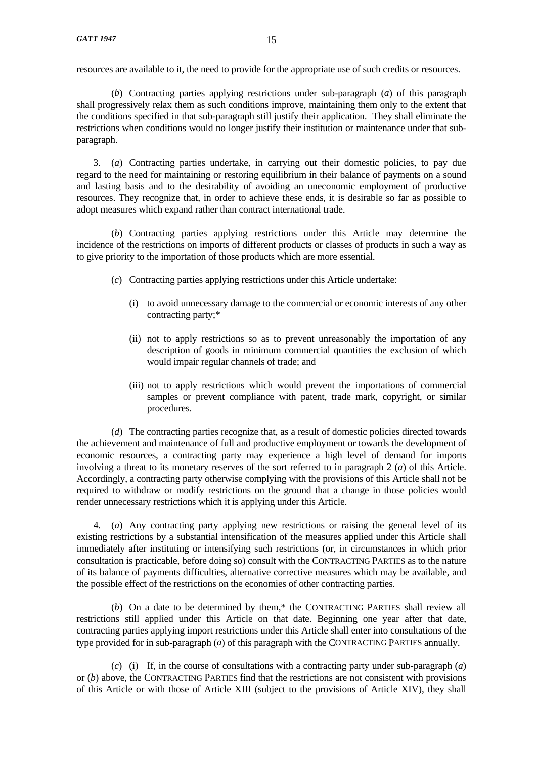resources are available to it, the need to provide for the appropriate use of such credits or resources.

 (*b*) Contracting parties applying restrictions under sub-paragraph (*a*) of this paragraph shall progressively relax them as such conditions improve, maintaining them only to the extent that the conditions specified in that sub-paragraph still justify their application. They shall eliminate the restrictions when conditions would no longer justify their institution or maintenance under that subparagraph.

 3. (*a*) Contracting parties undertake, in carrying out their domestic policies, to pay due regard to the need for maintaining or restoring equilibrium in their balance of payments on a sound and lasting basis and to the desirability of avoiding an uneconomic employment of productive resources. They recognize that, in order to achieve these ends, it is desirable so far as possible to adopt measures which expand rather than contract international trade.

 (*b*) Contracting parties applying restrictions under this Article may determine the incidence of the restrictions on imports of different products or classes of products in such a way as to give priority to the importation of those products which are more essential.

- (*c*) Contracting parties applying restrictions under this Article undertake:
	- (i) to avoid unnecessary damage to the commercial or economic interests of any other contracting party;\*
	- (ii) not to apply restrictions so as to prevent unreasonably the importation of any description of goods in minimum commercial quantities the exclusion of which would impair regular channels of trade; and
	- (iii) not to apply restrictions which would prevent the importations of commercial samples or prevent compliance with patent, trade mark, copyright, or similar procedures.

 (*d*) The contracting parties recognize that, as a result of domestic policies directed towards the achievement and maintenance of full and productive employment or towards the development of economic resources, a contracting party may experience a high level of demand for imports involving a threat to its monetary reserves of the sort referred to in paragraph 2 (*a*) of this Article. Accordingly, a contracting party otherwise complying with the provisions of this Article shall not be required to withdraw or modify restrictions on the ground that a change in those policies would render unnecessary restrictions which it is applying under this Article.

 4. (*a*) Any contracting party applying new restrictions or raising the general level of its existing restrictions by a substantial intensification of the measures applied under this Article shall immediately after instituting or intensifying such restrictions (or, in circumstances in which prior consultation is practicable, before doing so) consult with the CONTRACTING PARTIES as to the nature of its balance of payments difficulties, alternative corrective measures which may be available, and the possible effect of the restrictions on the economies of other contracting parties.

 (*b*) On a date to be determined by them,\* the CONTRACTING PARTIES shall review all restrictions still applied under this Article on that date. Beginning one year after that date, contracting parties applying import restrictions under this Article shall enter into consultations of the type provided for in sub-paragraph (*a*) of this paragraph with the CONTRACTING PARTIES annually.

 (*c*) (i) If, in the course of consultations with a contracting party under sub-paragraph (*a*) or (*b*) above, the CONTRACTING PARTIES find that the restrictions are not consistent with provisions of this Article or with those of Article XIII (subject to the provisions of Article XIV), they shall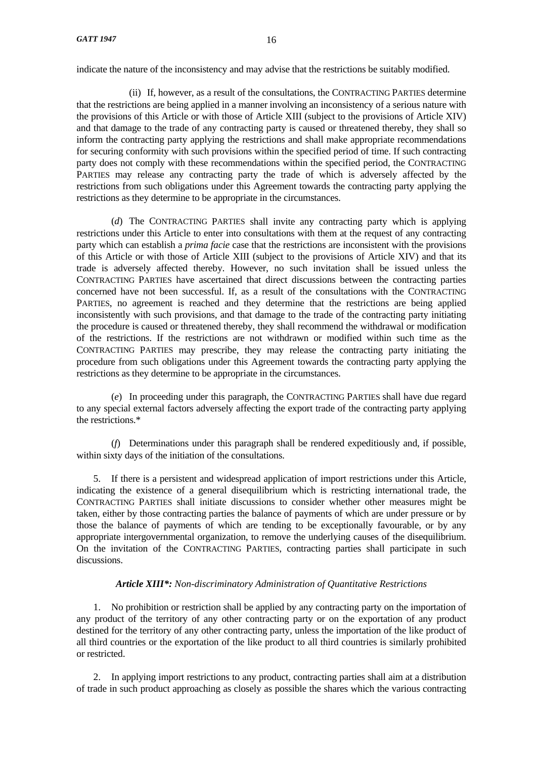indicate the nature of the inconsistency and may advise that the restrictions be suitably modified.

 (ii) If, however, as a result of the consultations, the CONTRACTING PARTIES determine that the restrictions are being applied in a manner involving an inconsistency of a serious nature with the provisions of this Article or with those of Article XIII (subject to the provisions of Article XIV) and that damage to the trade of any contracting party is caused or threatened thereby, they shall so inform the contracting party applying the restrictions and shall make appropriate recommendations for securing conformity with such provisions within the specified period of time. If such contracting party does not comply with these recommendations within the specified period, the CONTRACTING PARTIES may release any contracting party the trade of which is adversely affected by the restrictions from such obligations under this Agreement towards the contracting party applying the restrictions as they determine to be appropriate in the circumstances.

 (*d*) The CONTRACTING PARTIES shall invite any contracting party which is applying restrictions under this Article to enter into consultations with them at the request of any contracting party which can establish a *prima facie* case that the restrictions are inconsistent with the provisions of this Article or with those of Article XIII (subject to the provisions of Article XIV) and that its trade is adversely affected thereby. However, no such invitation shall be issued unless the CONTRACTING PARTIES have ascertained that direct discussions between the contracting parties concerned have not been successful. If, as a result of the consultations with the CONTRACTING PARTIES, no agreement is reached and they determine that the restrictions are being applied inconsistently with such provisions, and that damage to the trade of the contracting party initiating the procedure is caused or threatened thereby, they shall recommend the withdrawal or modification of the restrictions. If the restrictions are not withdrawn or modified within such time as the CONTRACTING PARTIES may prescribe, they may release the contracting party initiating the procedure from such obligations under this Agreement towards the contracting party applying the restrictions as they determine to be appropriate in the circumstances.

 (*e*) In proceeding under this paragraph, the CONTRACTING PARTIES shall have due regard to any special external factors adversely affecting the export trade of the contracting party applying the restrictions.\*

 (*f*) Determinations under this paragraph shall be rendered expeditiously and, if possible, within sixty days of the initiation of the consultations.

 5. If there is a persistent and widespread application of import restrictions under this Article, indicating the existence of a general disequilibrium which is restricting international trade, the CONTRACTING PARTIES shall initiate discussions to consider whether other measures might be taken, either by those contracting parties the balance of payments of which are under pressure or by those the balance of payments of which are tending to be exceptionally favourable, or by any appropriate intergovernmental organization, to remove the underlying causes of the disequilibrium. On the invitation of the CONTRACTING PARTIES, contracting parties shall participate in such discussions.

### <span id="page-15-0"></span>*Article XIII\*: Non-discriminatory Administration of Quantitative Restrictions*

 1. No prohibition or restriction shall be applied by any contracting party on the importation of any product of the territory of any other contracting party or on the exportation of any product destined for the territory of any other contracting party, unless the importation of the like product of all third countries or the exportation of the like product to all third countries is similarly prohibited or restricted.

 2. In applying import restrictions to any product, contracting parties shall aim at a distribution of trade in such product approaching as closely as possible the shares which the various contracting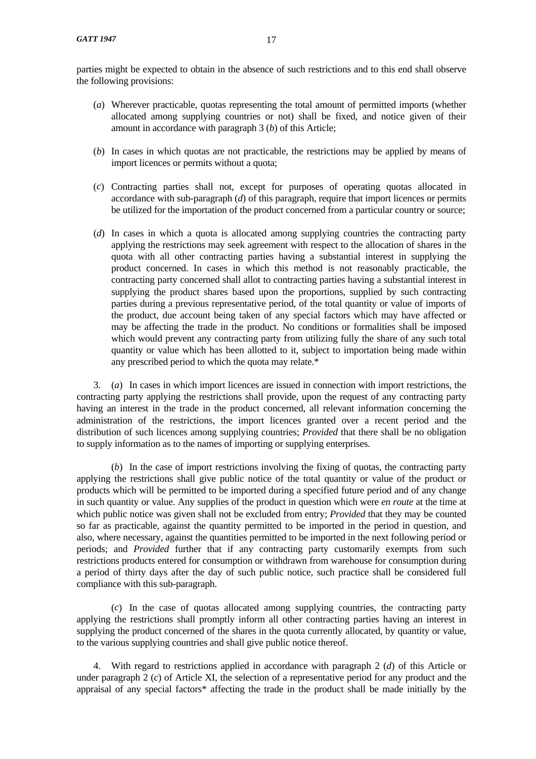parties might be expected to obtain in the absence of such restrictions and to this end shall observe the following provisions:

- (*a*) Wherever practicable, quotas representing the total amount of permitted imports (whether allocated among supplying countries or not) shall be fixed, and notice given of their amount in accordance with paragraph 3 (*b*) of this Article;
- (*b*) In cases in which quotas are not practicable, the restrictions may be applied by means of import licences or permits without a quota;
- (*c*) Contracting parties shall not, except for purposes of operating quotas allocated in accordance with sub-paragraph (*d*) of this paragraph, require that import licences or permits be utilized for the importation of the product concerned from a particular country or source;
- (*d*) In cases in which a quota is allocated among supplying countries the contracting party applying the restrictions may seek agreement with respect to the allocation of shares in the quota with all other contracting parties having a substantial interest in supplying the product concerned. In cases in which this method is not reasonably practicable, the contracting party concerned shall allot to contracting parties having a substantial interest in supplying the product shares based upon the proportions, supplied by such contracting parties during a previous representative period, of the total quantity or value of imports of the product, due account being taken of any special factors which may have affected or may be affecting the trade in the product. No conditions or formalities shall be imposed which would prevent any contracting party from utilizing fully the share of any such total quantity or value which has been allotted to it, subject to importation being made within any prescribed period to which the quota may relate.\*

 3. (*a*) In cases in which import licences are issued in connection with import restrictions, the contracting party applying the restrictions shall provide, upon the request of any contracting party having an interest in the trade in the product concerned, all relevant information concerning the administration of the restrictions, the import licences granted over a recent period and the distribution of such licences among supplying countries; *Provided* that there shall be no obligation to supply information as to the names of importing or supplying enterprises.

 (*b*) In the case of import restrictions involving the fixing of quotas, the contracting party applying the restrictions shall give public notice of the total quantity or value of the product or products which will be permitted to be imported during a specified future period and of any change in such quantity or value. Any supplies of the product in question which were *en route* at the time at which public notice was given shall not be excluded from entry; *Provided* that they may be counted so far as practicable, against the quantity permitted to be imported in the period in question, and also, where necessary, against the quantities permitted to be imported in the next following period or periods; and *Provided* further that if any contracting party customarily exempts from such restrictions products entered for consumption or withdrawn from warehouse for consumption during a period of thirty days after the day of such public notice, such practice shall be considered full compliance with this sub-paragraph.

 (*c*) In the case of quotas allocated among supplying countries, the contracting party applying the restrictions shall promptly inform all other contracting parties having an interest in supplying the product concerned of the shares in the quota currently allocated, by quantity or value, to the various supplying countries and shall give public notice thereof.

 4. With regard to restrictions applied in accordance with paragraph 2 (*d*) of this Article or under paragraph 2 (*c*) of Article XI, the selection of a representative period for any product and the appraisal of any special factors\* affecting the trade in the product shall be made initially by the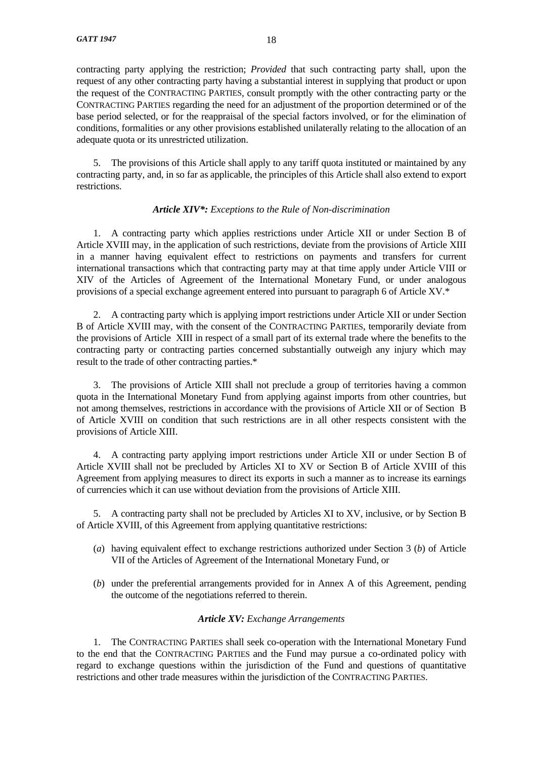contracting party applying the restriction; *Provided* that such contracting party shall, upon the request of any other contracting party having a substantial interest in supplying that product or upon the request of the CONTRACTING PARTIES, consult promptly with the other contracting party or the CONTRACTING PARTIES regarding the need for an adjustment of the proportion determined or of the base period selected, or for the reappraisal of the special factors involved, or for the elimination of conditions, formalities or any other provisions established unilaterally relating to the allocation of an adequate quota or its unrestricted utilization.

 5. The provisions of this Article shall apply to any tariff quota instituted or maintained by any contracting party, and, in so far as applicable, the principles of this Article shall also extend to export restrictions.

### <span id="page-17-0"></span>*Article XIV\*: Exceptions to the Rule of Non-discrimination*

 1. A contracting party which applies restrictions under Article XII or under Section B of Article XVIII may, in the application of such restrictions, deviate from the provisions of Article XIII in a manner having equivalent effect to restrictions on payments and transfers for current international transactions which that contracting party may at that time apply under Article VIII or XIV of the Articles of Agreement of the International Monetary Fund, or under analogous provisions of a special exchange agreement entered into pursuant to paragraph 6 of Article XV.\*

 2. A contracting party which is applying import restrictions under Article XII or under Section B of Article XVIII may, with the consent of the CONTRACTING PARTIES, temporarily deviate from the provisions of Article XIII in respect of a small part of its external trade where the benefits to the contracting party or contracting parties concerned substantially outweigh any injury which may result to the trade of other contracting parties.\*

 3. The provisions of Article XIII shall not preclude a group of territories having a common quota in the International Monetary Fund from applying against imports from other countries, but not among themselves, restrictions in accordance with the provisions of Article XII or of Section B of Article XVIII on condition that such restrictions are in all other respects consistent with the provisions of Article XIII.

 4. A contracting party applying import restrictions under Article XII or under Section B of Article XVIII shall not be precluded by Articles XI to XV or Section B of Article XVIII of this Agreement from applying measures to direct its exports in such a manner as to increase its earnings of currencies which it can use without deviation from the provisions of Article XIII.

 5. A contracting party shall not be precluded by Articles XI to XV, inclusive, or by Section B of Article XVIII, of this Agreement from applying quantitative restrictions:

- (*a*) having equivalent effect to exchange restrictions authorized under Section 3 (*b*) of Article VII of the Articles of Agreement of the International Monetary Fund, or
- (*b*) under the preferential arrangements provided for in Annex A of this Agreement, pending the outcome of the negotiations referred to therein.

### <span id="page-17-1"></span>*Article XV: Exchange Arrangements*

 1. The CONTRACTING PARTIES shall seek co-operation with the International Monetary Fund to the end that the CONTRACTING PARTIES and the Fund may pursue a co-ordinated policy with regard to exchange questions within the jurisdiction of the Fund and questions of quantitative restrictions and other trade measures within the jurisdiction of the CONTRACTING PARTIES.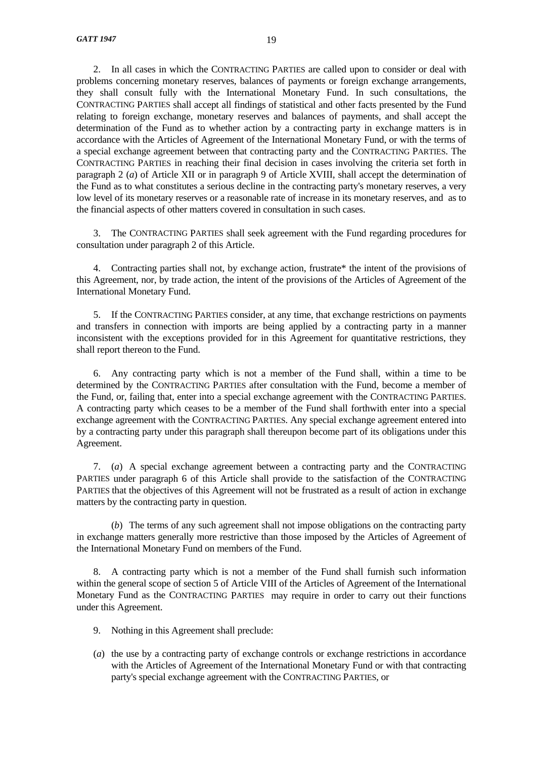2. In all cases in which the CONTRACTING PARTIES are called upon to consider or deal with problems concerning monetary reserves, balances of payments or foreign exchange arrangements, they shall consult fully with the International Monetary Fund. In such consultations, the CONTRACTING PARTIES shall accept all findings of statistical and other facts presented by the Fund relating to foreign exchange, monetary reserves and balances of payments, and shall accept the determination of the Fund as to whether action by a contracting party in exchange matters is in accordance with the Articles of Agreement of the International Monetary Fund, or with the terms of a special exchange agreement between that contracting party and the CONTRACTING PARTIES. The CONTRACTING PARTIES in reaching their final decision in cases involving the criteria set forth in paragraph 2 (*a*) of Article XII or in paragraph 9 of Article XVIII, shall accept the determination of the Fund as to what constitutes a serious decline in the contracting party's monetary reserves, a very low level of its monetary reserves or a reasonable rate of increase in its monetary reserves, and as to the financial aspects of other matters covered in consultation in such cases.

 3. The CONTRACTING PARTIES shall seek agreement with the Fund regarding procedures for consultation under paragraph 2 of this Article.

 4. Contracting parties shall not, by exchange action, frustrate\* the intent of the provisions of this Agreement, nor, by trade action, the intent of the provisions of the Articles of Agreement of the International Monetary Fund.

 5. If the CONTRACTING PARTIES consider, at any time, that exchange restrictions on payments and transfers in connection with imports are being applied by a contracting party in a manner inconsistent with the exceptions provided for in this Agreement for quantitative restrictions, they shall report thereon to the Fund.

 6. Any contracting party which is not a member of the Fund shall, within a time to be determined by the CONTRACTING PARTIES after consultation with the Fund, become a member of the Fund, or, failing that, enter into a special exchange agreement with the CONTRACTING PARTIES. A contracting party which ceases to be a member of the Fund shall forthwith enter into a special exchange agreement with the CONTRACTING PARTIES. Any special exchange agreement entered into by a contracting party under this paragraph shall thereupon become part of its obligations under this Agreement.

 7. (*a*) A special exchange agreement between a contracting party and the CONTRACTING PARTIES under paragraph 6 of this Article shall provide to the satisfaction of the CONTRACTING PARTIES that the objectives of this Agreement will not be frustrated as a result of action in exchange matters by the contracting party in question.

 (*b*) The terms of any such agreement shall not impose obligations on the contracting party in exchange matters generally more restrictive than those imposed by the Articles of Agreement of the International Monetary Fund on members of the Fund.

 8. A contracting party which is not a member of the Fund shall furnish such information within the general scope of section 5 of Article VIII of the Articles of Agreement of the International Monetary Fund as the CONTRACTING PARTIES may require in order to carry out their functions under this Agreement.

- 9. Nothing in this Agreement shall preclude:
- (*a*) the use by a contracting party of exchange controls or exchange restrictions in accordance with the Articles of Agreement of the International Monetary Fund or with that contracting party's special exchange agreement with the CONTRACTING PARTIES, or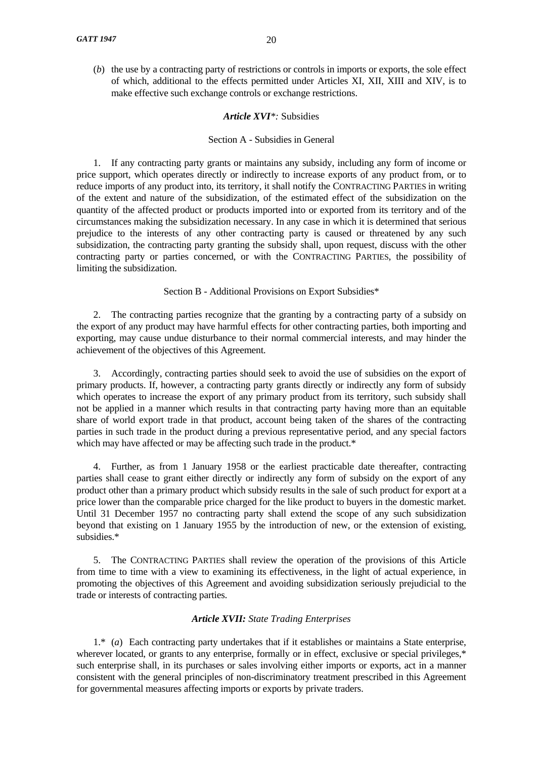(*b*) the use by a contracting party of restrictions or controls in imports or exports, the sole effect of which, additional to the effects permitted under Articles XI, XII, XIII and XIV, is to make effective such exchange controls or exchange restrictions.

#### <span id="page-19-0"></span>*Article XVI\*:* Subsidies

#### Section A - Subsidies in General

 1. If any contracting party grants or maintains any subsidy, including any form of income or price support, which operates directly or indirectly to increase exports of any product from, or to reduce imports of any product into, its territory, it shall notify the CONTRACTING PARTIES in writing of the extent and nature of the subsidization, of the estimated effect of the subsidization on the quantity of the affected product or products imported into or exported from its territory and of the circumstances making the subsidization necessary. In any case in which it is determined that serious prejudice to the interests of any other contracting party is caused or threatened by any such subsidization, the contracting party granting the subsidy shall, upon request, discuss with the other contracting party or parties concerned, or with the CONTRACTING PARTIES, the possibility of limiting the subsidization.

Section B - Additional Provisions on Export Subsidies\*

 2. The contracting parties recognize that the granting by a contracting party of a subsidy on the export of any product may have harmful effects for other contracting parties, both importing and exporting, may cause undue disturbance to their normal commercial interests, and may hinder the achievement of the objectives of this Agreement.

 3. Accordingly, contracting parties should seek to avoid the use of subsidies on the export of primary products. If, however, a contracting party grants directly or indirectly any form of subsidy which operates to increase the export of any primary product from its territory, such subsidy shall not be applied in a manner which results in that contracting party having more than an equitable share of world export trade in that product, account being taken of the shares of the contracting parties in such trade in the product during a previous representative period, and any special factors which may have affected or may be affecting such trade in the product.\*

 4. Further, as from 1 January 1958 or the earliest practicable date thereafter, contracting parties shall cease to grant either directly or indirectly any form of subsidy on the export of any product other than a primary product which subsidy results in the sale of such product for export at a price lower than the comparable price charged for the like product to buyers in the domestic market. Until 31 December 1957 no contracting party shall extend the scope of any such subsidization beyond that existing on 1 January 1955 by the introduction of new, or the extension of existing, subsidies.\*

 5. The CONTRACTING PARTIES shall review the operation of the provisions of this Article from time to time with a view to examining its effectiveness, in the light of actual experience, in promoting the objectives of this Agreement and avoiding subsidization seriously prejudicial to the trade or interests of contracting parties.

#### <span id="page-19-1"></span>*Article XVII: State Trading Enterprises*

 1.\* (*a*) Each contracting party undertakes that if it establishes or maintains a State enterprise, wherever located, or grants to any enterprise, formally or in effect, exclusive or special privileges,\* such enterprise shall, in its purchases or sales involving either imports or exports, act in a manner consistent with the general principles of non-discriminatory treatment prescribed in this Agreement for governmental measures affecting imports or exports by private traders.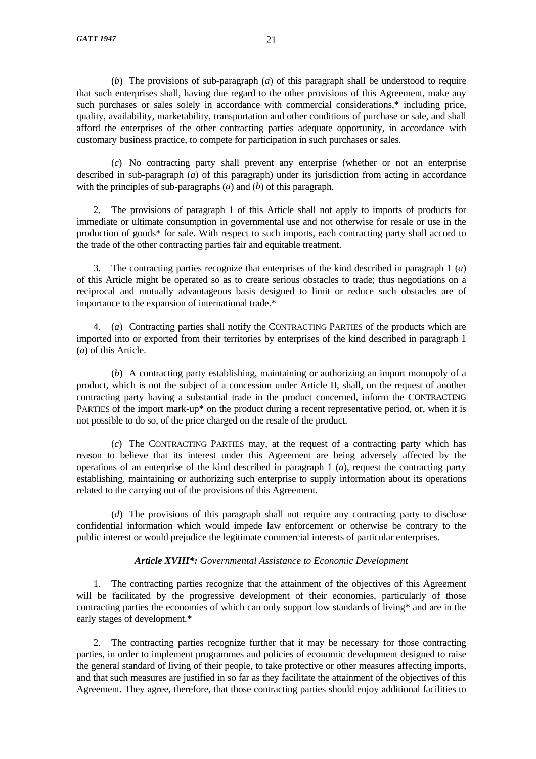(*b*) The provisions of sub-paragraph (*a*) of this paragraph shall be understood to require that such enterprises shall, having due regard to the other provisions of this Agreement, make any such purchases or sales solely in accordance with commercial considerations,\* including price, quality, availability, marketability, transportation and other conditions of purchase or sale, and shall afford the enterprises of the other contracting parties adequate opportunity, in accordance with customary business practice, to compete for participation in such purchases or sales.

 (*c*) No contracting party shall prevent any enterprise (whether or not an enterprise described in sub-paragraph (*a*) of this paragraph) under its jurisdiction from acting in accordance with the principles of sub-paragraphs (*a*) and (*b*) of this paragraph.

 2. The provisions of paragraph 1 of this Article shall not apply to imports of products for immediate or ultimate consumption in governmental use and not otherwise for resale or use in the production of goods\* for sale. With respect to such imports, each contracting party shall accord to the trade of the other contracting parties fair and equitable treatment.

 3. The contracting parties recognize that enterprises of the kind described in paragraph 1 (*a*) of this Article might be operated so as to create serious obstacles to trade; thus negotiations on a reciprocal and mutually advantageous basis designed to limit or reduce such obstacles are of importance to the expansion of international trade.\*

 4. (*a*) Contracting parties shall notify the CONTRACTING PARTIES of the products which are imported into or exported from their territories by enterprises of the kind described in paragraph 1 (*a*) of this Article.

 (*b*) A contracting party establishing, maintaining or authorizing an import monopoly of a product, which is not the subject of a concession under Article II, shall, on the request of another contracting party having a substantial trade in the product concerned, inform the CONTRACTING PARTIES of the import mark-up\* on the product during a recent representative period, or, when it is not possible to do so, of the price charged on the resale of the product.

 (*c*) The CONTRACTING PARTIES may, at the request of a contracting party which has reason to believe that its interest under this Agreement are being adversely affected by the operations of an enterprise of the kind described in paragraph 1 (*a*), request the contracting party establishing, maintaining or authorizing such enterprise to supply information about its operations related to the carrying out of the provisions of this Agreement.

 (*d*) The provisions of this paragraph shall not require any contracting party to disclose confidential information which would impede law enforcement or otherwise be contrary to the public interest or would prejudice the legitimate commercial interests of particular enterprises.

# <span id="page-20-0"></span>*Article XVIII\*: Governmental Assistance to Economic Development*

 1. The contracting parties recognize that the attainment of the objectives of this Agreement will be facilitated by the progressive development of their economies, particularly of those contracting parties the economies of which can only support low standards of living\* and are in the early stages of development.\*

 2. The contracting parties recognize further that it may be necessary for those contracting parties, in order to implement programmes and policies of economic development designed to raise the general standard of living of their people, to take protective or other measures affecting imports, and that such measures are justified in so far as they facilitate the attainment of the objectives of this Agreement. They agree, therefore, that those contracting parties should enjoy additional facilities to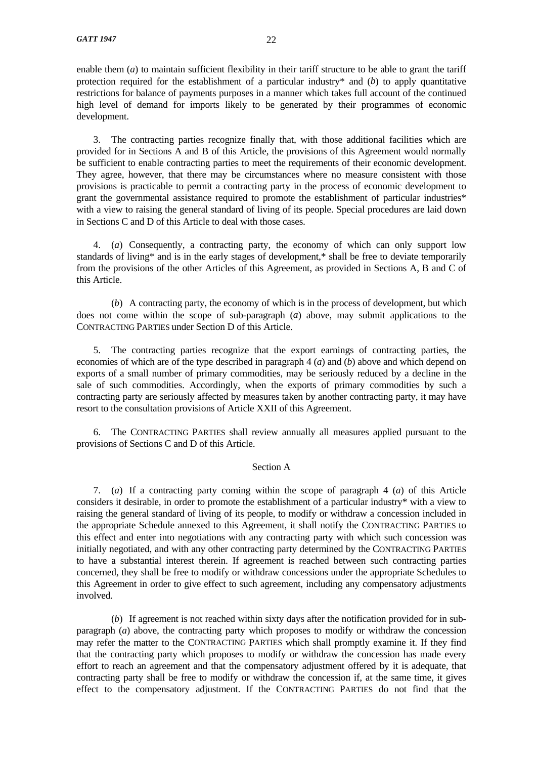enable them (*a*) to maintain sufficient flexibility in their tariff structure to be able to grant the tariff protection required for the establishment of a particular industry\* and (*b*) to apply quantitative restrictions for balance of payments purposes in a manner which takes full account of the continued high level of demand for imports likely to be generated by their programmes of economic development.

 3. The contracting parties recognize finally that, with those additional facilities which are provided for in Sections A and B of this Article, the provisions of this Agreement would normally be sufficient to enable contracting parties to meet the requirements of their economic development. They agree, however, that there may be circumstances where no measure consistent with those provisions is practicable to permit a contracting party in the process of economic development to grant the governmental assistance required to promote the establishment of particular industries\* with a view to raising the general standard of living of its people. Special procedures are laid down in Sections C and D of this Article to deal with those cases.

 4. (*a*) Consequently, a contracting party, the economy of which can only support low standards of living\* and is in the early stages of development,\* shall be free to deviate temporarily from the provisions of the other Articles of this Agreement, as provided in Sections A, B and C of this Article.

 (*b*) A contracting party, the economy of which is in the process of development, but which does not come within the scope of sub-paragraph (*a*) above, may submit applications to the CONTRACTING PARTIES under Section D of this Article.

 5. The contracting parties recognize that the export earnings of contracting parties, the economies of which are of the type described in paragraph 4 (*a*) and (*b*) above and which depend on exports of a small number of primary commodities, may be seriously reduced by a decline in the sale of such commodities. Accordingly, when the exports of primary commodities by such a contracting party are seriously affected by measures taken by another contracting party, it may have resort to the consultation provisions of Article XXII of this Agreement.

 6. The CONTRACTING PARTIES shall review annually all measures applied pursuant to the provisions of Sections C and D of this Article.

#### Section A

 7. (*a*) If a contracting party coming within the scope of paragraph 4 (*a*) of this Article considers it desirable, in order to promote the establishment of a particular industry\* with a view to raising the general standard of living of its people, to modify or withdraw a concession included in the appropriate Schedule annexed to this Agreement, it shall notify the CONTRACTING PARTIES to this effect and enter into negotiations with any contracting party with which such concession was initially negotiated, and with any other contracting party determined by the CONTRACTING PARTIES to have a substantial interest therein. If agreement is reached between such contracting parties concerned, they shall be free to modify or withdraw concessions under the appropriate Schedules to this Agreement in order to give effect to such agreement, including any compensatory adjustments involved.

 (*b*) If agreement is not reached within sixty days after the notification provided for in subparagraph (*a*) above, the contracting party which proposes to modify or withdraw the concession may refer the matter to the CONTRACTING PARTIES which shall promptly examine it. If they find that the contracting party which proposes to modify or withdraw the concession has made every effort to reach an agreement and that the compensatory adjustment offered by it is adequate, that contracting party shall be free to modify or withdraw the concession if, at the same time, it gives effect to the compensatory adjustment. If the CONTRACTING PARTIES do not find that the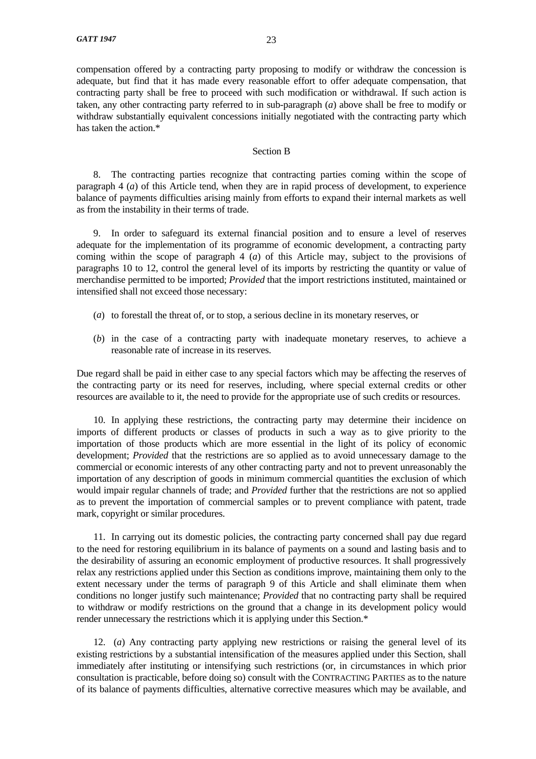compensation offered by a contracting party proposing to modify or withdraw the concession is adequate, but find that it has made every reasonable effort to offer adequate compensation, that contracting party shall be free to proceed with such modification or withdrawal. If such action is taken, any other contracting party referred to in sub-paragraph (*a*) above shall be free to modify or withdraw substantially equivalent concessions initially negotiated with the contracting party which has taken the action.\*

#### Section B

 8. The contracting parties recognize that contracting parties coming within the scope of paragraph 4 (*a*) of this Article tend, when they are in rapid process of development, to experience balance of payments difficulties arising mainly from efforts to expand their internal markets as well as from the instability in their terms of trade.

 9. In order to safeguard its external financial position and to ensure a level of reserves adequate for the implementation of its programme of economic development, a contracting party coming within the scope of paragraph 4 (*a*) of this Article may, subject to the provisions of paragraphs 10 to 12, control the general level of its imports by restricting the quantity or value of merchandise permitted to be imported; *Provided* that the import restrictions instituted, maintained or intensified shall not exceed those necessary:

- (*a*) to forestall the threat of, or to stop, a serious decline in its monetary reserves, or
- (*b*) in the case of a contracting party with inadequate monetary reserves, to achieve a reasonable rate of increase in its reserves.

Due regard shall be paid in either case to any special factors which may be affecting the reserves of the contracting party or its need for reserves, including, where special external credits or other resources are available to it, the need to provide for the appropriate use of such credits or resources.

 10. In applying these restrictions, the contracting party may determine their incidence on imports of different products or classes of products in such a way as to give priority to the importation of those products which are more essential in the light of its policy of economic development; *Provided* that the restrictions are so applied as to avoid unnecessary damage to the commercial or economic interests of any other contracting party and not to prevent unreasonably the importation of any description of goods in minimum commercial quantities the exclusion of which would impair regular channels of trade; and *Provided* further that the restrictions are not so applied as to prevent the importation of commercial samples or to prevent compliance with patent, trade mark, copyright or similar procedures.

 11. In carrying out its domestic policies, the contracting party concerned shall pay due regard to the need for restoring equilibrium in its balance of payments on a sound and lasting basis and to the desirability of assuring an economic employment of productive resources. It shall progressively relax any restrictions applied under this Section as conditions improve, maintaining them only to the extent necessary under the terms of paragraph 9 of this Article and shall eliminate them when conditions no longer justify such maintenance; *Provided* that no contracting party shall be required to withdraw or modify restrictions on the ground that a change in its development policy would render unnecessary the restrictions which it is applying under this Section.\*

 12. (*a*) Any contracting party applying new restrictions or raising the general level of its existing restrictions by a substantial intensification of the measures applied under this Section, shall immediately after instituting or intensifying such restrictions (or, in circumstances in which prior consultation is practicable, before doing so) consult with the CONTRACTING PARTIES as to the nature of its balance of payments difficulties, alternative corrective measures which may be available, and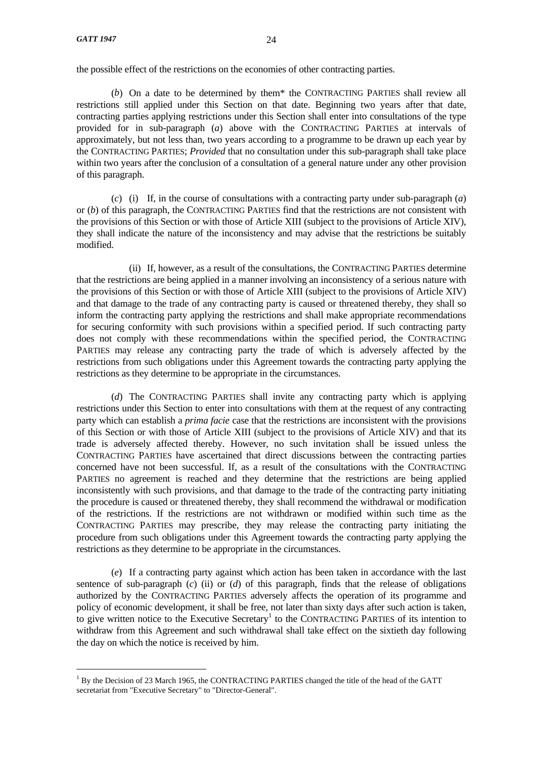$\overline{a}$ 

the possible effect of the restrictions on the economies of other contracting parties.

 (*b*) On a date to be determined by them\* the CONTRACTING PARTIES shall review all restrictions still applied under this Section on that date. Beginning two years after that date, contracting parties applying restrictions under this Section shall enter into consultations of the type provided for in sub-paragraph (*a*) above with the CONTRACTING PARTIES at intervals of approximately, but not less than, two years according to a programme to be drawn up each year by the CONTRACTING PARTIES; *Provided* that no consultation under this sub-paragraph shall take place within two years after the conclusion of a consultation of a general nature under any other provision of this paragraph.

 (*c*) (i) If, in the course of consultations with a contracting party under sub-paragraph (*a*) or (*b*) of this paragraph, the CONTRACTING PARTIES find that the restrictions are not consistent with the provisions of this Section or with those of Article XIII (subject to the provisions of Article XIV), they shall indicate the nature of the inconsistency and may advise that the restrictions be suitably modified.

 (ii) If, however, as a result of the consultations, the CONTRACTING PARTIES determine that the restrictions are being applied in a manner involving an inconsistency of a serious nature with the provisions of this Section or with those of Article XIII (subject to the provisions of Article XIV) and that damage to the trade of any contracting party is caused or threatened thereby, they shall so inform the contracting party applying the restrictions and shall make appropriate recommendations for securing conformity with such provisions within a specified period. If such contracting party does not comply with these recommendations within the specified period, the CONTRACTING PARTIES may release any contracting party the trade of which is adversely affected by the restrictions from such obligations under this Agreement towards the contracting party applying the restrictions as they determine to be appropriate in the circumstances.

 (*d*) The CONTRACTING PARTIES shall invite any contracting party which is applying restrictions under this Section to enter into consultations with them at the request of any contracting party which can establish a *prima facie* case that the restrictions are inconsistent with the provisions of this Section or with those of Article XIII (subject to the provisions of Article XIV) and that its trade is adversely affected thereby. However, no such invitation shall be issued unless the CONTRACTING PARTIES have ascertained that direct discussions between the contracting parties concerned have not been successful. If, as a result of the consultations with the CONTRACTING PARTIES no agreement is reached and they determine that the restrictions are being applied inconsistently with such provisions, and that damage to the trade of the contracting party initiating the procedure is caused or threatened thereby, they shall recommend the withdrawal or modification of the restrictions. If the restrictions are not withdrawn or modified within such time as the CONTRACTING PARTIES may prescribe, they may release the contracting party initiating the procedure from such obligations under this Agreement towards the contracting party applying the restrictions as they determine to be appropriate in the circumstances.

 (*e*) If a contracting party against which action has been taken in accordance with the last sentence of sub-paragraph  $(c)$  (ii) or  $(d)$  of this paragraph, finds that the release of obligations authorized by the CONTRACTING PARTIES adversely affects the operation of its programme and policy of economic development, it shall be free, not later than sixty days after such action is taken, to give written notice to the Executive Secretary<sup>1</sup> to the CONTRACTING PARTIES of its intention to withdraw from this Agreement and such withdrawal shall take effect on the sixtieth day following the day on which the notice is received by him.

 $1$  By the Decision of 23 March 1965, the CONTRACTING PARTIES changed the title of the head of the GATT secretariat from "Executive Secretary" to "Director-General".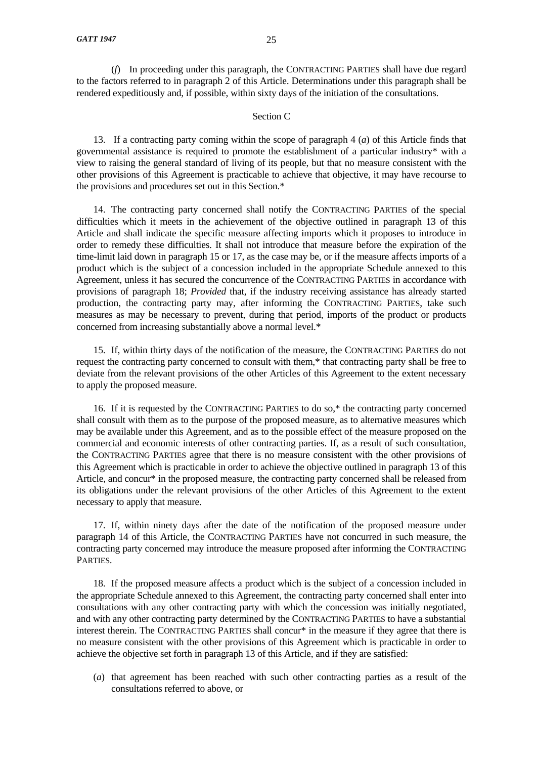(*f*) In proceeding under this paragraph, the CONTRACTING PARTIES shall have due regard to the factors referred to in paragraph 2 of this Article. Determinations under this paragraph shall be rendered expeditiously and, if possible, within sixty days of the initiation of the consultations.

### Section C

 13. If a contracting party coming within the scope of paragraph 4 (*a*) of this Article finds that governmental assistance is required to promote the establishment of a particular industry\* with a view to raising the general standard of living of its people, but that no measure consistent with the other provisions of this Agreement is practicable to achieve that objective, it may have recourse to the provisions and procedures set out in this Section.\*

 14. The contracting party concerned shall notify the CONTRACTING PARTIES of the special difficulties which it meets in the achievement of the objective outlined in paragraph 13 of this Article and shall indicate the specific measure affecting imports which it proposes to introduce in order to remedy these difficulties. It shall not introduce that measure before the expiration of the time-limit laid down in paragraph 15 or 17, as the case may be, or if the measure affects imports of a product which is the subject of a concession included in the appropriate Schedule annexed to this Agreement, unless it has secured the concurrence of the CONTRACTING PARTIES in accordance with provisions of paragraph 18; *Provided* that, if the industry receiving assistance has already started production, the contracting party may, after informing the CONTRACTING PARTIES, take such measures as may be necessary to prevent, during that period, imports of the product or products concerned from increasing substantially above a normal level.\*

 15. If, within thirty days of the notification of the measure, the CONTRACTING PARTIES do not request the contracting party concerned to consult with them,\* that contracting party shall be free to deviate from the relevant provisions of the other Articles of this Agreement to the extent necessary to apply the proposed measure.

 16. If it is requested by the CONTRACTING PARTIES to do so,\* the contracting party concerned shall consult with them as to the purpose of the proposed measure, as to alternative measures which may be available under this Agreement, and as to the possible effect of the measure proposed on the commercial and economic interests of other contracting parties. If, as a result of such consultation, the CONTRACTING PARTIES agree that there is no measure consistent with the other provisions of this Agreement which is practicable in order to achieve the objective outlined in paragraph 13 of this Article, and concur\* in the proposed measure, the contracting party concerned shall be released from its obligations under the relevant provisions of the other Articles of this Agreement to the extent necessary to apply that measure.

 17. If, within ninety days after the date of the notification of the proposed measure under paragraph 14 of this Article, the CONTRACTING PARTIES have not concurred in such measure, the contracting party concerned may introduce the measure proposed after informing the CONTRACTING PARTIES.

 18. If the proposed measure affects a product which is the subject of a concession included in the appropriate Schedule annexed to this Agreement, the contracting party concerned shall enter into consultations with any other contracting party with which the concession was initially negotiated, and with any other contracting party determined by the CONTRACTING PARTIES to have a substantial interest therein. The CONTRACTING PARTIES shall concur\* in the measure if they agree that there is no measure consistent with the other provisions of this Agreement which is practicable in order to achieve the objective set forth in paragraph 13 of this Article, and if they are satisfied:

 (*a*) that agreement has been reached with such other contracting parties as a result of the consultations referred to above, or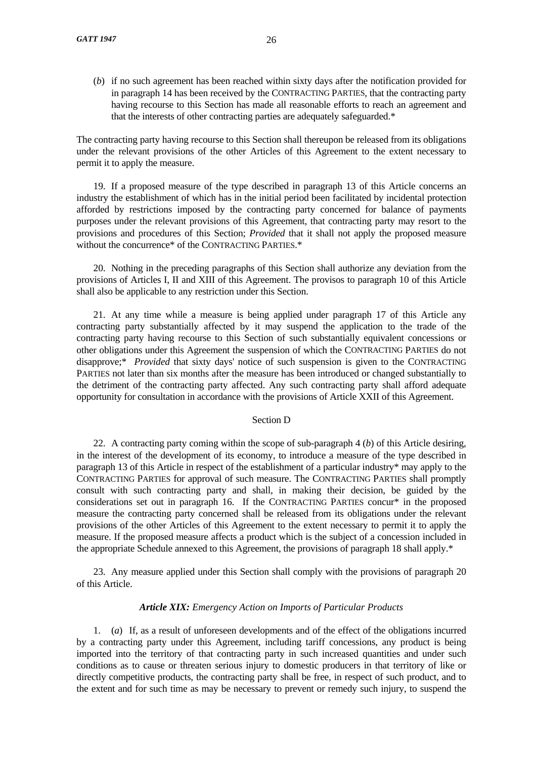(*b*) if no such agreement has been reached within sixty days after the notification provided for in paragraph 14 has been received by the CONTRACTING PARTIES, that the contracting party having recourse to this Section has made all reasonable efforts to reach an agreement and that the interests of other contracting parties are adequately safeguarded.\*

The contracting party having recourse to this Section shall thereupon be released from its obligations under the relevant provisions of the other Articles of this Agreement to the extent necessary to permit it to apply the measure.

 19. If a proposed measure of the type described in paragraph 13 of this Article concerns an industry the establishment of which has in the initial period been facilitated by incidental protection afforded by restrictions imposed by the contracting party concerned for balance of payments purposes under the relevant provisions of this Agreement, that contracting party may resort to the provisions and procedures of this Section; *Provided* that it shall not apply the proposed measure without the concurrence\* of the CONTRACTING PARTIES.\*

 20. Nothing in the preceding paragraphs of this Section shall authorize any deviation from the provisions of Articles I, II and XIII of this Agreement. The provisos to paragraph 10 of this Article shall also be applicable to any restriction under this Section.

 21. At any time while a measure is being applied under paragraph 17 of this Article any contracting party substantially affected by it may suspend the application to the trade of the contracting party having recourse to this Section of such substantially equivalent concessions or other obligations under this Agreement the suspension of which the CONTRACTING PARTIES do not disapprove;\* *Provided* that sixty days' notice of such suspension is given to the CONTRACTING PARTIES not later than six months after the measure has been introduced or changed substantially to the detriment of the contracting party affected. Any such contracting party shall afford adequate opportunity for consultation in accordance with the provisions of Article XXII of this Agreement.

### Section D

 22. A contracting party coming within the scope of sub-paragraph 4 (*b*) of this Article desiring, in the interest of the development of its economy, to introduce a measure of the type described in paragraph 13 of this Article in respect of the establishment of a particular industry\* may apply to the CONTRACTING PARTIES for approval of such measure. The CONTRACTING PARTIES shall promptly consult with such contracting party and shall, in making their decision, be guided by the considerations set out in paragraph 16. If the CONTRACTING PARTIES concur\* in the proposed measure the contracting party concerned shall be released from its obligations under the relevant provisions of the other Articles of this Agreement to the extent necessary to permit it to apply the measure. If the proposed measure affects a product which is the subject of a concession included in the appropriate Schedule annexed to this Agreement, the provisions of paragraph 18 shall apply.\*

 23. Any measure applied under this Section shall comply with the provisions of paragraph 20 of this Article.

### <span id="page-25-0"></span>*Article XIX: Emergency Action on Imports of Particular Products*

 1. (*a*) If, as a result of unforeseen developments and of the effect of the obligations incurred by a contracting party under this Agreement, including tariff concessions, any product is being imported into the territory of that contracting party in such increased quantities and under such conditions as to cause or threaten serious injury to domestic producers in that territory of like or directly competitive products, the contracting party shall be free, in respect of such product, and to the extent and for such time as may be necessary to prevent or remedy such injury, to suspend the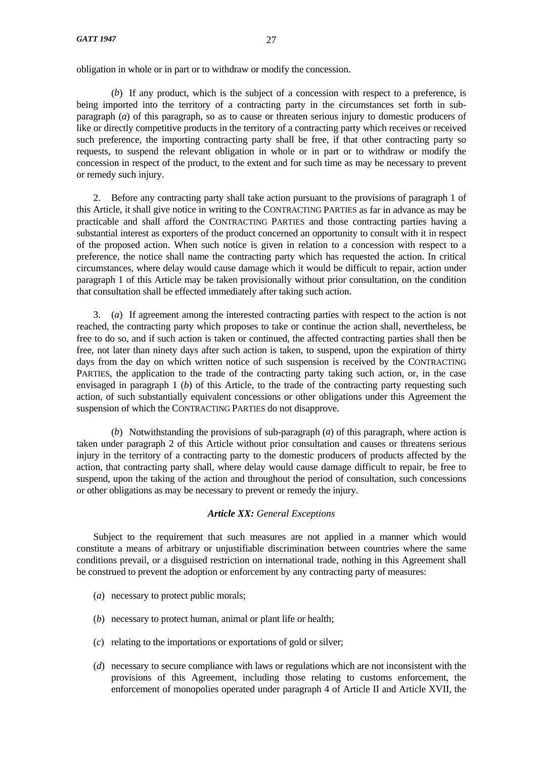obligation in whole or in part or to withdraw or modify the concession.

 (*b*) If any product, which is the subject of a concession with respect to a preference, is being imported into the territory of a contracting party in the circumstances set forth in subparagraph (*a*) of this paragraph, so as to cause or threaten serious injury to domestic producers of like or directly competitive products in the territory of a contracting party which receives or received such preference, the importing contracting party shall be free, if that other contracting party so requests, to suspend the relevant obligation in whole or in part or to withdraw or modify the concession in respect of the product, to the extent and for such time as may be necessary to prevent or remedy such injury.

 2. Before any contracting party shall take action pursuant to the provisions of paragraph 1 of this Article, it shall give notice in writing to the CONTRACTING PARTIES as far in advance as may be practicable and shall afford the CONTRACTING PARTIES and those contracting parties having a substantial interest as exporters of the product concerned an opportunity to consult with it in respect of the proposed action. When such notice is given in relation to a concession with respect to a preference, the notice shall name the contracting party which has requested the action. In critical circumstances, where delay would cause damage which it would be difficult to repair, action under paragraph 1 of this Article may be taken provisionally without prior consultation, on the condition that consultation shall be effected immediately after taking such action.

 3. (*a*) If agreement among the interested contracting parties with respect to the action is not reached, the contracting party which proposes to take or continue the action shall, nevertheless, be free to do so, and if such action is taken or continued, the affected contracting parties shall then be free, not later than ninety days after such action is taken, to suspend, upon the expiration of thirty days from the day on which written notice of such suspension is received by the CONTRACTING PARTIES, the application to the trade of the contracting party taking such action, or, in the case envisaged in paragraph 1 (*b*) of this Article, to the trade of the contracting party requesting such action, of such substantially equivalent concessions or other obligations under this Agreement the suspension of which the CONTRACTING PARTIES do not disapprove.

 (*b*) Notwithstanding the provisions of sub-paragraph (*a*) of this paragraph, where action is taken under paragraph 2 of this Article without prior consultation and causes or threatens serious injury in the territory of a contracting party to the domestic producers of products affected by the action, that contracting party shall, where delay would cause damage difficult to repair, be free to suspend, upon the taking of the action and throughout the period of consultation, such concessions or other obligations as may be necessary to prevent or remedy the injury.

### <span id="page-26-0"></span>*Article XX: General Exceptions*

 Subject to the requirement that such measures are not applied in a manner which would constitute a means of arbitrary or unjustifiable discrimination between countries where the same conditions prevail, or a disguised restriction on international trade, nothing in this Agreement shall be construed to prevent the adoption or enforcement by any contracting party of measures:

- (*a*) necessary to protect public morals;
- (*b*) necessary to protect human, animal or plant life or health;
- (*c*) relating to the importations or exportations of gold or silver;
- (*d*) necessary to secure compliance with laws or regulations which are not inconsistent with the provisions of this Agreement, including those relating to customs enforcement, the enforcement of monopolies operated under paragraph 4 of Article II and Article XVII, the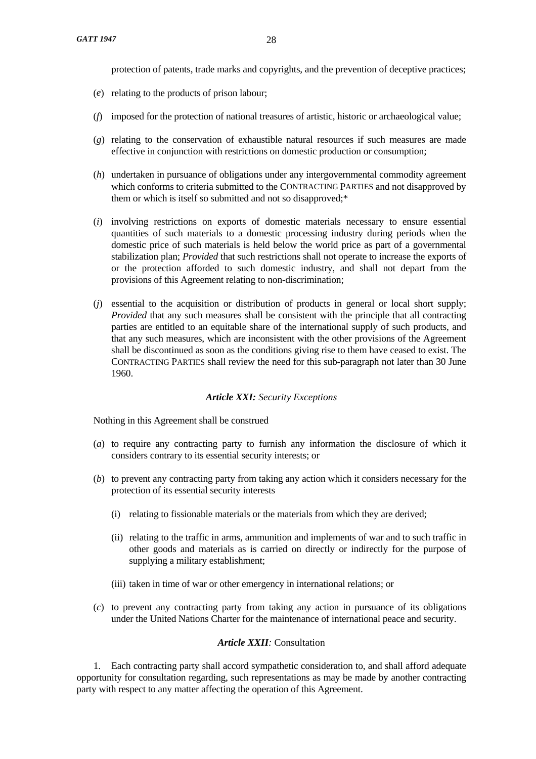protection of patents, trade marks and copyrights, and the prevention of deceptive practices;

- (*e*) relating to the products of prison labour;
- (*f*) imposed for the protection of national treasures of artistic, historic or archaeological value;
- (*g*) relating to the conservation of exhaustible natural resources if such measures are made effective in conjunction with restrictions on domestic production or consumption;
- (*h*) undertaken in pursuance of obligations under any intergovernmental commodity agreement which conforms to criteria submitted to the CONTRACTING PARTIES and not disapproved by them or which is itself so submitted and not so disapproved;\*
- (*i*) involving restrictions on exports of domestic materials necessary to ensure essential quantities of such materials to a domestic processing industry during periods when the domestic price of such materials is held below the world price as part of a governmental stabilization plan; *Provided* that such restrictions shall not operate to increase the exports of or the protection afforded to such domestic industry, and shall not depart from the provisions of this Agreement relating to non-discrimination;
- (*j*) essential to the acquisition or distribution of products in general or local short supply; *Provided* that any such measures shall be consistent with the principle that all contracting parties are entitled to an equitable share of the international supply of such products, and that any such measures, which are inconsistent with the other provisions of the Agreement shall be discontinued as soon as the conditions giving rise to them have ceased to exist. The CONTRACTING PARTIES shall review the need for this sub-paragraph not later than 30 June 1960.

# <span id="page-27-0"></span>*Article XXI: Security Exceptions*

Nothing in this Agreement shall be construed

- (*a*) to require any contracting party to furnish any information the disclosure of which it considers contrary to its essential security interests; or
- (*b*) to prevent any contracting party from taking any action which it considers necessary for the protection of its essential security interests
	- (i) relating to fissionable materials or the materials from which they are derived;
	- (ii) relating to the traffic in arms, ammunition and implements of war and to such traffic in other goods and materials as is carried on directly or indirectly for the purpose of supplying a military establishment;
	- (iii) taken in time of war or other emergency in international relations; or
- (*c*) to prevent any contracting party from taking any action in pursuance of its obligations under the United Nations Charter for the maintenance of international peace and security.

# <span id="page-27-1"></span>*Article XXII:* Consultation

 1. Each contracting party shall accord sympathetic consideration to, and shall afford adequate opportunity for consultation regarding, such representations as may be made by another contracting party with respect to any matter affecting the operation of this Agreement.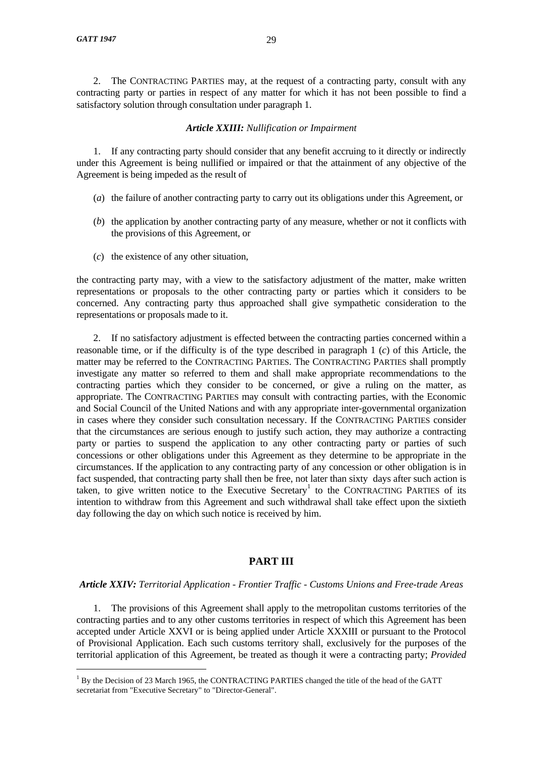$\overline{a}$ 

 2. The CONTRACTING PARTIES may, at the request of a contracting party, consult with any contracting party or parties in respect of any matter for which it has not been possible to find a satisfactory solution through consultation under paragraph 1.

### <span id="page-28-0"></span>*Article XXIII: Nullification or Impairment*

 1. If any contracting party should consider that any benefit accruing to it directly or indirectly under this Agreement is being nullified or impaired or that the attainment of any objective of the Agreement is being impeded as the result of

- (*a*) the failure of another contracting party to carry out its obligations under this Agreement, or
- (*b*) the application by another contracting party of any measure, whether or not it conflicts with the provisions of this Agreement, or
- (*c*) the existence of any other situation,

the contracting party may, with a view to the satisfactory adjustment of the matter, make written representations or proposals to the other contracting party or parties which it considers to be concerned. Any contracting party thus approached shall give sympathetic consideration to the representations or proposals made to it.

 2. If no satisfactory adjustment is effected between the contracting parties concerned within a reasonable time, or if the difficulty is of the type described in paragraph 1 (*c*) of this Article, the matter may be referred to the CONTRACTING PARTIES. The CONTRACTING PARTIES shall promptly investigate any matter so referred to them and shall make appropriate recommendations to the contracting parties which they consider to be concerned, or give a ruling on the matter, as appropriate. The CONTRACTING PARTIES may consult with contracting parties, with the Economic and Social Council of the United Nations and with any appropriate inter-governmental organization in cases where they consider such consultation necessary. If the CONTRACTING PARTIES consider that the circumstances are serious enough to justify such action, they may authorize a contracting party or parties to suspend the application to any other contracting party or parties of such concessions or other obligations under this Agreement as they determine to be appropriate in the circumstances. If the application to any contracting party of any concession or other obligation is in fact suspended, that contracting party shall then be free, not later than sixty days after such action is taken, to give written notice to the Executive Secretary<sup>1</sup> to the CONTRACTING PARTIES of its intention to withdraw from this Agreement and such withdrawal shall take effect upon the sixtieth day following the day on which such notice is received by him.

# <span id="page-28-1"></span>**PART III**

#### <span id="page-28-2"></span>*Article XXIV: Territorial Application - Frontier Traffic - Customs Unions and Free-trade Areas*

 1. The provisions of this Agreement shall apply to the metropolitan customs territories of the contracting parties and to any other customs territories in respect of which this Agreement has been accepted under Article XXVI or is being applied under Article XXXIII or pursuant to the Protocol of Provisional Application. Each such customs territory shall, exclusively for the purposes of the territorial application of this Agreement, be treated as though it were a contracting party; *Provided* 

 $1$  By the Decision of 23 March 1965, the CONTRACTING PARTIES changed the title of the head of the GATT secretariat from "Executive Secretary" to "Director-General".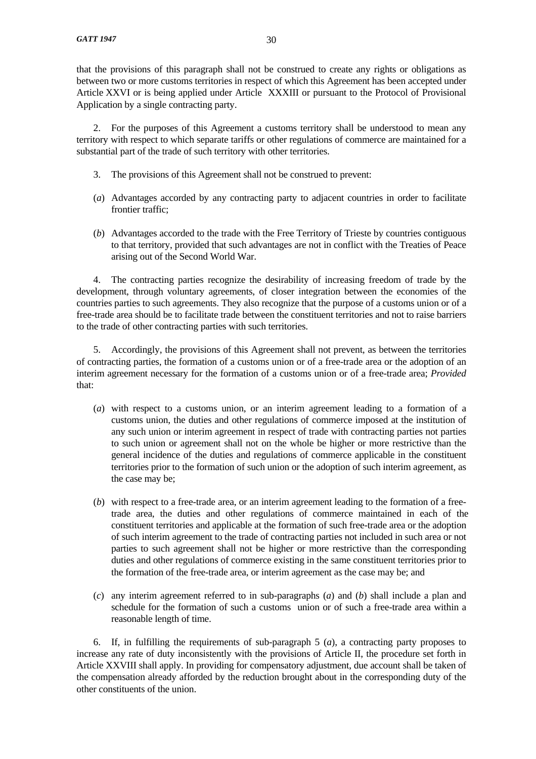that the provisions of this paragraph shall not be construed to create any rights or obligations as between two or more customs territories in respect of which this Agreement has been accepted under Article XXVI or is being applied under Article XXXIII or pursuant to the Protocol of Provisional Application by a single contracting party.

 2. For the purposes of this Agreement a customs territory shall be understood to mean any territory with respect to which separate tariffs or other regulations of commerce are maintained for a substantial part of the trade of such territory with other territories.

- 3. The provisions of this Agreement shall not be construed to prevent:
- (*a*) Advantages accorded by any contracting party to adjacent countries in order to facilitate frontier traffic;
- (*b*) Advantages accorded to the trade with the Free Territory of Trieste by countries contiguous to that territory, provided that such advantages are not in conflict with the Treaties of Peace arising out of the Second World War.

 4. The contracting parties recognize the desirability of increasing freedom of trade by the development, through voluntary agreements, of closer integration between the economies of the countries parties to such agreements. They also recognize that the purpose of a customs union or of a free-trade area should be to facilitate trade between the constituent territories and not to raise barriers to the trade of other contracting parties with such territories.

 5. Accordingly, the provisions of this Agreement shall not prevent, as between the territories of contracting parties, the formation of a customs union or of a free-trade area or the adoption of an interim agreement necessary for the formation of a customs union or of a free-trade area; *Provided*  that:

- (*a*) with respect to a customs union, or an interim agreement leading to a formation of a customs union, the duties and other regulations of commerce imposed at the institution of any such union or interim agreement in respect of trade with contracting parties not parties to such union or agreement shall not on the whole be higher or more restrictive than the general incidence of the duties and regulations of commerce applicable in the constituent territories prior to the formation of such union or the adoption of such interim agreement, as the case may be;
- (*b*) with respect to a free-trade area, or an interim agreement leading to the formation of a freetrade area, the duties and other regulations of commerce maintained in each of the constituent territories and applicable at the formation of such free-trade area or the adoption of such interim agreement to the trade of contracting parties not included in such area or not parties to such agreement shall not be higher or more restrictive than the corresponding duties and other regulations of commerce existing in the same constituent territories prior to the formation of the free-trade area, or interim agreement as the case may be; and
- (*c*) any interim agreement referred to in sub-paragraphs (*a*) and (*b*) shall include a plan and schedule for the formation of such a customs union or of such a free-trade area within a reasonable length of time.

 6. If, in fulfilling the requirements of sub-paragraph 5 (*a*), a contracting party proposes to increase any rate of duty inconsistently with the provisions of Article II, the procedure set forth in Article XXVIII shall apply. In providing for compensatory adjustment, due account shall be taken of the compensation already afforded by the reduction brought about in the corresponding duty of the other constituents of the union.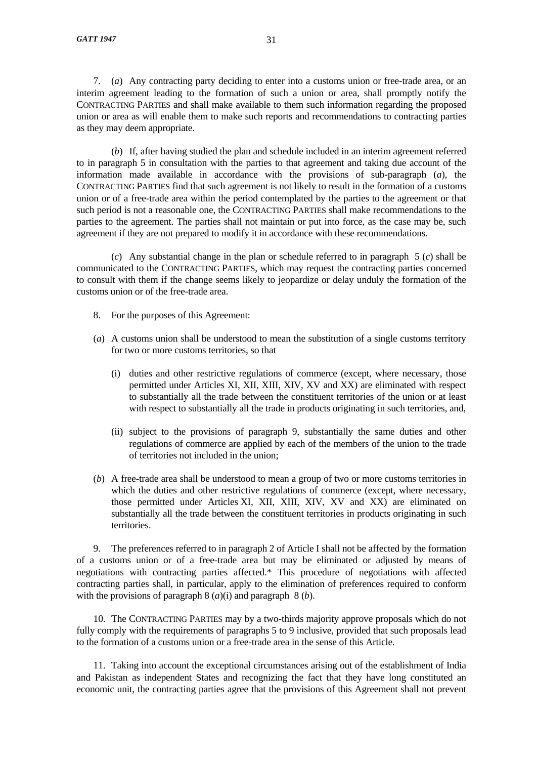7. (*a*) Any contracting party deciding to enter into a customs union or free-trade area, or an interim agreement leading to the formation of such a union or area, shall promptly notify the CONTRACTING PARTIES and shall make available to them such information regarding the proposed union or area as will enable them to make such reports and recommendations to contracting parties as they may deem appropriate.

 (*b*) If, after having studied the plan and schedule included in an interim agreement referred to in paragraph 5 in consultation with the parties to that agreement and taking due account of the information made available in accordance with the provisions of sub-paragraph (*a*), the CONTRACTING PARTIES find that such agreement is not likely to result in the formation of a customs union or of a free-trade area within the period contemplated by the parties to the agreement or that such period is not a reasonable one, the CONTRACTING PARTIES shall make recommendations to the parties to the agreement. The parties shall not maintain or put into force, as the case may be, such agreement if they are not prepared to modify it in accordance with these recommendations.

 (*c*) Any substantial change in the plan or schedule referred to in paragraph 5 (*c*) shall be communicated to the CONTRACTING PARTIES, which may request the contracting parties concerned to consult with them if the change seems likely to jeopardize or delay unduly the formation of the customs union or of the free-trade area.

- 8. For the purposes of this Agreement:
- (*a*) A customs union shall be understood to mean the substitution of a single customs territory for two or more customs territories, so that
	- (i) duties and other restrictive regulations of commerce (except, where necessary, those permitted under Articles XI, XII, XIII, XIV, XV and XX) are eliminated with respect to substantially all the trade between the constituent territories of the union or at least with respect to substantially all the trade in products originating in such territories, and,
	- (ii) subject to the provisions of paragraph 9, substantially the same duties and other regulations of commerce are applied by each of the members of the union to the trade of territories not included in the union;
- (*b*) A free-trade area shall be understood to mean a group of two or more customs territories in which the duties and other restrictive regulations of commerce (except, where necessary, those permitted under Articles XI, XII, XIII, XIV, XV and XX) are eliminated on substantially all the trade between the constituent territories in products originating in such territories.

 9. The preferences referred to in paragraph 2 of Article I shall not be affected by the formation of a customs union or of a free-trade area but may be eliminated or adjusted by means of negotiations with contracting parties affected.\* This procedure of negotiations with affected contracting parties shall, in particular, apply to the elimination of preferences required to conform with the provisions of paragraph 8 (*a*)(i) and paragraph 8 (*b*).

 10. The CONTRACTING PARTIES may by a two-thirds majority approve proposals which do not fully comply with the requirements of paragraphs 5 to 9 inclusive, provided that such proposals lead to the formation of a customs union or a free-trade area in the sense of this Article.

 11. Taking into account the exceptional circumstances arising out of the establishment of India and Pakistan as independent States and recognizing the fact that they have long constituted an economic unit, the contracting parties agree that the provisions of this Agreement shall not prevent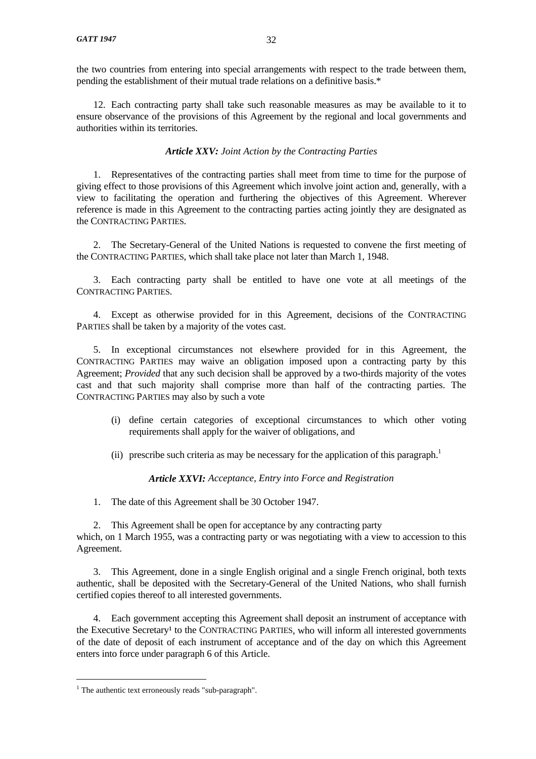the two countries from entering into special arrangements with respect to the trade between them, pending the establishment of their mutual trade relations on a definitive basis.\*

 12. Each contracting party shall take such reasonable measures as may be available to it to ensure observance of the provisions of this Agreement by the regional and local governments and authorities within its territories.

## <span id="page-31-0"></span>*Article XXV: Joint Action by the Contracting Parties*

 1. Representatives of the contracting parties shall meet from time to time for the purpose of giving effect to those provisions of this Agreement which involve joint action and, generally, with a view to facilitating the operation and furthering the objectives of this Agreement. Wherever reference is made in this Agreement to the contracting parties acting jointly they are designated as the CONTRACTING PARTIES.

 2. The Secretary-General of the United Nations is requested to convene the first meeting of the CONTRACTING PARTIES, which shall take place not later than March 1, 1948.

 3. Each contracting party shall be entitled to have one vote at all meetings of the CONTRACTING PARTIES.

 4. Except as otherwise provided for in this Agreement, decisions of the CONTRACTING PARTIES shall be taken by a majority of the votes cast.

 5. In exceptional circumstances not elsewhere provided for in this Agreement, the CONTRACTING PARTIES may waive an obligation imposed upon a contracting party by this Agreement; *Provided* that any such decision shall be approved by a two-thirds majority of the votes cast and that such majority shall comprise more than half of the contracting parties. The CONTRACTING PARTIES may also by such a vote

- (i) define certain categories of exceptional circumstances to which other voting requirements shall apply for the waiver of obligations, and
- (ii) prescribe such criteria as may be necessary for the application of this paragraph.<sup>1</sup>

<span id="page-31-1"></span>*Article XXVI: Acceptance, Entry into Force and Registration* 

1. The date of this Agreement shall be 30 October 1947.

 2. This Agreement shall be open for acceptance by any contracting party which, on 1 March 1955, was a contracting party or was negotiating with a view to accession to this Agreement.

 3. This Agreement, done in a single English original and a single French original, both texts authentic, shall be deposited with the Secretary-General of the United Nations, who shall furnish certified copies thereof to all interested governments.

 4. Each government accepting this Agreement shall deposit an instrument of acceptance with the Executive Secretary<sup>1</sup> to the CONTRACTING PARTIES, who will inform all interested governments of the date of deposit of each instrument of acceptance and of the day on which this Agreement enters into force under paragraph 6 of this Article.

 $\overline{a}$ 

<sup>&</sup>lt;sup>1</sup> The authentic text erroneously reads "sub-paragraph".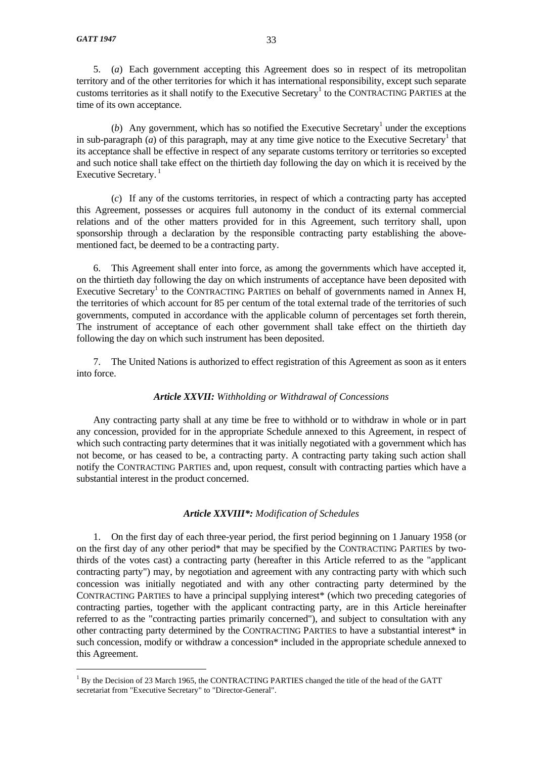$\overline{a}$ 

 5. (*a*) Each government accepting this Agreement does so in respect of its metropolitan territory and of the other territories for which it has international responsibility, except such separate customs territories as it shall notify to the Executive Secretary<sup>1</sup> to the CONTRACTING PARTIES at the time of its own acceptance.

(b) Any government, which has so notified the Executive Secretary<sup>1</sup> under the exceptions in sub-paragraph  $(a)$  of this paragraph, may at any time give notice to the Executive Secretary<sup>1</sup> that its acceptance shall be effective in respect of any separate customs territory or territories so excepted and such notice shall take effect on the thirtieth day following the day on which it is received by the Executive Secretary.<sup>1</sup>

 (*c*) If any of the customs territories, in respect of which a contracting party has accepted this Agreement, possesses or acquires full autonomy in the conduct of its external commercial relations and of the other matters provided for in this Agreement, such territory shall, upon sponsorship through a declaration by the responsible contracting party establishing the abovementioned fact, be deemed to be a contracting party.

 6. This Agreement shall enter into force, as among the governments which have accepted it, on the thirtieth day following the day on which instruments of acceptance have been deposited with Executive Secretary<sup>1</sup> to the CONTRACTING PARTIES on behalf of governments named in Annex H, the territories of which account for 85 per centum of the total external trade of the territories of such governments, computed in accordance with the applicable column of percentages set forth therein, The instrument of acceptance of each other government shall take effect on the thirtieth day following the day on which such instrument has been deposited.

 7. The United Nations is authorized to effect registration of this Agreement as soon as it enters into force.

### <span id="page-32-0"></span>*Article XXVII: Withholding or Withdrawal of Concessions*

 Any contracting party shall at any time be free to withhold or to withdraw in whole or in part any concession, provided for in the appropriate Schedule annexed to this Agreement, in respect of which such contracting party determines that it was initially negotiated with a government which has not become, or has ceased to be, a contracting party. A contracting party taking such action shall notify the CONTRACTING PARTIES and, upon request, consult with contracting parties which have a substantial interest in the product concerned.

#### <span id="page-32-1"></span>*Article XXVIII\*: Modification of Schedules*

 1. On the first day of each three-year period, the first period beginning on 1 January 1958 (or on the first day of any other period\* that may be specified by the CONTRACTING PARTIES by twothirds of the votes cast) a contracting party (hereafter in this Article referred to as the "applicant contracting party") may, by negotiation and agreement with any contracting party with which such concession was initially negotiated and with any other contracting party determined by the CONTRACTING PARTIES to have a principal supplying interest\* (which two preceding categories of contracting parties, together with the applicant contracting party, are in this Article hereinafter referred to as the "contracting parties primarily concerned"), and subject to consultation with any other contracting party determined by the CONTRACTING PARTIES to have a substantial interest\* in such concession, modify or withdraw a concession\* included in the appropriate schedule annexed to this Agreement.

 $1$  By the Decision of 23 March 1965, the CONTRACTING PARTIES changed the title of the head of the GATT secretariat from "Executive Secretary" to "Director-General".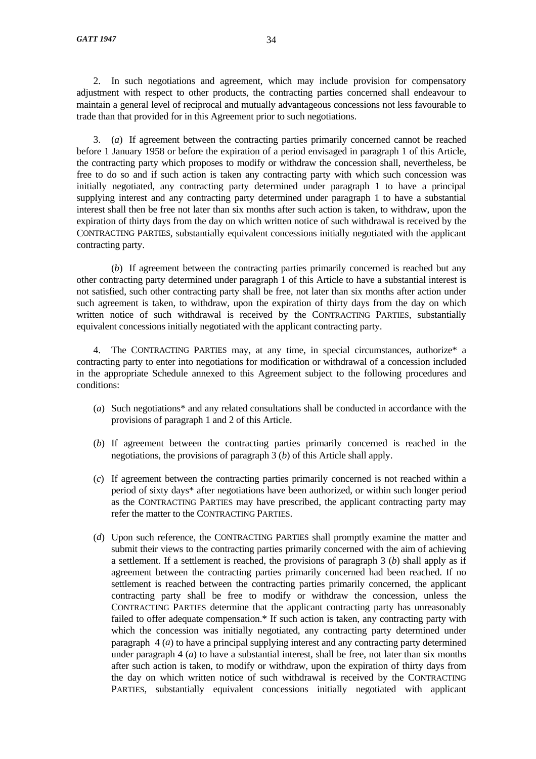2. In such negotiations and agreement, which may include provision for compensatory adjustment with respect to other products, the contracting parties concerned shall endeavour to maintain a general level of reciprocal and mutually advantageous concessions not less favourable to trade than that provided for in this Agreement prior to such negotiations.

 3. (*a*) If agreement between the contracting parties primarily concerned cannot be reached before 1 January 1958 or before the expiration of a period envisaged in paragraph 1 of this Article, the contracting party which proposes to modify or withdraw the concession shall, nevertheless, be free to do so and if such action is taken any contracting party with which such concession was initially negotiated, any contracting party determined under paragraph 1 to have a principal supplying interest and any contracting party determined under paragraph 1 to have a substantial interest shall then be free not later than six months after such action is taken, to withdraw, upon the expiration of thirty days from the day on which written notice of such withdrawal is received by the CONTRACTING PARTIES, substantially equivalent concessions initially negotiated with the applicant contracting party.

 (*b*) If agreement between the contracting parties primarily concerned is reached but any other contracting party determined under paragraph 1 of this Article to have a substantial interest is not satisfied, such other contracting party shall be free, not later than six months after action under such agreement is taken, to withdraw, upon the expiration of thirty days from the day on which written notice of such withdrawal is received by the CONTRACTING PARTIES, substantially equivalent concessions initially negotiated with the applicant contracting party.

 4. The CONTRACTING PARTIES may, at any time, in special circumstances, authorize\* a contracting party to enter into negotiations for modification or withdrawal of a concession included in the appropriate Schedule annexed to this Agreement subject to the following procedures and conditions:

- (*a*) Such negotiations\* and any related consultations shall be conducted in accordance with the provisions of paragraph 1 and 2 of this Article.
- (*b*) If agreement between the contracting parties primarily concerned is reached in the negotiations, the provisions of paragraph 3 (*b*) of this Article shall apply.
- (*c*) If agreement between the contracting parties primarily concerned is not reached within a period of sixty days\* after negotiations have been authorized, or within such longer period as the CONTRACTING PARTIES may have prescribed, the applicant contracting party may refer the matter to the CONTRACTING PARTIES.
- (*d*) Upon such reference, the CONTRACTING PARTIES shall promptly examine the matter and submit their views to the contracting parties primarily concerned with the aim of achieving a settlement. If a settlement is reached, the provisions of paragraph 3 (*b*) shall apply as if agreement between the contracting parties primarily concerned had been reached. If no settlement is reached between the contracting parties primarily concerned, the applicant contracting party shall be free to modify or withdraw the concession, unless the CONTRACTING PARTIES determine that the applicant contracting party has unreasonably failed to offer adequate compensation.\* If such action is taken, any contracting party with which the concession was initially negotiated, any contracting party determined under paragraph 4 (*a*) to have a principal supplying interest and any contracting party determined under paragraph  $4(a)$  to have a substantial interest, shall be free, not later than six months after such action is taken, to modify or withdraw, upon the expiration of thirty days from the day on which written notice of such withdrawal is received by the CONTRACTING PARTIES, substantially equivalent concessions initially negotiated with applicant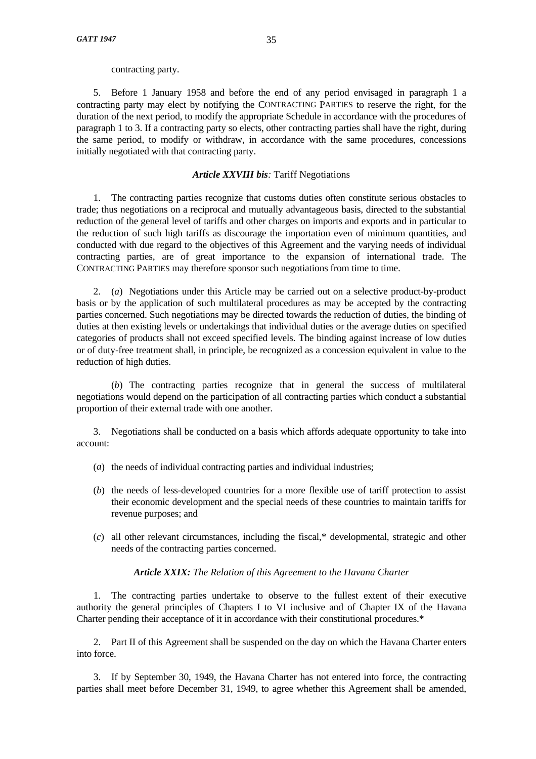contracting party.

 5. Before 1 January 1958 and before the end of any period envisaged in paragraph 1 a contracting party may elect by notifying the CONTRACTING PARTIES to reserve the right, for the duration of the next period, to modify the appropriate Schedule in accordance with the procedures of paragraph 1 to 3. If a contracting party so elects, other contracting parties shall have the right, during the same period, to modify or withdraw, in accordance with the same procedures, concessions initially negotiated with that contracting party.

### <span id="page-34-0"></span>*Article XXVIII bis:* Tariff Negotiations

 1. The contracting parties recognize that customs duties often constitute serious obstacles to trade; thus negotiations on a reciprocal and mutually advantageous basis, directed to the substantial reduction of the general level of tariffs and other charges on imports and exports and in particular to the reduction of such high tariffs as discourage the importation even of minimum quantities, and conducted with due regard to the objectives of this Agreement and the varying needs of individual contracting parties, are of great importance to the expansion of international trade. The CONTRACTING PARTIES may therefore sponsor such negotiations from time to time.

 2. (*a*) Negotiations under this Article may be carried out on a selective product-by-product basis or by the application of such multilateral procedures as may be accepted by the contracting parties concerned. Such negotiations may be directed towards the reduction of duties, the binding of duties at then existing levels or undertakings that individual duties or the average duties on specified categories of products shall not exceed specified levels. The binding against increase of low duties or of duty-free treatment shall, in principle, be recognized as a concession equivalent in value to the reduction of high duties.

 (*b*) The contracting parties recognize that in general the success of multilateral negotiations would depend on the participation of all contracting parties which conduct a substantial proportion of their external trade with one another.

 3. Negotiations shall be conducted on a basis which affords adequate opportunity to take into account:

- (*a*) the needs of individual contracting parties and individual industries;
- (*b*) the needs of less-developed countries for a more flexible use of tariff protection to assist their economic development and the special needs of these countries to maintain tariffs for revenue purposes; and
- (*c*) all other relevant circumstances, including the fiscal,\* developmental, strategic and other needs of the contracting parties concerned.

#### <span id="page-34-1"></span>*Article XXIX: The Relation of this Agreement to the Havana Charter*

 1. The contracting parties undertake to observe to the fullest extent of their executive authority the general principles of Chapters I to VI inclusive and of Chapter IX of the Havana Charter pending their acceptance of it in accordance with their constitutional procedures.\*

 2. Part II of this Agreement shall be suspended on the day on which the Havana Charter enters into force.

 3. If by September 30, 1949, the Havana Charter has not entered into force, the contracting parties shall meet before December 31, 1949, to agree whether this Agreement shall be amended,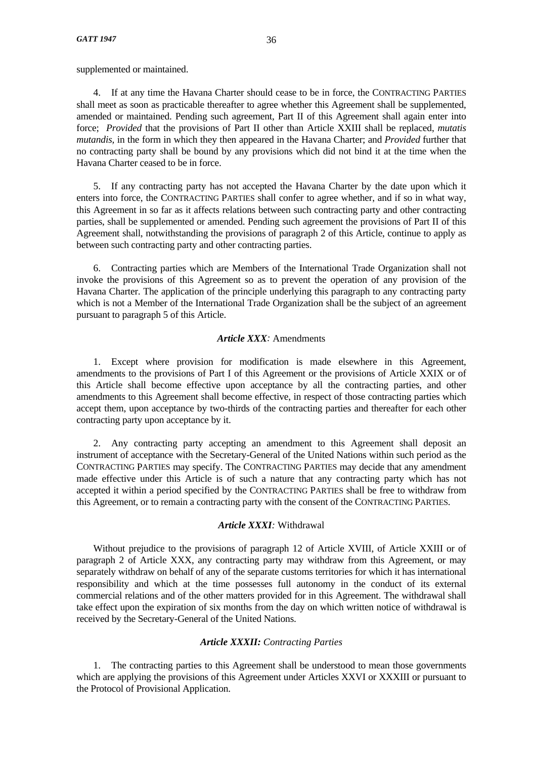supplemented or maintained.

 4. If at any time the Havana Charter should cease to be in force, the CONTRACTING PARTIES shall meet as soon as practicable thereafter to agree whether this Agreement shall be supplemented, amended or maintained. Pending such agreement, Part II of this Agreement shall again enter into force; *Provided* that the provisions of Part II other than Article XXIII shall be replaced, *mutatis mutandis,* in the form in which they then appeared in the Havana Charter; and *Provided* further that no contracting party shall be bound by any provisions which did not bind it at the time when the Havana Charter ceased to be in force.

 5. If any contracting party has not accepted the Havana Charter by the date upon which it enters into force, the CONTRACTING PARTIES shall confer to agree whether, and if so in what way, this Agreement in so far as it affects relations between such contracting party and other contracting parties, shall be supplemented or amended. Pending such agreement the provisions of Part II of this Agreement shall, notwithstanding the provisions of paragraph 2 of this Article, continue to apply as between such contracting party and other contracting parties.

 6. Contracting parties which are Members of the International Trade Organization shall not invoke the provisions of this Agreement so as to prevent the operation of any provision of the Havana Charter. The application of the principle underlying this paragraph to any contracting party which is not a Member of the International Trade Organization shall be the subject of an agreement pursuant to paragraph 5 of this Article.

#### <span id="page-35-0"></span>*Article XXX:* Amendments

 1. Except where provision for modification is made elsewhere in this Agreement, amendments to the provisions of Part I of this Agreement or the provisions of Article XXIX or of this Article shall become effective upon acceptance by all the contracting parties, and other amendments to this Agreement shall become effective, in respect of those contracting parties which accept them, upon acceptance by two-thirds of the contracting parties and thereafter for each other contracting party upon acceptance by it.

 2. Any contracting party accepting an amendment to this Agreement shall deposit an instrument of acceptance with the Secretary-General of the United Nations within such period as the CONTRACTING PARTIES may specify. The CONTRACTING PARTIES may decide that any amendment made effective under this Article is of such a nature that any contracting party which has not accepted it within a period specified by the CONTRACTING PARTIES shall be free to withdraw from this Agreement, or to remain a contracting party with the consent of the CONTRACTING PARTIES.

### <span id="page-35-1"></span>*Article XXXI:* Withdrawal

 Without prejudice to the provisions of paragraph 12 of Article XVIII, of Article XXIII or of paragraph 2 of Article XXX, any contracting party may withdraw from this Agreement, or may separately withdraw on behalf of any of the separate customs territories for which it has international responsibility and which at the time possesses full autonomy in the conduct of its external commercial relations and of the other matters provided for in this Agreement. The withdrawal shall take effect upon the expiration of six months from the day on which written notice of withdrawal is received by the Secretary-General of the United Nations.

## <span id="page-35-2"></span>*Article XXXII: Contracting Parties*

 1. The contracting parties to this Agreement shall be understood to mean those governments which are applying the provisions of this Agreement under Articles XXVI or XXXIII or pursuant to the Protocol of Provisional Application.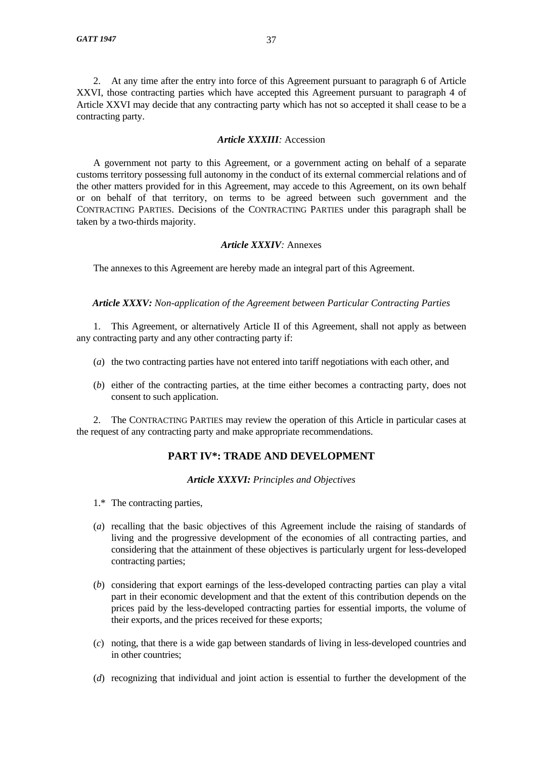2. At any time after the entry into force of this Agreement pursuant to paragraph 6 of Article XXVI, those contracting parties which have accepted this Agreement pursuant to paragraph 4 of Article XXVI may decide that any contracting party which has not so accepted it shall cease to be a contracting party.

### <span id="page-36-0"></span>*Article XXXIII:* Accession

 A government not party to this Agreement, or a government acting on behalf of a separate customs territory possessing full autonomy in the conduct of its external commercial relations and of the other matters provided for in this Agreement, may accede to this Agreement, on its own behalf or on behalf of that territory, on terms to be agreed between such government and the CONTRACTING PARTIES. Decisions of the CONTRACTING PARTIES under this paragraph shall be taken by a two-thirds majority.

# <span id="page-36-1"></span>*Article XXXIV:* Annexes

The annexes to this Agreement are hereby made an integral part of this Agreement.

### <span id="page-36-2"></span>*Article XXXV: Non-application of the Agreement between Particular Contracting Parties*

 1. This Agreement, or alternatively Article II of this Agreement, shall not apply as between any contracting party and any other contracting party if:

- (*a*) the two contracting parties have not entered into tariff negotiations with each other, and
- (*b*) either of the contracting parties, at the time either becomes a contracting party, does not consent to such application.

 2. The CONTRACTING PARTIES may review the operation of this Article in particular cases at the request of any contracting party and make appropriate recommendations.

# <span id="page-36-3"></span>**PART IV\*: TRADE AND DEVELOPMENT**

<span id="page-36-4"></span>*Article XXXVI: Principles and Objectives* 

- 1.\* The contracting parties,
- (*a*) recalling that the basic objectives of this Agreement include the raising of standards of living and the progressive development of the economies of all contracting parties, and considering that the attainment of these objectives is particularly urgent for less-developed contracting parties;
- (*b*) considering that export earnings of the less-developed contracting parties can play a vital part in their economic development and that the extent of this contribution depends on the prices paid by the less-developed contracting parties for essential imports, the volume of their exports, and the prices received for these exports;
- (*c*) noting, that there is a wide gap between standards of living in less-developed countries and in other countries;
- (*d*) recognizing that individual and joint action is essential to further the development of the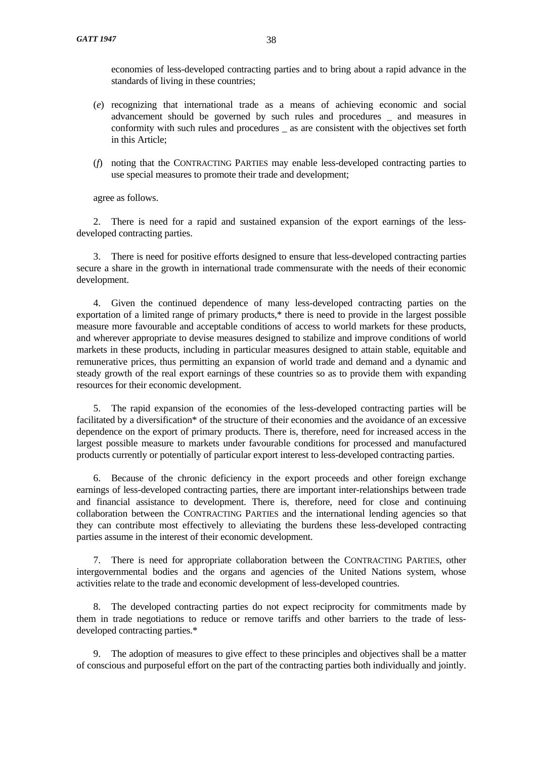economies of less-developed contracting parties and to bring about a rapid advance in the standards of living in these countries;

- (*e*) recognizing that international trade as a means of achieving economic and social advancement should be governed by such rules and procedures \_ and measures in conformity with such rules and procedures \_ as are consistent with the objectives set forth in this Article;
- (*f*) noting that the CONTRACTING PARTIES may enable less-developed contracting parties to use special measures to promote their trade and development;

agree as follows.

 2. There is need for a rapid and sustained expansion of the export earnings of the lessdeveloped contracting parties.

 3. There is need for positive efforts designed to ensure that less-developed contracting parties secure a share in the growth in international trade commensurate with the needs of their economic development.

 4. Given the continued dependence of many less-developed contracting parties on the exportation of a limited range of primary products,\* there is need to provide in the largest possible measure more favourable and acceptable conditions of access to world markets for these products, and wherever appropriate to devise measures designed to stabilize and improve conditions of world markets in these products, including in particular measures designed to attain stable, equitable and remunerative prices, thus permitting an expansion of world trade and demand and a dynamic and steady growth of the real export earnings of these countries so as to provide them with expanding resources for their economic development.

 5. The rapid expansion of the economies of the less-developed contracting parties will be facilitated by a diversification\* of the structure of their economies and the avoidance of an excessive dependence on the export of primary products. There is, therefore, need for increased access in the largest possible measure to markets under favourable conditions for processed and manufactured products currently or potentially of particular export interest to less-developed contracting parties.

 6. Because of the chronic deficiency in the export proceeds and other foreign exchange earnings of less-developed contracting parties, there are important inter-relationships between trade and financial assistance to development. There is, therefore, need for close and continuing collaboration between the CONTRACTING PARTIES and the international lending agencies so that they can contribute most effectively to alleviating the burdens these less-developed contracting parties assume in the interest of their economic development.

 7. There is need for appropriate collaboration between the CONTRACTING PARTIES, other intergovernmental bodies and the organs and agencies of the United Nations system, whose activities relate to the trade and economic development of less-developed countries.

 8. The developed contracting parties do not expect reciprocity for commitments made by them in trade negotiations to reduce or remove tariffs and other barriers to the trade of lessdeveloped contracting parties.\*

 9. The adoption of measures to give effect to these principles and objectives shall be a matter of conscious and purposeful effort on the part of the contracting parties both individually and jointly.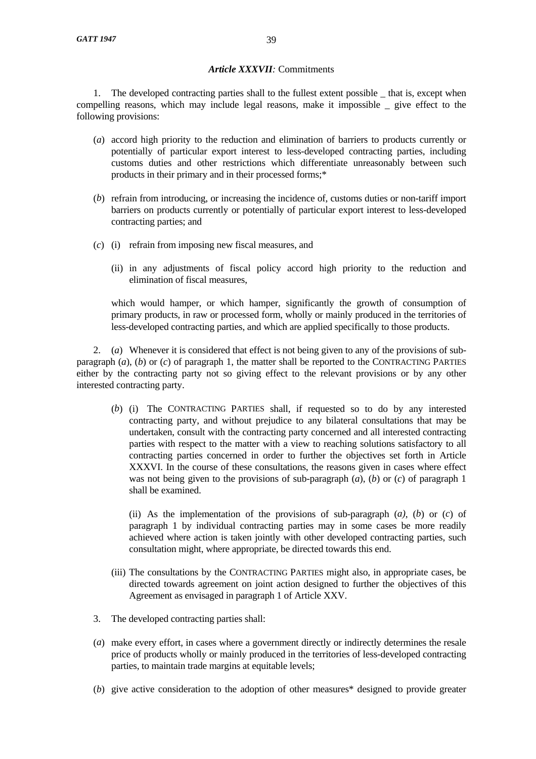# <span id="page-38-0"></span>*Article XXXVII:* Commitments

 1. The developed contracting parties shall to the fullest extent possible \_ that is, except when compelling reasons, which may include legal reasons, make it impossible \_ give effect to the following provisions:

- (*a*) accord high priority to the reduction and elimination of barriers to products currently or potentially of particular export interest to less-developed contracting parties, including customs duties and other restrictions which differentiate unreasonably between such products in their primary and in their processed forms;\*
- (*b*) refrain from introducing, or increasing the incidence of, customs duties or non-tariff import barriers on products currently or potentially of particular export interest to less-developed contracting parties; and
- (*c*) (i) refrain from imposing new fiscal measures, and
	- (ii) in any adjustments of fiscal policy accord high priority to the reduction and elimination of fiscal measures,

 which would hamper, or which hamper, significantly the growth of consumption of primary products, in raw or processed form, wholly or mainly produced in the territories of less-developed contracting parties, and which are applied specifically to those products.

 2. (*a*) Whenever it is considered that effect is not being given to any of the provisions of subparagraph  $(a)$ ,  $(b)$  or  $(c)$  of paragraph 1, the matter shall be reported to the CONTRACTING PARTIES either by the contracting party not so giving effect to the relevant provisions or by any other interested contracting party.

 (*b*) (i) The CONTRACTING PARTIES shall, if requested so to do by any interested contracting party, and without prejudice to any bilateral consultations that may be undertaken, consult with the contracting party concerned and all interested contracting parties with respect to the matter with a view to reaching solutions satisfactory to all contracting parties concerned in order to further the objectives set forth in Article XXXVI. In the course of these consultations, the reasons given in cases where effect was not being given to the provisions of sub-paragraph (*a*), (*b*) or (*c*) of paragraph 1 shall be examined.

 (ii) As the implementation of the provisions of sub-paragraph (*a)*, (*b*) or (*c*) of paragraph 1 by individual contracting parties may in some cases be more readily achieved where action is taken jointly with other developed contracting parties, such consultation might, where appropriate, be directed towards this end.

- (iii) The consultations by the CONTRACTING PARTIES might also, in appropriate cases, be directed towards agreement on joint action designed to further the objectives of this Agreement as envisaged in paragraph 1 of Article XXV.
- 3. The developed contracting parties shall:
- (*a*) make every effort, in cases where a government directly or indirectly determines the resale price of products wholly or mainly produced in the territories of less-developed contracting parties, to maintain trade margins at equitable levels;
- (*b*) give active consideration to the adoption of other measures\* designed to provide greater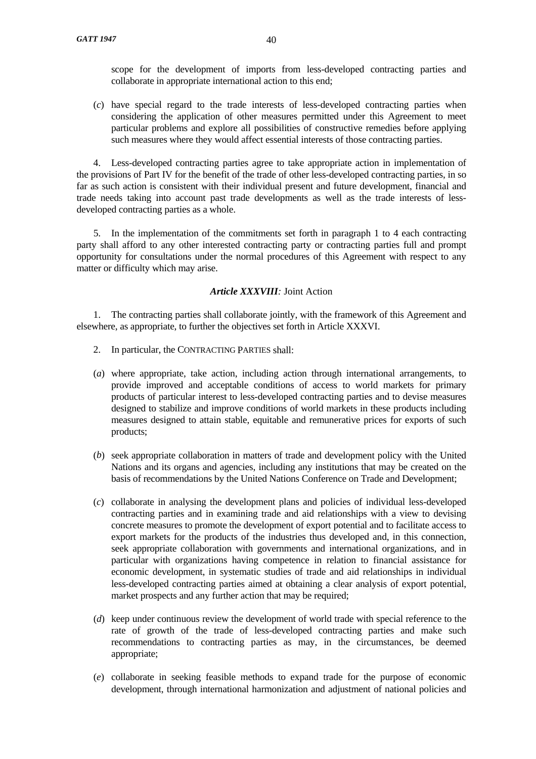scope for the development of imports from less-developed contracting parties and collaborate in appropriate international action to this end;

 (*c*) have special regard to the trade interests of less-developed contracting parties when considering the application of other measures permitted under this Agreement to meet particular problems and explore all possibilities of constructive remedies before applying such measures where they would affect essential interests of those contracting parties.

 4. Less-developed contracting parties agree to take appropriate action in implementation of the provisions of Part IV for the benefit of the trade of other less-developed contracting parties, in so far as such action is consistent with their individual present and future development, financial and trade needs taking into account past trade developments as well as the trade interests of lessdeveloped contracting parties as a whole.

 5. In the implementation of the commitments set forth in paragraph 1 to 4 each contracting party shall afford to any other interested contracting party or contracting parties full and prompt opportunity for consultations under the normal procedures of this Agreement with respect to any matter or difficulty which may arise.

# <span id="page-39-0"></span>*Article XXXVIII:* Joint Action

 1. The contracting parties shall collaborate jointly, with the framework of this Agreement and elsewhere, as appropriate, to further the objectives set forth in Article XXXVI.

- 2. In particular, the CONTRACTING PARTIES shall:
- (*a*) where appropriate, take action, including action through international arrangements, to provide improved and acceptable conditions of access to world markets for primary products of particular interest to less-developed contracting parties and to devise measures designed to stabilize and improve conditions of world markets in these products including measures designed to attain stable, equitable and remunerative prices for exports of such products;
- (*b*) seek appropriate collaboration in matters of trade and development policy with the United Nations and its organs and agencies, including any institutions that may be created on the basis of recommendations by the United Nations Conference on Trade and Development;
- (*c*) collaborate in analysing the development plans and policies of individual less-developed contracting parties and in examining trade and aid relationships with a view to devising concrete measures to promote the development of export potential and to facilitate access to export markets for the products of the industries thus developed and, in this connection, seek appropriate collaboration with governments and international organizations, and in particular with organizations having competence in relation to financial assistance for economic development, in systematic studies of trade and aid relationships in individual less-developed contracting parties aimed at obtaining a clear analysis of export potential, market prospects and any further action that may be required;
- (*d*) keep under continuous review the development of world trade with special reference to the rate of growth of the trade of less-developed contracting parties and make such recommendations to contracting parties as may, in the circumstances, be deemed appropriate;
- (*e*) collaborate in seeking feasible methods to expand trade for the purpose of economic development, through international harmonization and adjustment of national policies and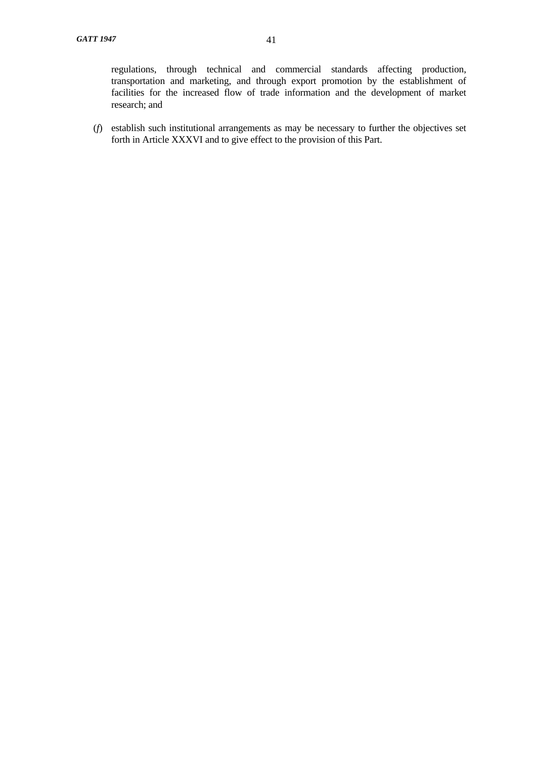regulations, through technical and commercial standards affecting production, transportation and marketing, and through export promotion by the establishment of facilities for the increased flow of trade information and the development of market research; and

 (*f*) establish such institutional arrangements as may be necessary to further the objectives set forth in Article XXXVI and to give effect to the provision of this Part.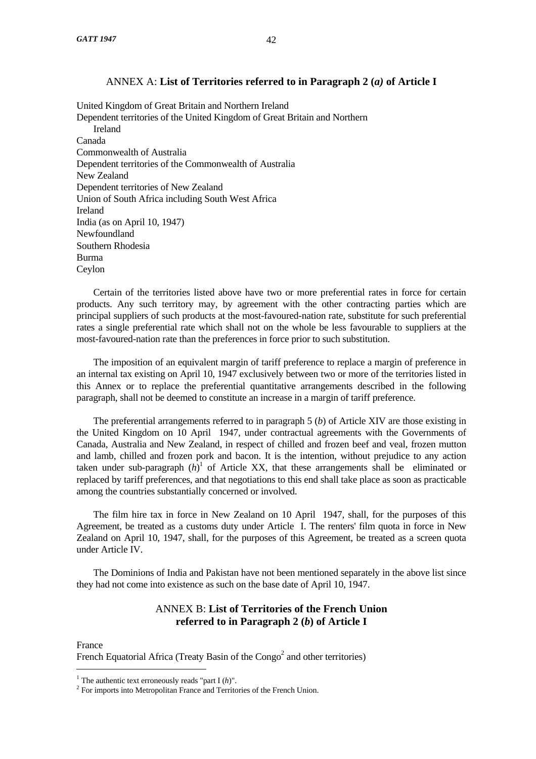# <span id="page-41-0"></span>ANNEX A: **List of Territories referred to in Paragraph 2 (***a)* **of Article I**

United Kingdom of Great Britain and Northern Ireland Dependent territories of the United Kingdom of Great Britain and Northern Ireland Canada Commonwealth of Australia Dependent territories of the Commonwealth of Australia New Zealand Dependent territories of New Zealand Union of South Africa including South West Africa Ireland India (as on April 10, 1947) Newfoundland Southern Rhodesia Burma Ceylon

 Certain of the territories listed above have two or more preferential rates in force for certain products. Any such territory may, by agreement with the other contracting parties which are principal suppliers of such products at the most-favoured-nation rate, substitute for such preferential rates a single preferential rate which shall not on the whole be less favourable to suppliers at the most-favoured-nation rate than the preferences in force prior to such substitution.

 The imposition of an equivalent margin of tariff preference to replace a margin of preference in an internal tax existing on April 10, 1947 exclusively between two or more of the territories listed in this Annex or to replace the preferential quantitative arrangements described in the following paragraph, shall not be deemed to constitute an increase in a margin of tariff preference.

 The preferential arrangements referred to in paragraph 5 (*b*) of Article XIV are those existing in the United Kingdom on 10 April 1947, under contractual agreements with the Governments of Canada, Australia and New Zealand, in respect of chilled and frozen beef and veal, frozen mutton and lamb, chilled and frozen pork and bacon. It is the intention, without prejudice to any action taken under sub-paragraph  $(h)^{1}$  of Article XX, that these arrangements shall be eliminated or replaced by tariff preferences, and that negotiations to this end shall take place as soon as practicable among the countries substantially concerned or involved.

 The film hire tax in force in New Zealand on 10 April 1947, shall, for the purposes of this Agreement, be treated as a customs duty under Article I. The renters' film quota in force in New Zealand on April 10, 1947, shall, for the purposes of this Agreement, be treated as a screen quota under Article IV.

 The Dominions of India and Pakistan have not been mentioned separately in the above list since they had not come into existence as such on the base date of April 10, 1947.

# <span id="page-41-1"></span>ANNEX B: **List of Territories of the French Union referred to in Paragraph 2 (***b***) of Article I**

France

 $\overline{a}$ 

French Equatorial Africa (Treaty Basin of the  $\text{Congo}^2$  and other territories)

<sup>&</sup>lt;sup>1</sup> The authentic text erroneously reads "part I  $(h)$ ".

 $2$  For imports into Metropolitan France and Territories of the French Union.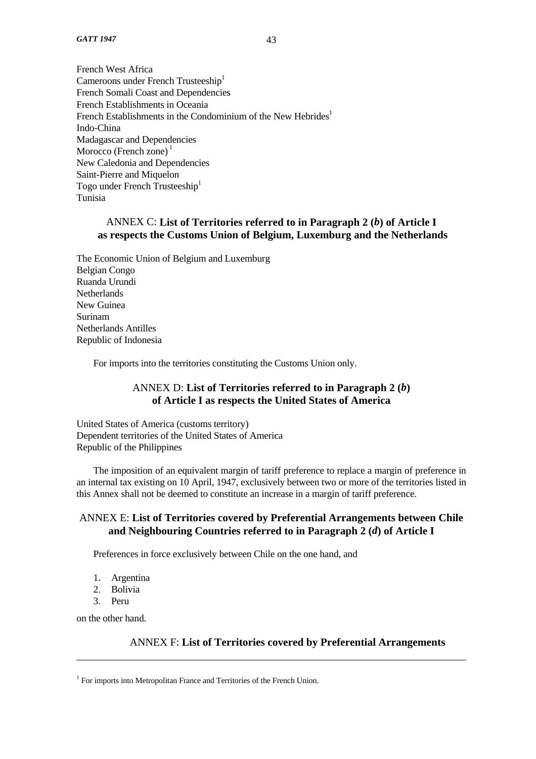French West Africa Cameroons under French Trusteeship<sup>1</sup> French Somali Coast and Dependencies French Establishments in Oceania French Establishments in the Condominium of the New Hebrides<sup>1</sup> Indo-China Madagascar and Dependencies Morocco (French zone) $<sup>1</sup>$ </sup> New Caledonia and Dependencies Saint-Pierre and Miquelon Togo under French Trusteeship<sup>1</sup> Tunisia

# <span id="page-42-0"></span>ANNEX C: **List of Territories referred to in Paragraph 2 (***b***) of Article I as respects the Customs Union of Belgium, Luxemburg and the Netherlands**

The Economic Union of Belgium and Luxemburg Belgian Congo Ruanda Urundi **Netherlands** New Guinea Surinam Netherlands Antilles Republic of Indonesia

For imports into the territories constituting the Customs Union only.

# <span id="page-42-1"></span>ANNEX D: **List of Territories referred to in Paragraph 2 (***b***) of Article I as respects the United States of America**

United States of America (customs territory) Dependent territories of the United States of America Republic of the Philippines

 The imposition of an equivalent margin of tariff preference to replace a margin of preference in an internal tax existing on 10 April, 1947, exclusively between two or more of the territories listed in this Annex shall not be deemed to constitute an increase in a margin of tariff preference.

# <span id="page-42-2"></span>ANNEX E: **List of Territories covered by Preferential Arrangements between Chile and Neighbouring Countries referred to in Paragraph 2 (***d***) of Article I**

Preferences in force exclusively between Chile on the one hand, and

- 1. Argentina
- 2. Bolivia
- 3. Peru

on the other hand.

<sup>-</sup>

# ANNEX F: **List of Territories covered by Preferential Arrangements**

<sup>&</sup>lt;sup>1</sup> For imports into Metropolitan France and Territories of the French Union.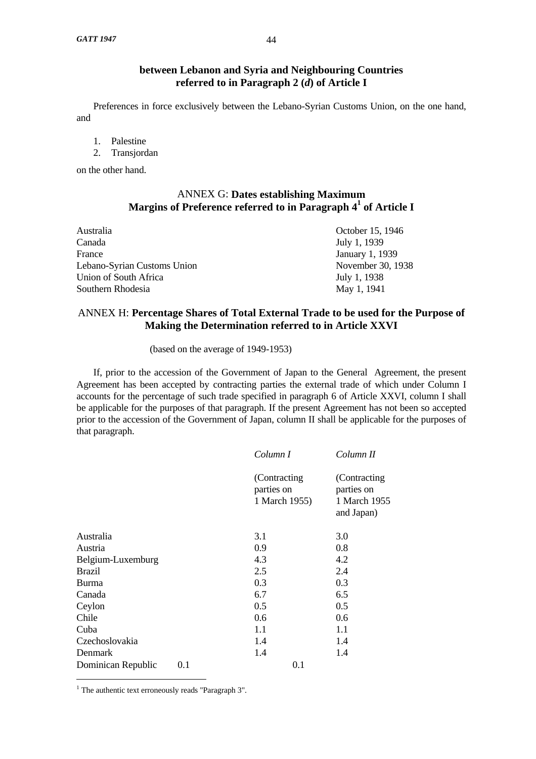# **between Lebanon and Syria and Neighbouring Countries referred to in Paragraph 2 (***d***) of Article I**

 Preferences in force exclusively between the Lebano-Syrian Customs Union, on the one hand, and

- 1. Palestine
- 2. Transjordan

on the other hand.

# <span id="page-43-1"></span>ANNEX G: **Dates establishing Maximum Margins of Preference referred to in Paragraph 4<sup>1</sup> of Article I**

| Australia                   | October 15, 1946  |  |
|-----------------------------|-------------------|--|
| Canada                      | July 1, 1939      |  |
| France                      | January 1, 1939   |  |
| Lebano-Syrian Customs Union | November 30, 1938 |  |
| Union of South Africa       | July 1, 1938      |  |
| Southern Rhodesia           | May 1, 1941       |  |

# <span id="page-43-2"></span>ANNEX H: **Percentage Shares of Total External Trade to be used for the Purpose of Making the Determination referred to in Article XXVI**

(based on the average of 1949-1953)

 If, prior to the accession of the Government of Japan to the General Agreement, the present Agreement has been accepted by contracting parties the external trade of which under Column I accounts for the percentage of such trade specified in paragraph 6 of Article XXVI, column I shall be applicable for the purposes of that paragraph. If the present Agreement has not been so accepted prior to the accession of the Government of Japan, column II shall be applicable for the purposes of that paragraph.

|                    |     | Column I                                     |     | Column II                                                 |
|--------------------|-----|----------------------------------------------|-----|-----------------------------------------------------------|
|                    |     | (Contracting)<br>parties on<br>1 March 1955) |     | (Contracting)<br>parties on<br>1 March 1955<br>and Japan) |
| Australia          |     | 3.1                                          |     | 3.0                                                       |
| Austria            |     | 0.9                                          |     | 0.8                                                       |
| Belgium-Luxemburg  |     | 4.3                                          |     | 4.2                                                       |
| <b>Brazil</b>      |     | 2.5                                          |     | 2.4                                                       |
| Burma              |     | 0.3                                          |     | 0.3                                                       |
| Canada             |     | 6.7                                          |     | 6.5                                                       |
| Ceylon             |     | 0.5                                          |     | 0.5                                                       |
| Chile              |     | 0.6                                          |     | 0.6                                                       |
| Cuba               |     | 1.1                                          |     | 1.1                                                       |
| Czechoslovakia     |     | 1.4                                          |     | 1.4                                                       |
| Denmark            |     | 1.4                                          |     | 1.4                                                       |
| Dominican Republic | 0.1 |                                              | 0.1 |                                                           |

<span id="page-43-0"></span><sup>1</sup> The authentic text erroneously reads "Paragraph 3".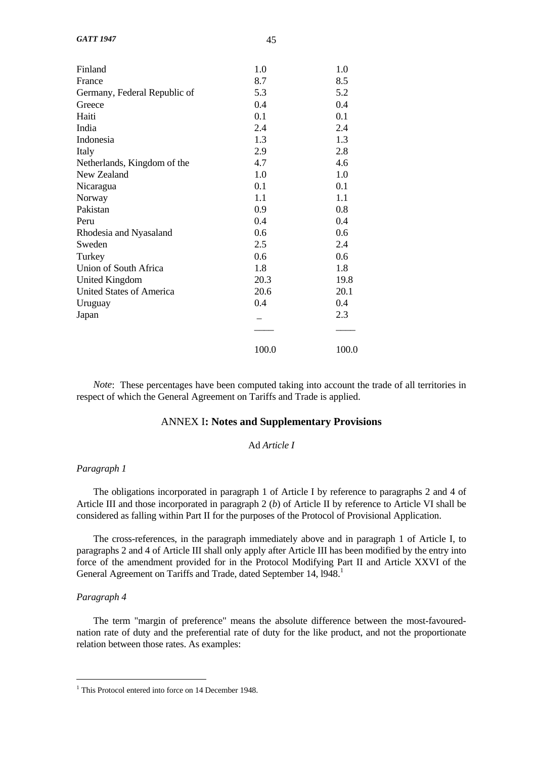| Finland                         | 1.0   | 1.0   |
|---------------------------------|-------|-------|
| France                          | 8.7   | 8.5   |
| Germany, Federal Republic of    | 5.3   | 5.2   |
| Greece                          | 0.4   | 0.4   |
| Haiti                           | 0.1   | 0.1   |
| India                           | 2.4   | 2.4   |
| Indonesia                       | 1.3   | 1.3   |
| Italy                           | 2.9   | 2.8   |
| Netherlands, Kingdom of the     | 4.7   | 4.6   |
| New Zealand                     | 1.0   | 1.0   |
| Nicaragua                       | 0.1   | 0.1   |
| Norway                          | 1.1   | 1.1   |
| Pakistan                        | 0.9   | 0.8   |
| Peru                            | 0.4   | 0.4   |
| Rhodesia and Nyasaland          | 0.6   | 0.6   |
| Sweden                          | 2.5   | 2.4   |
| Turkey                          | 0.6   | 0.6   |
| Union of South Africa           | 1.8   | 1.8   |
| <b>United Kingdom</b>           | 20.3  | 19.8  |
| <b>United States of America</b> | 20.6  | 20.1  |
| Uruguay                         | 0.4   | 0.4   |
| Japan                           |       | 2.3   |
|                                 |       |       |
|                                 | 100.0 | 100.0 |

 *Note*: These percentages have been computed taking into account the trade of all territories in respect of which the General Agreement on Tariffs and Trade is applied.

### <span id="page-44-0"></span>ANNEX I**: Notes and Supplementary Provisions**

### Ad *Article I*

# *Paragraph 1*

 The obligations incorporated in paragraph 1 of Article I by reference to paragraphs 2 and 4 of Article III and those incorporated in paragraph 2 (*b*) of Article II by reference to Article VI shall be considered as falling within Part II for the purposes of the Protocol of Provisional Application.

 The cross-references, in the paragraph immediately above and in paragraph 1 of Article I, to paragraphs 2 and 4 of Article III shall only apply after Article III has been modified by the entry into force of the amendment provided for in the Protocol Modifying Part II and Article XXVI of the General Agreement on Tariffs and Trade, dated September 14, 1948.<sup>1</sup>

# *Paragraph 4*

 The term "margin of preference" means the absolute difference between the most-favourednation rate of duty and the preferential rate of duty for the like product, and not the proportionate relation between those rates. As examples:

 1 This Protocol entered into force on 14 December 1948.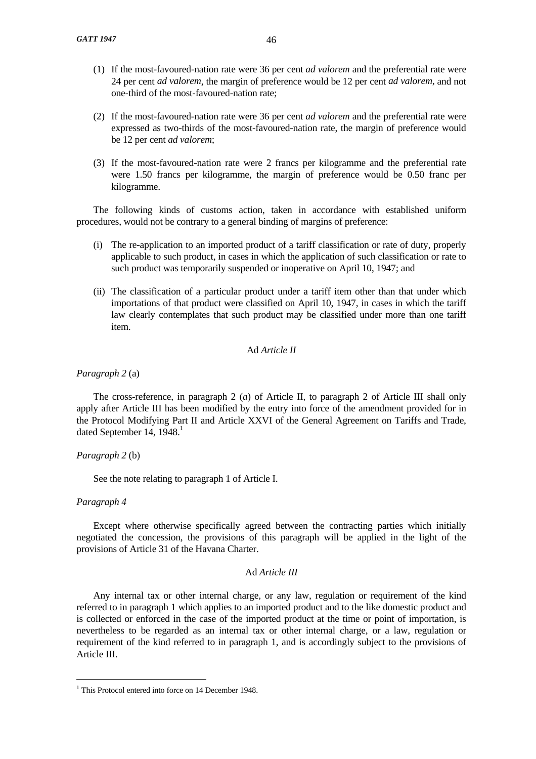- (1) If the most-favoured-nation rate were 36 per cent *ad valorem* and the preferential rate were 24 per cent *ad valorem*, the margin of preference would be 12 per cent *ad valorem,* and not one-third of the most-favoured-nation rate;
- (2) If the most-favoured-nation rate were 36 per cent *ad valorem* and the preferential rate were expressed as two-thirds of the most-favoured-nation rate, the margin of preference would be 12 per cent *ad valorem*;
- (3) If the most-favoured-nation rate were 2 francs per kilogramme and the preferential rate were 1.50 francs per kilogramme, the margin of preference would be 0.50 franc per kilogramme.

 The following kinds of customs action, taken in accordance with established uniform procedures, would not be contrary to a general binding of margins of preference:

- (i) The re-application to an imported product of a tariff classification or rate of duty, properly applicable to such product, in cases in which the application of such classification or rate to such product was temporarily suspended or inoperative on April 10, 1947; and
- (ii) The classification of a particular product under a tariff item other than that under which importations of that product were classified on April 10, 1947, in cases in which the tariff law clearly contemplates that such product may be classified under more than one tariff item.

# Ad *Article II*

### *Paragraph 2* (a)

 The cross-reference, in paragraph 2 (*a*) of Article II, to paragraph 2 of Article III shall only apply after Article III has been modified by the entry into force of the amendment provided for in the Protocol Modifying Part II and Article XXVI of the General Agreement on Tariffs and Trade, dated September 14,  $1948.<sup>1</sup>$ 

### *Paragraph 2* (b)

See the note relating to paragraph 1 of Article I.

#### *Paragraph 4*

 $\overline{a}$ 

 Except where otherwise specifically agreed between the contracting parties which initially negotiated the concession, the provisions of this paragraph will be applied in the light of the provisions of Article 31 of the Havana Charter.

### Ad *Article III*

 Any internal tax or other internal charge, or any law, regulation or requirement of the kind referred to in paragraph 1 which applies to an imported product and to the like domestic product and is collected or enforced in the case of the imported product at the time or point of importation, is nevertheless to be regarded as an internal tax or other internal charge, or a law, regulation or requirement of the kind referred to in paragraph 1, and is accordingly subject to the provisions of Article III.

<sup>&</sup>lt;sup>1</sup> This Protocol entered into force on 14 December 1948.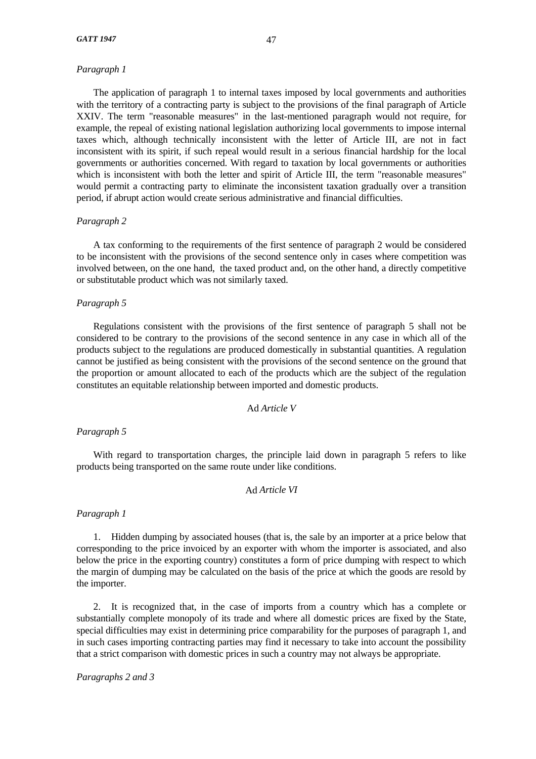### *Paragraph 1*

 The application of paragraph 1 to internal taxes imposed by local governments and authorities with the territory of a contracting party is subject to the provisions of the final paragraph of Article XXIV. The term "reasonable measures" in the last-mentioned paragraph would not require, for example, the repeal of existing national legislation authorizing local governments to impose internal taxes which, although technically inconsistent with the letter of Article III, are not in fact inconsistent with its spirit, if such repeal would result in a serious financial hardship for the local governments or authorities concerned. With regard to taxation by local governments or authorities which is inconsistent with both the letter and spirit of Article III, the term "reasonable measures" would permit a contracting party to eliminate the inconsistent taxation gradually over a transition period, if abrupt action would create serious administrative and financial difficulties.

### *Paragraph 2*

 A tax conforming to the requirements of the first sentence of paragraph 2 would be considered to be inconsistent with the provisions of the second sentence only in cases where competition was involved between, on the one hand, the taxed product and, on the other hand, a directly competitive or substitutable product which was not similarly taxed.

### *Paragraph 5*

 Regulations consistent with the provisions of the first sentence of paragraph 5 shall not be considered to be contrary to the provisions of the second sentence in any case in which all of the products subject to the regulations are produced domestically in substantial quantities. A regulation cannot be justified as being consistent with the provisions of the second sentence on the ground that the proportion or amount allocated to each of the products which are the subject of the regulation constitutes an equitable relationship between imported and domestic products.

### Ad *Article V*

### *Paragraph 5*

 With regard to transportation charges, the principle laid down in paragraph 5 refers to like products being transported on the same route under like conditions.

# Ad *Article VI*

#### *Paragraph 1*

 1. Hidden dumping by associated houses (that is, the sale by an importer at a price below that corresponding to the price invoiced by an exporter with whom the importer is associated, and also below the price in the exporting country) constitutes a form of price dumping with respect to which the margin of dumping may be calculated on the basis of the price at which the goods are resold by the importer.

 2. It is recognized that, in the case of imports from a country which has a complete or substantially complete monopoly of its trade and where all domestic prices are fixed by the State, special difficulties may exist in determining price comparability for the purposes of paragraph 1, and in such cases importing contracting parties may find it necessary to take into account the possibility that a strict comparison with domestic prices in such a country may not always be appropriate.

*Paragraphs 2 and 3*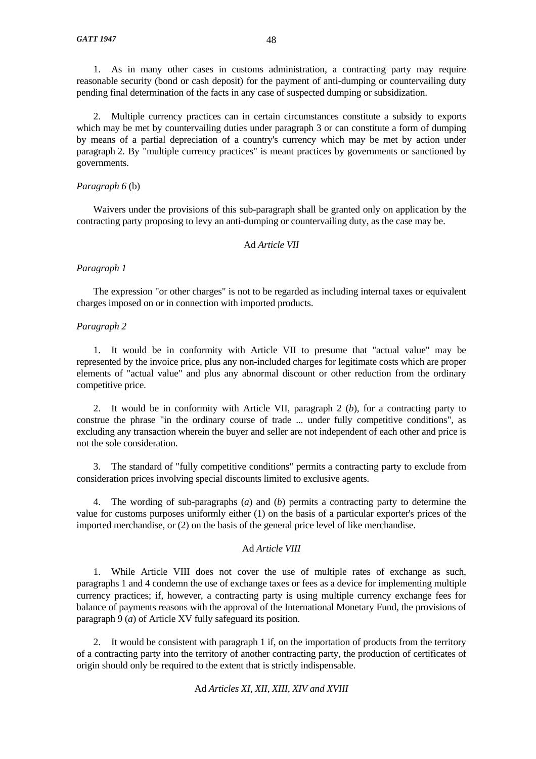1. As in many other cases in customs administration, a contracting party may require reasonable security (bond or cash deposit) for the payment of anti-dumping or countervailing duty pending final determination of the facts in any case of suspected dumping or subsidization.

 2. Multiple currency practices can in certain circumstances constitute a subsidy to exports which may be met by countervailing duties under paragraph 3 or can constitute a form of dumping by means of a partial depreciation of a country's currency which may be met by action under paragraph 2. By "multiple currency practices" is meant practices by governments or sanctioned by governments.

## *Paragraph 6* (b)

 Waivers under the provisions of this sub-paragraph shall be granted only on application by the contracting party proposing to levy an anti-dumping or countervailing duty, as the case may be.

## Ad *Article VII*

### *Paragraph 1*

 The expression "or other charges" is not to be regarded as including internal taxes or equivalent charges imposed on or in connection with imported products.

### *Paragraph 2*

 1. It would be in conformity with Article VII to presume that "actual value" may be represented by the invoice price, plus any non-included charges for legitimate costs which are proper elements of "actual value" and plus any abnormal discount or other reduction from the ordinary competitive price.

 2. It would be in conformity with Article VII, paragraph 2 (*b*), for a contracting party to construe the phrase "in the ordinary course of trade ... under fully competitive conditions", as excluding any transaction wherein the buyer and seller are not independent of each other and price is not the sole consideration.

 3. The standard of "fully competitive conditions" permits a contracting party to exclude from consideration prices involving special discounts limited to exclusive agents.

 4. The wording of sub-paragraphs (*a*) and (*b*) permits a contracting party to determine the value for customs purposes uniformly either (1) on the basis of a particular exporter's prices of the imported merchandise, or (2) on the basis of the general price level of like merchandise.

### Ad *Article VIII*

 1. While Article VIII does not cover the use of multiple rates of exchange as such, paragraphs 1 and 4 condemn the use of exchange taxes or fees as a device for implementing multiple currency practices; if, however, a contracting party is using multiple currency exchange fees for balance of payments reasons with the approval of the International Monetary Fund, the provisions of paragraph 9 (*a*) of Article XV fully safeguard its position.

 2. It would be consistent with paragraph 1 if, on the importation of products from the territory of a contracting party into the territory of another contracting party, the production of certificates of origin should only be required to the extent that is strictly indispensable.

# Ad *Articles XI, XII, XIII, XIV and XVIII*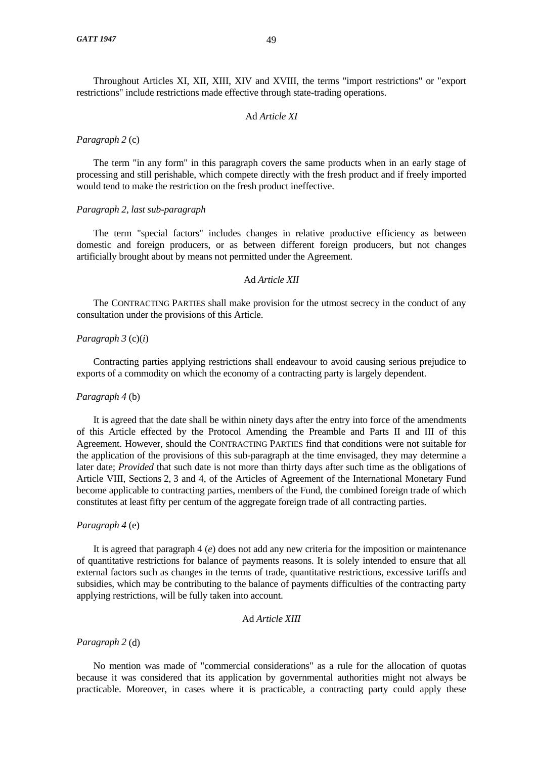Throughout Articles XI, XII, XIII, XIV and XVIII, the terms "import restrictions" or "export restrictions" include restrictions made effective through state-trading operations.

#### Ad *Article XI*

*Paragraph 2* (c)

 The term "in any form" in this paragraph covers the same products when in an early stage of processing and still perishable, which compete directly with the fresh product and if freely imported would tend to make the restriction on the fresh product ineffective.

#### *Paragraph 2, last sub-paragraph*

 The term "special factors" includes changes in relative productive efficiency as between domestic and foreign producers, or as between different foreign producers, but not changes artificially brought about by means not permitted under the Agreement.

### Ad *Article XII*

 The CONTRACTING PARTIES shall make provision for the utmost secrecy in the conduct of any consultation under the provisions of this Article.

#### *Paragraph 3* (c)(*i*)

 Contracting parties applying restrictions shall endeavour to avoid causing serious prejudice to exports of a commodity on which the economy of a contracting party is largely dependent.

#### *Paragraph 4* (b)

 It is agreed that the date shall be within ninety days after the entry into force of the amendments of this Article effected by the Protocol Amending the Preamble and Parts II and III of this Agreement. However, should the CONTRACTING PARTIES find that conditions were not suitable for the application of the provisions of this sub-paragraph at the time envisaged, they may determine a later date; *Provided* that such date is not more than thirty days after such time as the obligations of Article VIII, Sections 2, 3 and 4, of the Articles of Agreement of the International Monetary Fund become applicable to contracting parties, members of the Fund, the combined foreign trade of which constitutes at least fifty per centum of the aggregate foreign trade of all contracting parties.

#### *Paragraph 4* (e)

 It is agreed that paragraph 4 (*e*) does not add any new criteria for the imposition or maintenance of quantitative restrictions for balance of payments reasons. It is solely intended to ensure that all external factors such as changes in the terms of trade, quantitative restrictions, excessive tariffs and subsidies, which may be contributing to the balance of payments difficulties of the contracting party applying restrictions, will be fully taken into account.

#### Ad *Article XIII*

### *Paragraph 2* (d)

 No mention was made of "commercial considerations" as a rule for the allocation of quotas because it was considered that its application by governmental authorities might not always be practicable. Moreover, in cases where it is practicable, a contracting party could apply these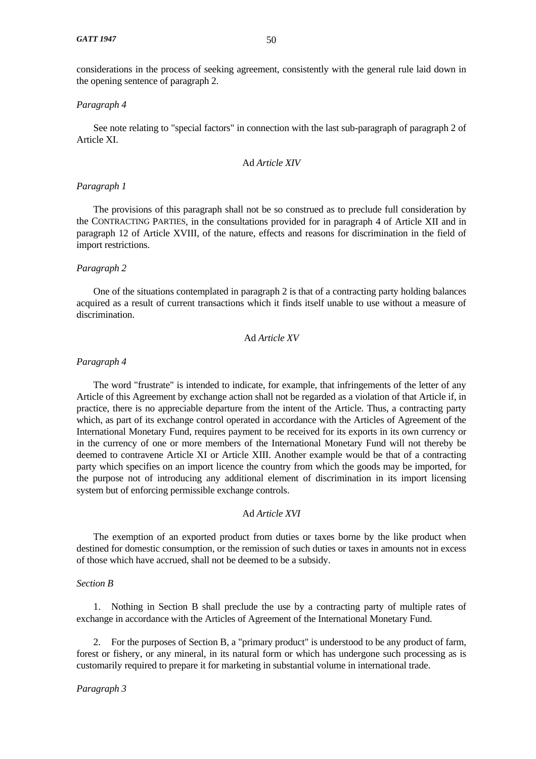considerations in the process of seeking agreement, consistently with the general rule laid down in the opening sentence of paragraph 2.

### *Paragraph 4*

 See note relating to "special factors" in connection with the last sub-paragraph of paragraph 2 of Article XI.

### Ad *Article XIV*

### *Paragraph 1*

 The provisions of this paragraph shall not be so construed as to preclude full consideration by the CONTRACTING PARTIES, in the consultations provided for in paragraph 4 of Article XII and in paragraph 12 of Article XVIII, of the nature, effects and reasons for discrimination in the field of import restrictions.

#### *Paragraph 2*

 One of the situations contemplated in paragraph 2 is that of a contracting party holding balances acquired as a result of current transactions which it finds itself unable to use without a measure of discrimination.

### Ad *Article XV*

### *Paragraph 4*

 The word "frustrate" is intended to indicate, for example, that infringements of the letter of any Article of this Agreement by exchange action shall not be regarded as a violation of that Article if, in practice, there is no appreciable departure from the intent of the Article. Thus, a contracting party which, as part of its exchange control operated in accordance with the Articles of Agreement of the International Monetary Fund, requires payment to be received for its exports in its own currency or in the currency of one or more members of the International Monetary Fund will not thereby be deemed to contravene Article XI or Article XIII. Another example would be that of a contracting party which specifies on an import licence the country from which the goods may be imported, for the purpose not of introducing any additional element of discrimination in its import licensing system but of enforcing permissible exchange controls.

#### Ad *Article XVI*

 The exemption of an exported product from duties or taxes borne by the like product when destined for domestic consumption, or the remission of such duties or taxes in amounts not in excess of those which have accrued, shall not be deemed to be a subsidy.

#### *Section B*

 1. Nothing in Section B shall preclude the use by a contracting party of multiple rates of exchange in accordance with the Articles of Agreement of the International Monetary Fund.

 2. For the purposes of Section B, a "primary product" is understood to be any product of farm, forest or fishery, or any mineral, in its natural form or which has undergone such processing as is customarily required to prepare it for marketing in substantial volume in international trade.

*Paragraph 3*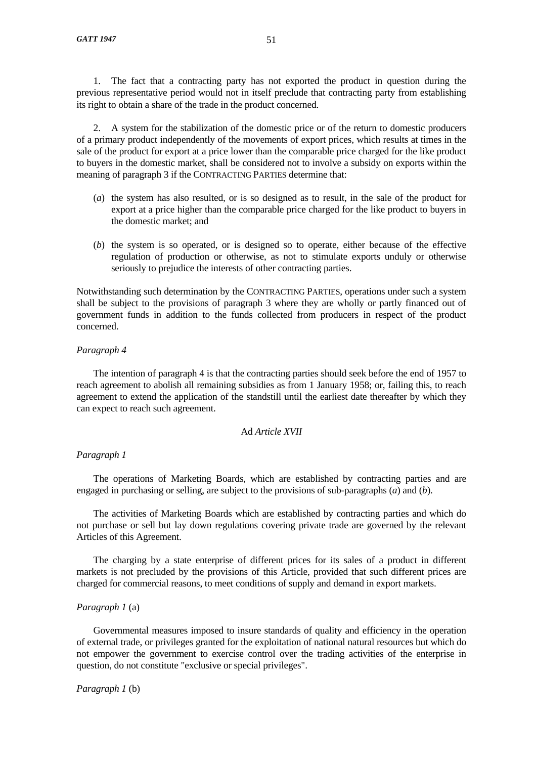1. The fact that a contracting party has not exported the product in question during the previous representative period would not in itself preclude that contracting party from establishing its right to obtain a share of the trade in the product concerned.

 2. A system for the stabilization of the domestic price or of the return to domestic producers of a primary product independently of the movements of export prices, which results at times in the sale of the product for export at a price lower than the comparable price charged for the like product to buyers in the domestic market, shall be considered not to involve a subsidy on exports within the meaning of paragraph 3 if the CONTRACTING PARTIES determine that:

- (*a*) the system has also resulted, or is so designed as to result, in the sale of the product for export at a price higher than the comparable price charged for the like product to buyers in the domestic market; and
- (*b*) the system is so operated, or is designed so to operate, either because of the effective regulation of production or otherwise, as not to stimulate exports unduly or otherwise seriously to prejudice the interests of other contracting parties.

Notwithstanding such determination by the CONTRACTING PARTIES, operations under such a system shall be subject to the provisions of paragraph 3 where they are wholly or partly financed out of government funds in addition to the funds collected from producers in respect of the product concerned.

### *Paragraph 4*

 The intention of paragraph 4 is that the contracting parties should seek before the end of 1957 to reach agreement to abolish all remaining subsidies as from 1 January 1958; or, failing this, to reach agreement to extend the application of the standstill until the earliest date thereafter by which they can expect to reach such agreement.

### Ad *Article XVII*

#### *Paragraph 1*

 The operations of Marketing Boards, which are established by contracting parties and are engaged in purchasing or selling, are subject to the provisions of sub-paragraphs (*a*) and (*b*).

 The activities of Marketing Boards which are established by contracting parties and which do not purchase or sell but lay down regulations covering private trade are governed by the relevant Articles of this Agreement.

 The charging by a state enterprise of different prices for its sales of a product in different markets is not precluded by the provisions of this Article, provided that such different prices are charged for commercial reasons, to meet conditions of supply and demand in export markets.

### *Paragraph 1* (a)

 Governmental measures imposed to insure standards of quality and efficiency in the operation of external trade, or privileges granted for the exploitation of national natural resources but which do not empower the government to exercise control over the trading activities of the enterprise in question, do not constitute "exclusive or special privileges".

*Paragraph 1* (b)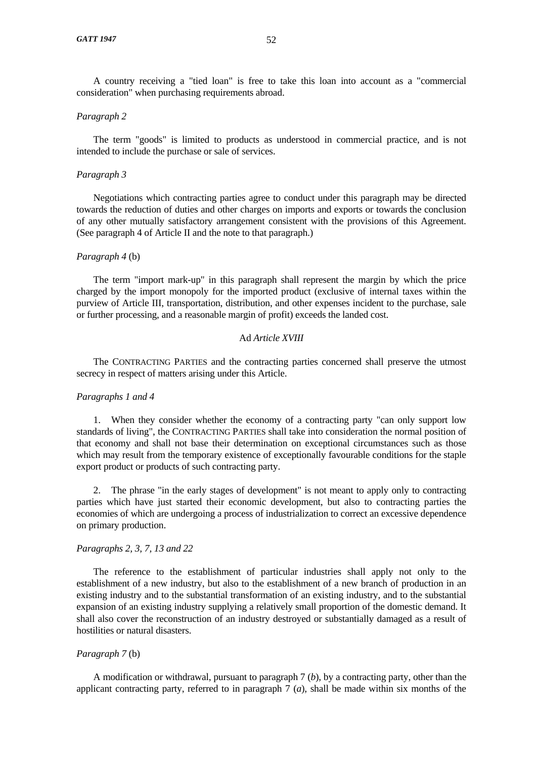A country receiving a "tied loan" is free to take this loan into account as a "commercial consideration" when purchasing requirements abroad.

### *Paragraph 2*

 The term "goods" is limited to products as understood in commercial practice, and is not intended to include the purchase or sale of services.

### *Paragraph 3*

 Negotiations which contracting parties agree to conduct under this paragraph may be directed towards the reduction of duties and other charges on imports and exports or towards the conclusion of any other mutually satisfactory arrangement consistent with the provisions of this Agreement. (See paragraph 4 of Article II and the note to that paragraph.)

### *Paragraph 4* (b)

 The term "import mark-up" in this paragraph shall represent the margin by which the price charged by the import monopoly for the imported product (exclusive of internal taxes within the purview of Article III, transportation, distribution, and other expenses incident to the purchase, sale or further processing, and a reasonable margin of profit) exceeds the landed cost.

### Ad *Article XVIII*

 The CONTRACTING PARTIES and the contracting parties concerned shall preserve the utmost secrecy in respect of matters arising under this Article.

#### *Paragraphs 1 and 4*

 1. When they consider whether the economy of a contracting party "can only support low standards of living", the CONTRACTING PARTIES shall take into consideration the normal position of that economy and shall not base their determination on exceptional circumstances such as those which may result from the temporary existence of exceptionally favourable conditions for the staple export product or products of such contracting party.

 2. The phrase "in the early stages of development" is not meant to apply only to contracting parties which have just started their economic development, but also to contracting parties the economies of which are undergoing a process of industrialization to correct an excessive dependence on primary production.

#### *Paragraphs 2, 3, 7, 13 and 22*

 The reference to the establishment of particular industries shall apply not only to the establishment of a new industry, but also to the establishment of a new branch of production in an existing industry and to the substantial transformation of an existing industry, and to the substantial expansion of an existing industry supplying a relatively small proportion of the domestic demand. It shall also cover the reconstruction of an industry destroyed or substantially damaged as a result of hostilities or natural disasters.

## *Paragraph 7* (b)

 A modification or withdrawal, pursuant to paragraph 7 (*b*), by a contracting party, other than the applicant contracting party, referred to in paragraph 7 (*a*), shall be made within six months of the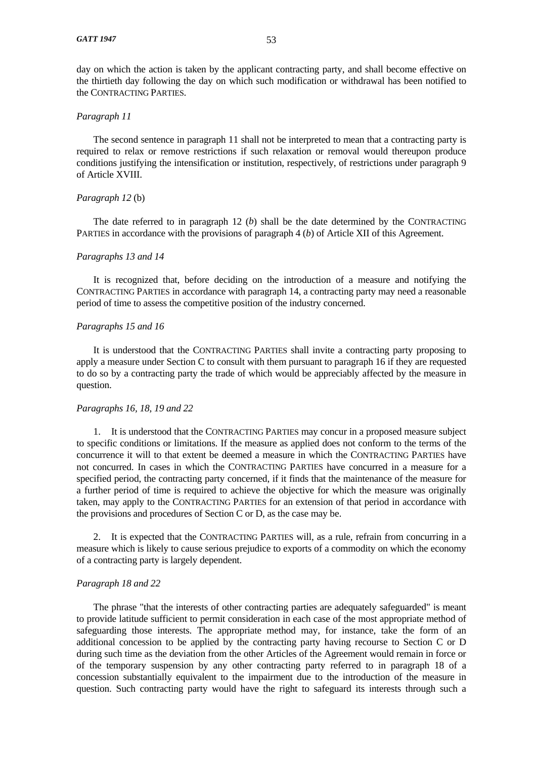day on which the action is taken by the applicant contracting party, and shall become effective on the thirtieth day following the day on which such modification or withdrawal has been notified to the CONTRACTING PARTIES.

### *Paragraph 11*

 The second sentence in paragraph 11 shall not be interpreted to mean that a contracting party is required to relax or remove restrictions if such relaxation or removal would thereupon produce conditions justifying the intensification or institution, respectively, of restrictions under paragraph 9 of Article XVIII.

### *Paragraph 12* (b)

 The date referred to in paragraph 12 (*b*) shall be the date determined by the CONTRACTING PARTIES in accordance with the provisions of paragraph 4 (*b*) of Article XII of this Agreement.

### *Paragraphs 13 and 14*

 It is recognized that, before deciding on the introduction of a measure and notifying the CONTRACTING PARTIES in accordance with paragraph 14, a contracting party may need a reasonable period of time to assess the competitive position of the industry concerned.

### *Paragraphs 15 and 16*

 It is understood that the CONTRACTING PARTIES shall invite a contracting party proposing to apply a measure under Section C to consult with them pursuant to paragraph 16 if they are requested to do so by a contracting party the trade of which would be appreciably affected by the measure in question.

### *Paragraphs 16, 18, 19 and 22*

 1. It is understood that the CONTRACTING PARTIES may concur in a proposed measure subject to specific conditions or limitations. If the measure as applied does not conform to the terms of the concurrence it will to that extent be deemed a measure in which the CONTRACTING PARTIES have not concurred. In cases in which the CONTRACTING PARTIES have concurred in a measure for a specified period, the contracting party concerned, if it finds that the maintenance of the measure for a further period of time is required to achieve the objective for which the measure was originally taken, may apply to the CONTRACTING PARTIES for an extension of that period in accordance with the provisions and procedures of Section C or D, as the case may be.

 2. It is expected that the CONTRACTING PARTIES will, as a rule, refrain from concurring in a measure which is likely to cause serious prejudice to exports of a commodity on which the economy of a contracting party is largely dependent.

#### *Paragraph 18 and 22*

 The phrase "that the interests of other contracting parties are adequately safeguarded" is meant to provide latitude sufficient to permit consideration in each case of the most appropriate method of safeguarding those interests. The appropriate method may, for instance, take the form of an additional concession to be applied by the contracting party having recourse to Section C or D during such time as the deviation from the other Articles of the Agreement would remain in force or of the temporary suspension by any other contracting party referred to in paragraph 18 of a concession substantially equivalent to the impairment due to the introduction of the measure in question. Such contracting party would have the right to safeguard its interests through such a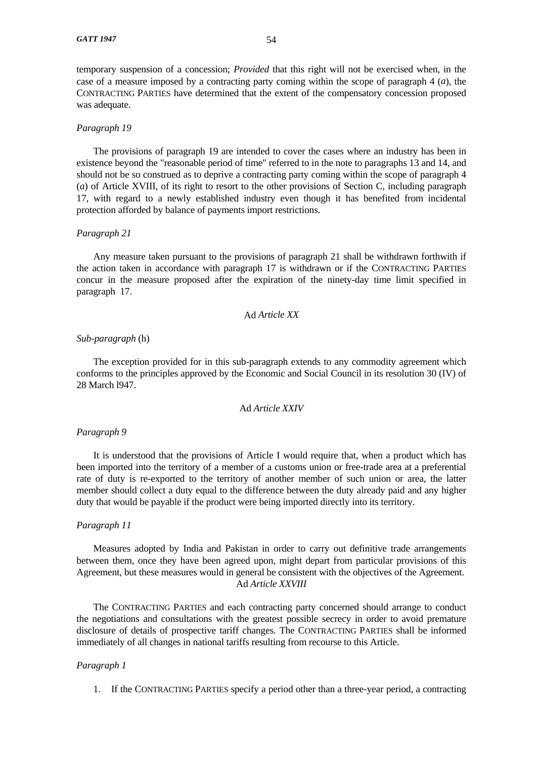temporary suspension of a concession; *Provided* that this right will not be exercised when, in the case of a measure imposed by a contracting party coming within the scope of paragraph 4 (*a*), the CONTRACTING PARTIES have determined that the extent of the compensatory concession proposed was adequate.

### *Paragraph 19*

 The provisions of paragraph 19 are intended to cover the cases where an industry has been in existence beyond the "reasonable period of time" referred to in the note to paragraphs 13 and 14, and should not be so construed as to deprive a contracting party coming within the scope of paragraph 4 (*a*) of Article XVIII, of its right to resort to the other provisions of Section C, including paragraph 17, with regard to a newly established industry even though it has benefited from incidental protection afforded by balance of payments import restrictions.

## *Paragraph 21*

 Any measure taken pursuant to the provisions of paragraph 21 shall be withdrawn forthwith if the action taken in accordance with paragraph 17 is withdrawn or if the CONTRACTING PARTIES concur in the measure proposed after the expiration of the ninety-day time limit specified in paragraph 17.

# Ad *Article XX*

#### *Sub-paragraph* (h)

 The exception provided for in this sub-paragraph extends to any commodity agreement which conforms to the principles approved by the Economic and Social Council in its resolution 30 (IV) of 28 March l947.

### Ad *Article XXIV*

### *Paragraph 9*

 It is understood that the provisions of Article I would require that, when a product which has been imported into the territory of a member of a customs union or free-trade area at a preferential rate of duty is re-exported to the territory of another member of such union or area, the latter member should collect a duty equal to the difference between the duty already paid and any higher duty that would be payable if the product were being imported directly into its territory.

#### *Paragraph 11*

 Measures adopted by India and Pakistan in order to carry out definitive trade arrangements between them, once they have been agreed upon, might depart from particular provisions of this Agreement, but these measures would in general be consistent with the objectives of the Agreement. Ad *Article XXVIII*

 The CONTRACTING PARTIES and each contracting party concerned should arrange to conduct the negotiations and consultations with the greatest possible secrecy in order to avoid premature disclosure of details of prospective tariff changes. The CONTRACTING PARTIES shall be informed immediately of all changes in national tariffs resulting from recourse to this Article.

### *Paragraph 1*

1. If the CONTRACTING PARTIES specify a period other than a three-year period, a contracting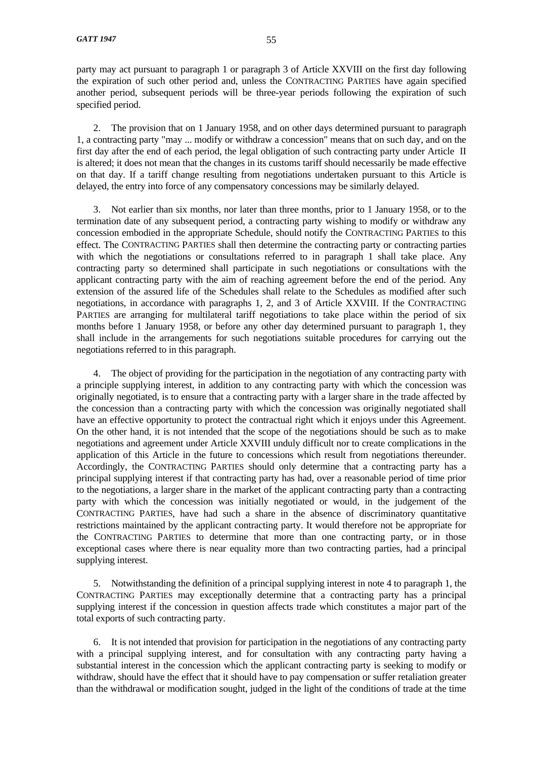party may act pursuant to paragraph 1 or paragraph 3 of Article XXVIII on the first day following the expiration of such other period and, unless the CONTRACTING PARTIES have again specified another period, subsequent periods will be three-year periods following the expiration of such specified period.

 2. The provision that on 1 January 1958, and on other days determined pursuant to paragraph 1, a contracting party "may ... modify or withdraw a concession" means that on such day, and on the first day after the end of each period, the legal obligation of such contracting party under Article II is altered; it does not mean that the changes in its customs tariff should necessarily be made effective on that day. If a tariff change resulting from negotiations undertaken pursuant to this Article is delayed, the entry into force of any compensatory concessions may be similarly delayed.

 3. Not earlier than six months, nor later than three months, prior to 1 January 1958, or to the termination date of any subsequent period, a contracting party wishing to modify or withdraw any concession embodied in the appropriate Schedule, should notify the CONTRACTING PARTIES to this effect. The CONTRACTING PARTIES shall then determine the contracting party or contracting parties with which the negotiations or consultations referred to in paragraph 1 shall take place. Any contracting party so determined shall participate in such negotiations or consultations with the applicant contracting party with the aim of reaching agreement before the end of the period. Any extension of the assured life of the Schedules shall relate to the Schedules as modified after such negotiations, in accordance with paragraphs 1, 2, and 3 of Article XXVIII. If the CONTRACTING PARTIES are arranging for multilateral tariff negotiations to take place within the period of six months before 1 January 1958, or before any other day determined pursuant to paragraph 1, they shall include in the arrangements for such negotiations suitable procedures for carrying out the negotiations referred to in this paragraph.

 4. The object of providing for the participation in the negotiation of any contracting party with a principle supplying interest, in addition to any contracting party with which the concession was originally negotiated, is to ensure that a contracting party with a larger share in the trade affected by the concession than a contracting party with which the concession was originally negotiated shall have an effective opportunity to protect the contractual right which it enjoys under this Agreement. On the other hand, it is not intended that the scope of the negotiations should be such as to make negotiations and agreement under Article XXVIII unduly difficult nor to create complications in the application of this Article in the future to concessions which result from negotiations thereunder. Accordingly, the CONTRACTING PARTIES should only determine that a contracting party has a principal supplying interest if that contracting party has had, over a reasonable period of time prior to the negotiations, a larger share in the market of the applicant contracting party than a contracting party with which the concession was initially negotiated or would, in the judgement of the CONTRACTING PARTIES, have had such a share in the absence of discriminatory quantitative restrictions maintained by the applicant contracting party. It would therefore not be appropriate for the CONTRACTING PARTIES to determine that more than one contracting party, or in those exceptional cases where there is near equality more than two contracting parties, had a principal supplying interest.

 5. Notwithstanding the definition of a principal supplying interest in note 4 to paragraph 1, the CONTRACTING PARTIES may exceptionally determine that a contracting party has a principal supplying interest if the concession in question affects trade which constitutes a major part of the total exports of such contracting party.

 6. It is not intended that provision for participation in the negotiations of any contracting party with a principal supplying interest, and for consultation with any contracting party having a substantial interest in the concession which the applicant contracting party is seeking to modify or withdraw, should have the effect that it should have to pay compensation or suffer retaliation greater than the withdrawal or modification sought, judged in the light of the conditions of trade at the time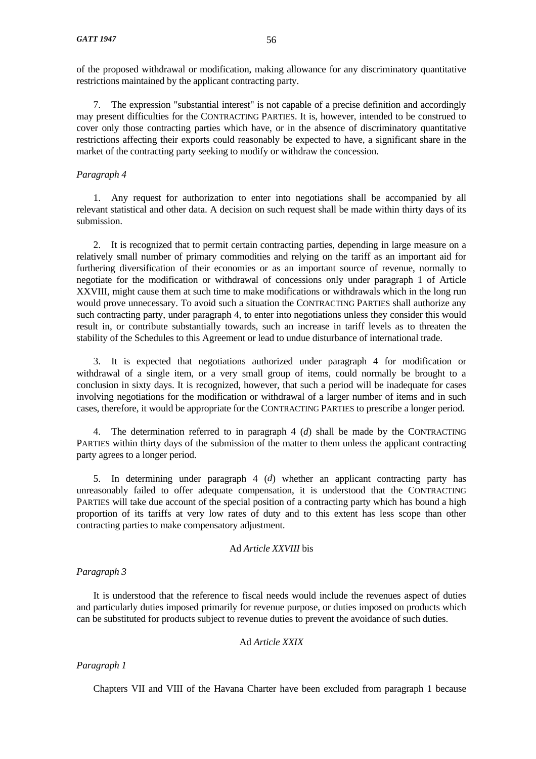of the proposed withdrawal or modification, making allowance for any discriminatory quantitative restrictions maintained by the applicant contracting party.

 7. The expression "substantial interest" is not capable of a precise definition and accordingly may present difficulties for the CONTRACTING PARTIES. It is, however, intended to be construed to cover only those contracting parties which have, or in the absence of discriminatory quantitative restrictions affecting their exports could reasonably be expected to have, a significant share in the market of the contracting party seeking to modify or withdraw the concession.

## *Paragraph 4*

 1. Any request for authorization to enter into negotiations shall be accompanied by all relevant statistical and other data. A decision on such request shall be made within thirty days of its submission.

 2. It is recognized that to permit certain contracting parties, depending in large measure on a relatively small number of primary commodities and relying on the tariff as an important aid for furthering diversification of their economies or as an important source of revenue, normally to negotiate for the modification or withdrawal of concessions only under paragraph 1 of Article XXVIII, might cause them at such time to make modifications or withdrawals which in the long run would prove unnecessary. To avoid such a situation the CONTRACTING PARTIES shall authorize any such contracting party, under paragraph 4, to enter into negotiations unless they consider this would result in, or contribute substantially towards, such an increase in tariff levels as to threaten the stability of the Schedules to this Agreement or lead to undue disturbance of international trade.

 3. It is expected that negotiations authorized under paragraph 4 for modification or withdrawal of a single item, or a very small group of items, could normally be brought to a conclusion in sixty days. It is recognized, however, that such a period will be inadequate for cases involving negotiations for the modification or withdrawal of a larger number of items and in such cases, therefore, it would be appropriate for the CONTRACTING PARTIES to prescribe a longer period.

 4. The determination referred to in paragraph 4 (*d*) shall be made by the CONTRACTING PARTIES within thirty days of the submission of the matter to them unless the applicant contracting party agrees to a longer period.

 5. In determining under paragraph 4 (*d*) whether an applicant contracting party has unreasonably failed to offer adequate compensation, it is understood that the CONTRACTING PARTIES will take due account of the special position of a contracting party which has bound a high proportion of its tariffs at very low rates of duty and to this extent has less scope than other contracting parties to make compensatory adjustment.

### Ad *Article XXVIII* bis

### *Paragraph 3*

 It is understood that the reference to fiscal needs would include the revenues aspect of duties and particularly duties imposed primarily for revenue purpose, or duties imposed on products which can be substituted for products subject to revenue duties to prevent the avoidance of such duties.

### Ad *Article XXIX*

### *Paragraph 1*

Chapters VII and VIII of the Havana Charter have been excluded from paragraph 1 because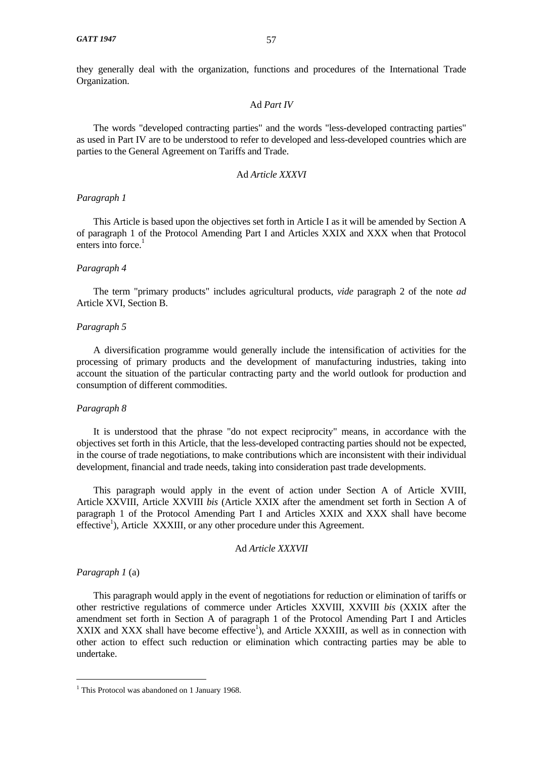they generally deal with the organization, functions and procedures of the International Trade Organization.

## Ad *Part IV*

 The words "developed contracting parties" and the words "less-developed contracting parties" as used in Part IV are to be understood to refer to developed and less-developed countries which are parties to the General Agreement on Tariffs and Trade.

#### Ad *Article XXXVI*

### *Paragraph 1*

 This Article is based upon the objectives set forth in Article I as it will be amended by Section A of paragraph 1 of the Protocol Amending Part I and Articles XXIX and XXX when that Protocol enters into force.<sup>1</sup>

### *Paragraph 4*

 The term "primary products" includes agricultural products, *vide* paragraph 2 of the note *ad*  Article XVI, Section B.

### *Paragraph 5*

 A diversification programme would generally include the intensification of activities for the processing of primary products and the development of manufacturing industries, taking into account the situation of the particular contracting party and the world outlook for production and consumption of different commodities.

#### *Paragraph 8*

 It is understood that the phrase "do not expect reciprocity" means, in accordance with the objectives set forth in this Article, that the less-developed contracting parties should not be expected, in the course of trade negotiations, to make contributions which are inconsistent with their individual development, financial and trade needs, taking into consideration past trade developments.

 This paragraph would apply in the event of action under Section A of Article XVIII, Article XXVIII, Article XXVIII *bis* (Article XXIX after the amendment set forth in Section A of paragraph 1 of the Protocol Amending Part I and Articles XXIX and XXX shall have become effective<sup>1</sup>), Article XXXIII, or any other procedure under this Agreement.

#### Ad *Article XXXVII*

### *Paragraph 1* (a)

 $\overline{a}$ 

 This paragraph would apply in the event of negotiations for reduction or elimination of tariffs or other restrictive regulations of commerce under Articles XXVIII, XXVIII *bis* (XXIX after the amendment set forth in Section A of paragraph 1 of the Protocol Amending Part I and Articles XXIX and XXX shall have become effective<sup>1</sup>), and Article XXXIII, as well as in connection with other action to effect such reduction or elimination which contracting parties may be able to undertake.

<sup>&</sup>lt;sup>1</sup> This Protocol was abandoned on 1 January 1968.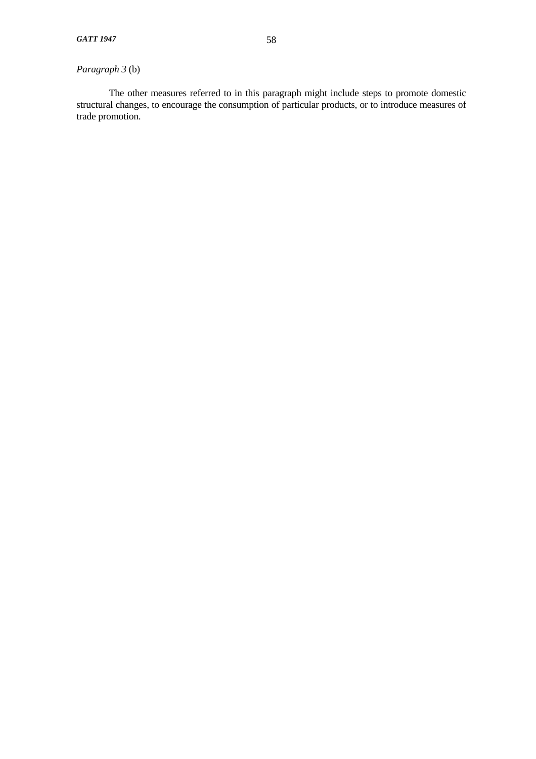# *Paragraph 3* (b)

 The other measures referred to in this paragraph might include steps to promote domestic structural changes, to encourage the consumption of particular products, or to introduce measures of trade promotion.